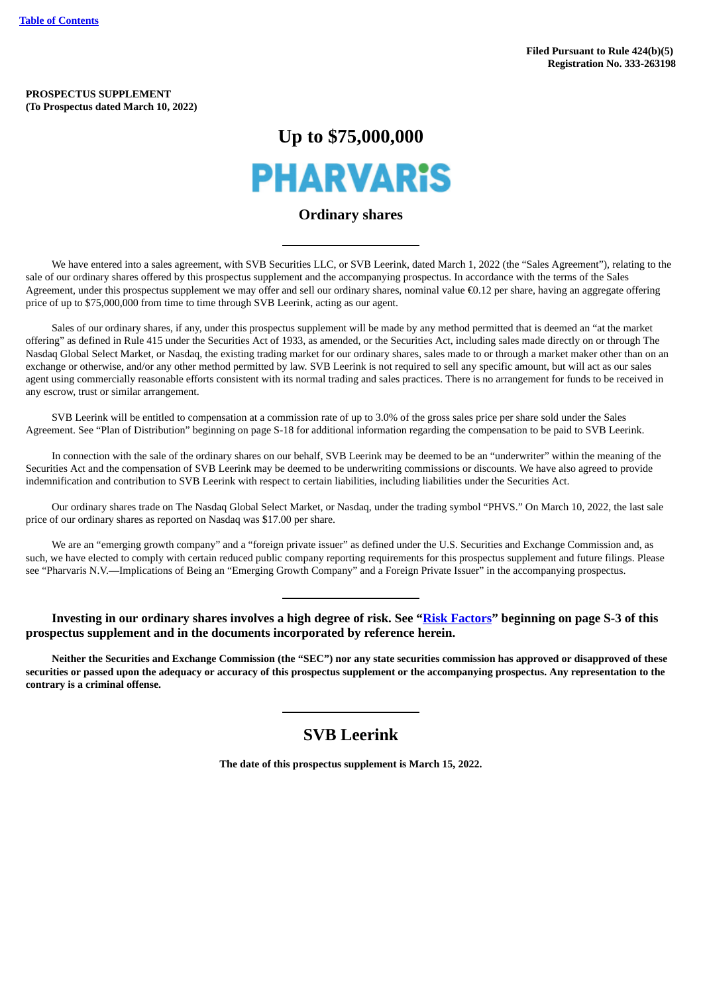**PROSPECTUS SUPPLEMENT (To Prospectus dated March 10, 2022)**

# **Up to \$75,000,000**



# **Ordinary shares**

We have entered into a sales agreement, with SVB Securities LLC, or SVB Leerink, dated March 1, 2022 (the "Sales Agreement"), relating to the sale of our ordinary shares offered by this prospectus supplement and the accompanying prospectus. In accordance with the terms of the Sales Agreement, under this prospectus supplement we may offer and sell our ordinary shares, nominal value €0.12 per share, having an aggregate offering price of up to \$75,000,000 from time to time through SVB Leerink, acting as our agent.

Sales of our ordinary shares, if any, under this prospectus supplement will be made by any method permitted that is deemed an "at the market offering" as defined in Rule 415 under the Securities Act of 1933, as amended, or the Securities Act, including sales made directly on or through The Nasdaq Global Select Market, or Nasdaq, the existing trading market for our ordinary shares, sales made to or through a market maker other than on an exchange or otherwise, and/or any other method permitted by law. SVB Leerink is not required to sell any specific amount, but will act as our sales agent using commercially reasonable efforts consistent with its normal trading and sales practices. There is no arrangement for funds to be received in any escrow, trust or similar arrangement.

SVB Leerink will be entitled to compensation at a commission rate of up to 3.0% of the gross sales price per share sold under the Sales Agreement. See "Plan of Distribution" beginning on page S-18 for additional information regarding the compensation to be paid to SVB Leerink.

In connection with the sale of the ordinary shares on our behalf, SVB Leerink may be deemed to be an "underwriter" within the meaning of the Securities Act and the compensation of SVB Leerink may be deemed to be underwriting commissions or discounts. We have also agreed to provide indemnification and contribution to SVB Leerink with respect to certain liabilities, including liabilities under the Securities Act.

Our ordinary shares trade on The Nasdaq Global Select Market, or Nasdaq, under the trading symbol "PHVS." On March 10, 2022, the last sale price of our ordinary shares as reported on Nasdaq was \$17.00 per share.

We are an "emerging growth company" and a "foreign private issuer" as defined under the U.S. Securities and Exchange Commission and, as such, we have elected to comply with certain reduced public company reporting requirements for this prospectus supplement and future filings. Please see "Pharvaris N.V.—Implications of Being an "Emerging Growth Company" and a Foreign Private Issuer" in the accompanying prospectus.

**Investing in our ordinary shares involves a high degree of risk. See ["Risk Factors"](#page-8-0) beginning on page S-3 of this prospectus supplement and in the documents incorporated by reference herein.**

Neither the Securities and Exchange Commission (the "SEC") nor any state securities commission has approved or disapproved of these securities or passed upon the adequacy or accuracy of this prospectus supplement or the accompanying prospectus. Any representation to the **contrary is a criminal offense.**

# **SVB Leerink**

**The date of this prospectus supplement is March 15, 2022.**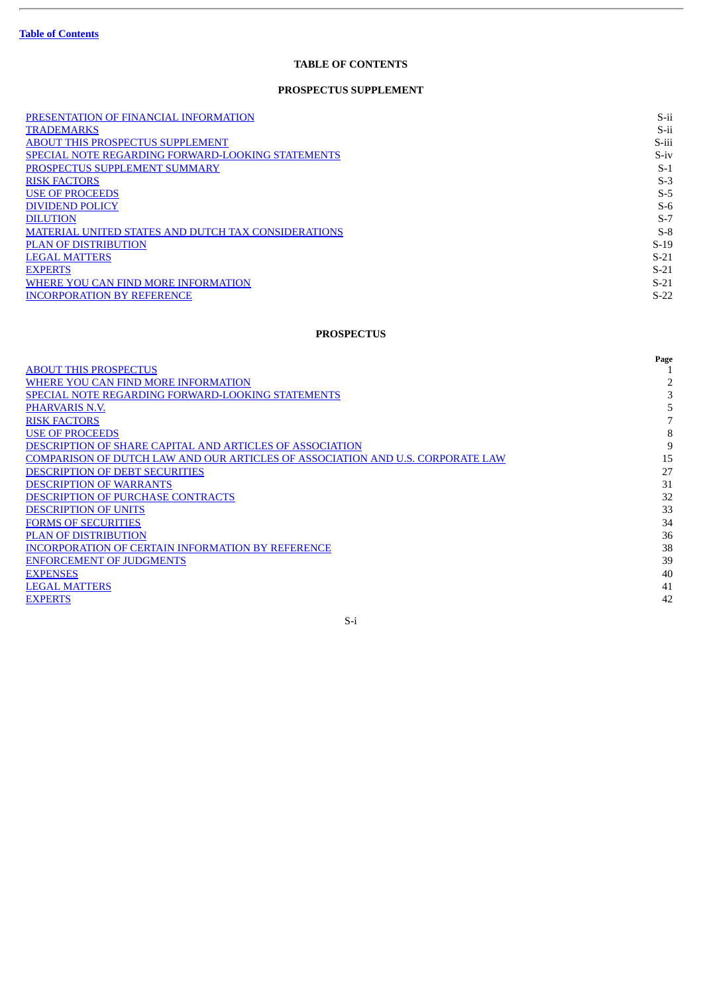ł.

# **TABLE OF CONTENTS**

# **PROSPECTUS SUPPLEMENT**

<span id="page-1-0"></span>

| PRESENTATION OF FINANCIAL INFORMATION                      | S-ii   |
|------------------------------------------------------------|--------|
| <b>TRADEMARKS</b>                                          | S-ii   |
| <b>ABOUT THIS PROSPECTUS SUPPLEMENT</b>                    | S-iii  |
| <b>SPECIAL NOTE REGARDING FORWARD-LOOKING STATEMENTS</b>   | $S-iv$ |
| PROSPECTUS SUPPLEMENT SUMMARY                              | $S-1$  |
| <b>RISK FACTORS</b>                                        | $S-3$  |
| <b>USE OF PROCEEDS</b>                                     | $S-5$  |
| <b>DIVIDEND POLICY</b>                                     | $S-6$  |
| <b>DILUTION</b>                                            | $S-7$  |
| <b>MATERIAL UNITED STATES AND DUTCH TAX CONSIDERATIONS</b> | $S-8$  |
| <b>PLAN OF DISTRIBUTION</b>                                | $S-19$ |
| <b>LEGAL MATTERS</b>                                       | $S-21$ |
| <b>EXPERTS</b>                                             | $S-21$ |
| WHERE YOU CAN FIND MORE INFORMATION                        | $S-21$ |
| <b>INCORPORATION BY REFERENCE</b>                          | $S-22$ |

# **PROSPECTUS**

| Page |
|------|
|      |
|      |
|      |
|      |
|      |
| 8    |
| 9    |
| 15   |
| 27   |
| 31   |
| 32   |
| 33   |
| 34   |
| 36   |
| 38   |
| 39   |
| 40   |
| 41   |
| 42   |
|      |

S-i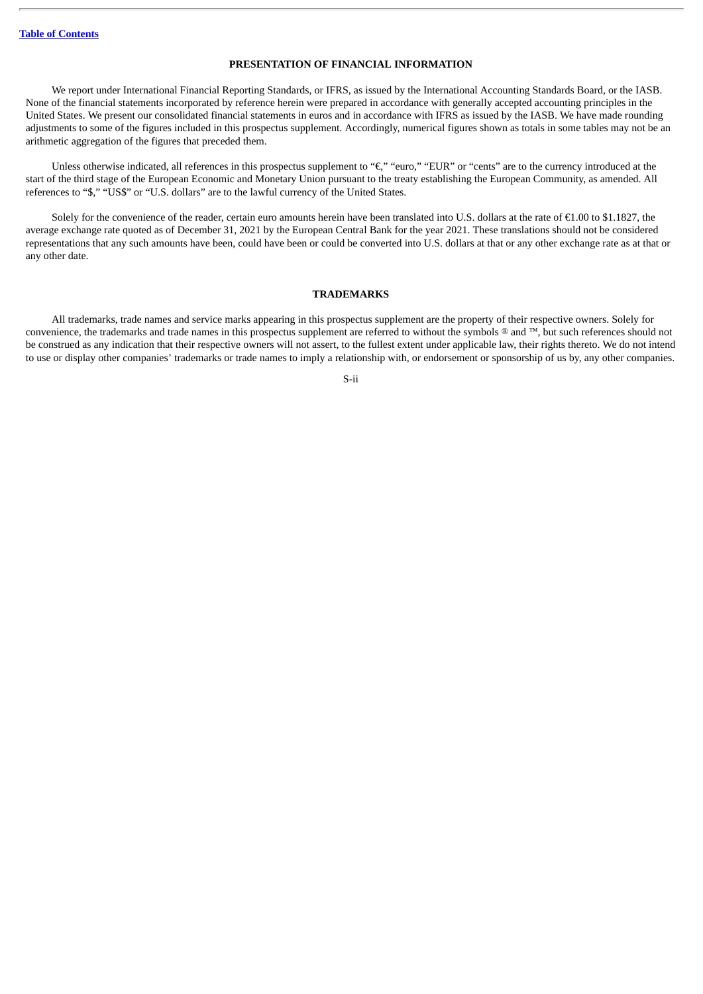#### **PRESENTATION OF FINANCIAL INFORMATION**

<span id="page-2-0"></span>We report under International Financial Reporting Standards, or IFRS, as issued by the International Accounting Standards Board, or the IASB. None of the financial statements incorporated by reference herein were prepared in accordance with generally accepted accounting principles in the United States. We present our consolidated financial statements in euros and in accordance with IFRS as issued by the IASB. We have made rounding adjustments to some of the figures included in this prospectus supplement. Accordingly, numerical figures shown as totals in some tables may not be an arithmetic aggregation of the figures that preceded them.

Unless otherwise indicated, all references in this prospectus supplement to "€," "euro," "EUR" or "cents" are to the currency introduced at the start of the third stage of the European Economic and Monetary Union pursuant to the treaty establishing the European Community, as amended. All references to "\$," "US\$" or "U.S. dollars" are to the lawful currency of the United States.

Solely for the convenience of the reader, certain euro amounts herein have been translated into U.S. dollars at the rate of  $\epsilon$ 1.00 to \$1.1827, the average exchange rate quoted as of December 31, 2021 by the European Central Bank for the year 2021. These translations should not be considered representations that any such amounts have been, could have been or could be converted into U.S. dollars at that or any other exchange rate as at that or any other date.

#### **TRADEMARKS**

<span id="page-2-1"></span>All trademarks, trade names and service marks appearing in this prospectus supplement are the property of their respective owners. Solely for convenience, the trademarks and trade names in this prospectus supplement are referred to without the symbols ® and ™, but such references should not be construed as any indication that their respective owners will not assert, to the fullest extent under applicable law, their rights thereto. We do not intend to use or display other companies' trademarks or trade names to imply a relationship with, or endorsement or sponsorship of us by, any other companies.

#### S-ii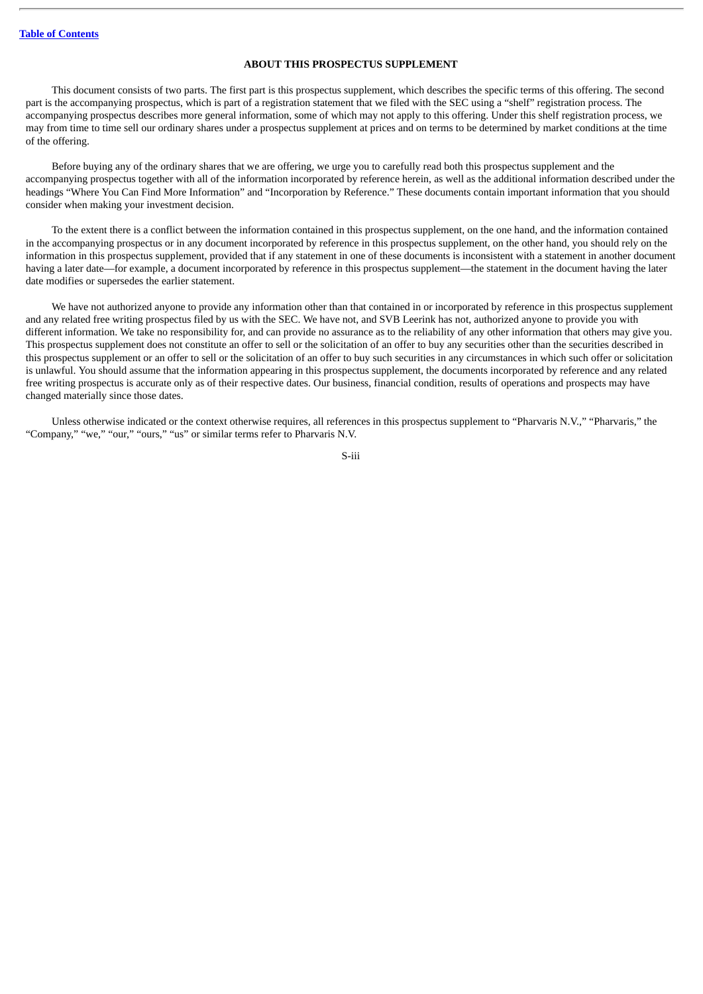#### **ABOUT THIS PROSPECTUS SUPPLEMENT**

<span id="page-3-0"></span>This document consists of two parts. The first part is this prospectus supplement, which describes the specific terms of this offering. The second part is the accompanying prospectus, which is part of a registration statement that we filed with the SEC using a "shelf" registration process. The accompanying prospectus describes more general information, some of which may not apply to this offering. Under this shelf registration process, we may from time to time sell our ordinary shares under a prospectus supplement at prices and on terms to be determined by market conditions at the time of the offering.

Before buying any of the ordinary shares that we are offering, we urge you to carefully read both this prospectus supplement and the accompanying prospectus together with all of the information incorporated by reference herein, as well as the additional information described under the headings "Where You Can Find More Information" and "Incorporation by Reference." These documents contain important information that you should consider when making your investment decision.

To the extent there is a conflict between the information contained in this prospectus supplement, on the one hand, and the information contained in the accompanying prospectus or in any document incorporated by reference in this prospectus supplement, on the other hand, you should rely on the information in this prospectus supplement, provided that if any statement in one of these documents is inconsistent with a statement in another document having a later date—for example, a document incorporated by reference in this prospectus supplement—the statement in the document having the later date modifies or supersedes the earlier statement.

We have not authorized anyone to provide any information other than that contained in or incorporated by reference in this prospectus supplement and any related free writing prospectus filed by us with the SEC. We have not, and SVB Leerink has not, authorized anyone to provide you with different information. We take no responsibility for, and can provide no assurance as to the reliability of any other information that others may give you. This prospectus supplement does not constitute an offer to sell or the solicitation of an offer to buy any securities other than the securities described in this prospectus supplement or an offer to sell or the solicitation of an offer to buy such securities in any circumstances in which such offer or solicitation is unlawful. You should assume that the information appearing in this prospectus supplement, the documents incorporated by reference and any related free writing prospectus is accurate only as of their respective dates. Our business, financial condition, results of operations and prospects may have changed materially since those dates.

Unless otherwise indicated or the context otherwise requires, all references in this prospectus supplement to "Pharvaris N.V.," "Pharvaris," the "Company," "we," "our," "ours," "us" or similar terms refer to Pharvaris N.V.

S-iii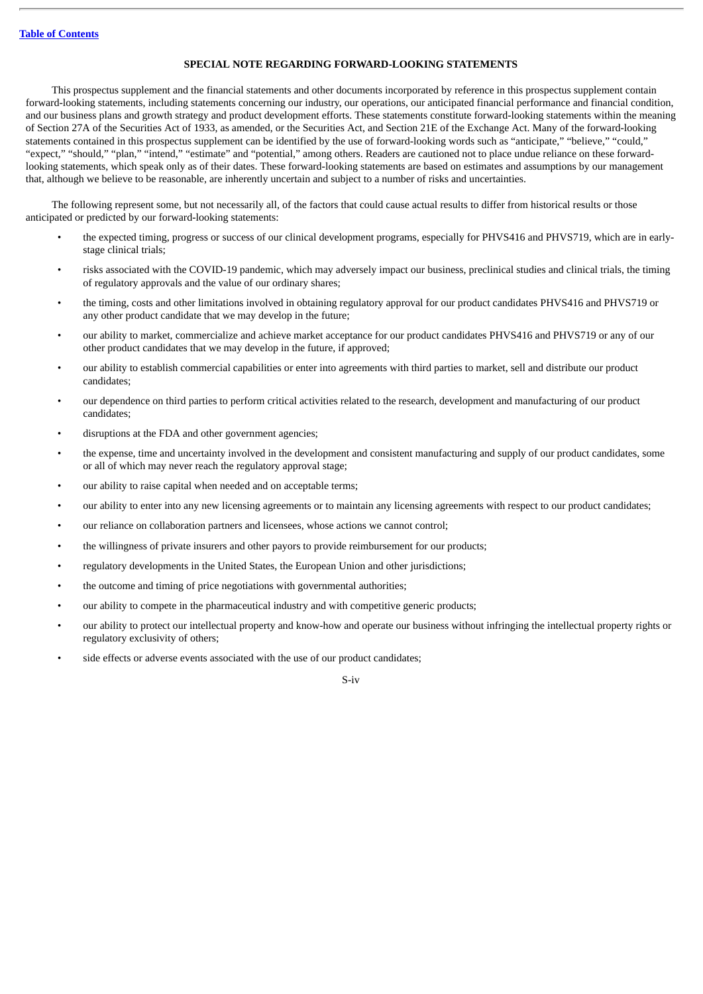#### **SPECIAL NOTE REGARDING FORWARD-LOOKING STATEMENTS**

<span id="page-4-0"></span>This prospectus supplement and the financial statements and other documents incorporated by reference in this prospectus supplement contain forward-looking statements, including statements concerning our industry, our operations, our anticipated financial performance and financial condition, and our business plans and growth strategy and product development efforts. These statements constitute forward-looking statements within the meaning of Section 27A of the Securities Act of 1933, as amended, or the Securities Act, and Section 21E of the Exchange Act. Many of the forward-looking statements contained in this prospectus supplement can be identified by the use of forward-looking words such as "anticipate," "believe," "could," "expect," "should," "plan," "intend," "estimate" and "potential," among others. Readers are cautioned not to place undue reliance on these forwardlooking statements, which speak only as of their dates. These forward-looking statements are based on estimates and assumptions by our management that, although we believe to be reasonable, are inherently uncertain and subject to a number of risks and uncertainties.

The following represent some, but not necessarily all, of the factors that could cause actual results to differ from historical results or those anticipated or predicted by our forward-looking statements:

- the expected timing, progress or success of our clinical development programs, especially for PHVS416 and PHVS719, which are in earlystage clinical trials;
- risks associated with the COVID-19 pandemic, which may adversely impact our business, preclinical studies and clinical trials, the timing of regulatory approvals and the value of our ordinary shares;
- the timing, costs and other limitations involved in obtaining regulatory approval for our product candidates PHVS416 and PHVS719 or any other product candidate that we may develop in the future;
- our ability to market, commercialize and achieve market acceptance for our product candidates PHVS416 and PHVS719 or any of our other product candidates that we may develop in the future, if approved;
- our ability to establish commercial capabilities or enter into agreements with third parties to market, sell and distribute our product candidates;
- our dependence on third parties to perform critical activities related to the research, development and manufacturing of our product candidates;
- disruptions at the FDA and other government agencies;
- the expense, time and uncertainty involved in the development and consistent manufacturing and supply of our product candidates, some or all of which may never reach the regulatory approval stage;
- our ability to raise capital when needed and on acceptable terms;
- our ability to enter into any new licensing agreements or to maintain any licensing agreements with respect to our product candidates;
- our reliance on collaboration partners and licensees, whose actions we cannot control;
- the willingness of private insurers and other payors to provide reimbursement for our products;
- regulatory developments in the United States, the European Union and other jurisdictions;
- the outcome and timing of price negotiations with governmental authorities;
- our ability to compete in the pharmaceutical industry and with competitive generic products;
- our ability to protect our intellectual property and know-how and operate our business without infringing the intellectual property rights or regulatory exclusivity of others;
- side effects or adverse events associated with the use of our product candidates;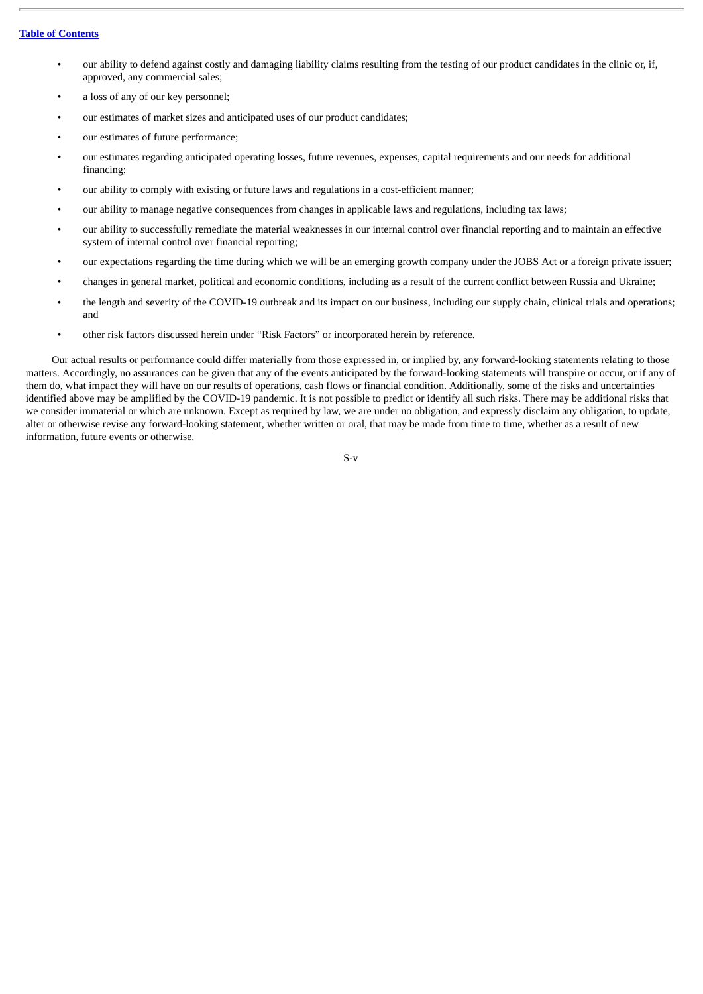#### **Table of [Contents](#page-1-0)**

- our ability to defend against costly and damaging liability claims resulting from the testing of our product candidates in the clinic or, if, approved, any commercial sales;
- a loss of any of our key personnel;
- our estimates of market sizes and anticipated uses of our product candidates;
- our estimates of future performance;
- our estimates regarding anticipated operating losses, future revenues, expenses, capital requirements and our needs for additional financing;
- our ability to comply with existing or future laws and regulations in a cost-efficient manner;
- our ability to manage negative consequences from changes in applicable laws and regulations, including tax laws;
- our ability to successfully remediate the material weaknesses in our internal control over financial reporting and to maintain an effective system of internal control over financial reporting;
- our expectations regarding the time during which we will be an emerging growth company under the JOBS Act or a foreign private issuer;
- changes in general market, political and economic conditions, including as a result of the current conflict between Russia and Ukraine;
- the length and severity of the COVID-19 outbreak and its impact on our business, including our supply chain, clinical trials and operations; and
- other risk factors discussed herein under "Risk Factors" or incorporated herein by reference.

Our actual results or performance could differ materially from those expressed in, or implied by, any forward-looking statements relating to those matters. Accordingly, no assurances can be given that any of the events anticipated by the forward-looking statements will transpire or occur, or if any of them do, what impact they will have on our results of operations, cash flows or financial condition. Additionally, some of the risks and uncertainties identified above may be amplified by the COVID-19 pandemic. It is not possible to predict or identify all such risks. There may be additional risks that we consider immaterial or which are unknown. Except as required by law, we are under no obligation, and expressly disclaim any obligation, to update, alter or otherwise revise any forward-looking statement, whether written or oral, that may be made from time to time, whether as a result of new information, future events or otherwise.

S-v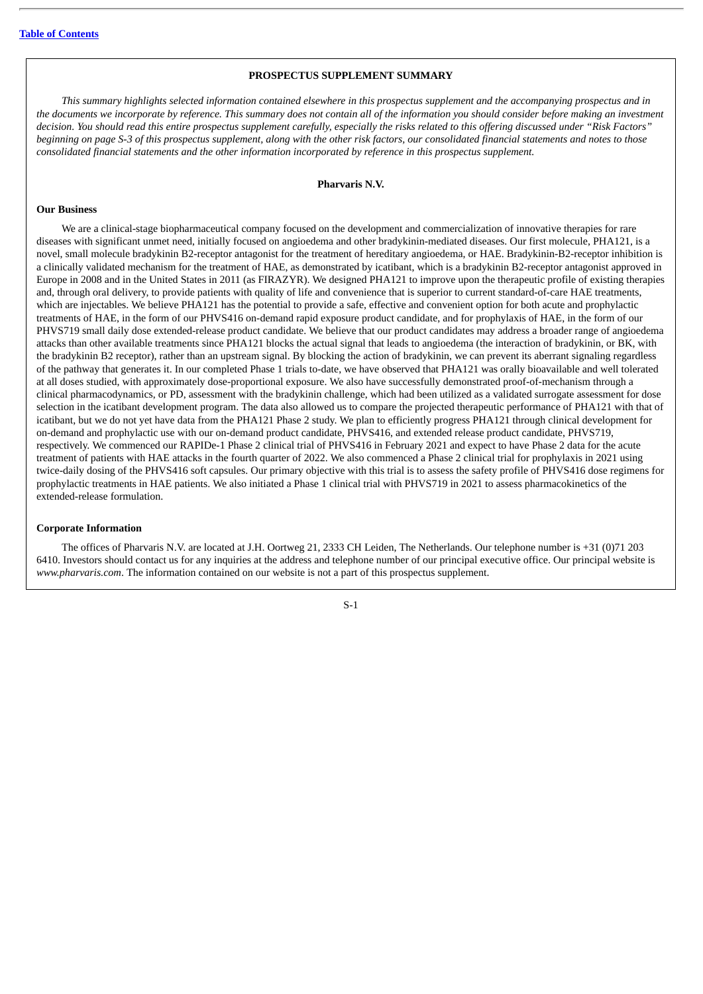#### **PROSPECTUS SUPPLEMENT SUMMARY**

<span id="page-6-0"></span>This summary highlights selected information contained elsewhere in this prospectus supplement and the accompanying prospectus and in the documents we incorporate by reference. This summary does not contain all of the information you should consider before making an investment decision. You should read this entire prospectus supplement carefully, especially the risks related to this offering discussed under "Risk Factors" beginning on page S-3 of this prospectus supplement, glong with the other risk factors, our consolidated financial statements and notes to those *consolidated financial statements and the other information incorporated by reference in this prospectus supplement.*

#### **Pharvaris N.V.**

#### **Our Business**

We are a clinical-stage biopharmaceutical company focused on the development and commercialization of innovative therapies for rare diseases with significant unmet need, initially focused on angioedema and other bradykinin-mediated diseases. Our first molecule, PHA121, is a novel, small molecule bradykinin B2-receptor antagonist for the treatment of hereditary angioedema, or HAE. Bradykinin-B2-receptor inhibition is a clinically validated mechanism for the treatment of HAE, as demonstrated by icatibant, which is a bradykinin B2-receptor antagonist approved in Europe in 2008 and in the United States in 2011 (as FIRAZYR). We designed PHA121 to improve upon the therapeutic profile of existing therapies and, through oral delivery, to provide patients with quality of life and convenience that is superior to current standard-of-care HAE treatments, which are injectables. We believe PHA121 has the potential to provide a safe, effective and convenient option for both acute and prophylactic treatments of HAE, in the form of our PHVS416 on-demand rapid exposure product candidate, and for prophylaxis of HAE, in the form of our PHVS719 small daily dose extended-release product candidate. We believe that our product candidates may address a broader range of angioedema attacks than other available treatments since PHA121 blocks the actual signal that leads to angioedema (the interaction of bradykinin, or BK, with the bradykinin B2 receptor), rather than an upstream signal. By blocking the action of bradykinin, we can prevent its aberrant signaling regardless of the pathway that generates it. In our completed Phase 1 trials to-date, we have observed that PHA121 was orally bioavailable and well tolerated at all doses studied, with approximately dose-proportional exposure. We also have successfully demonstrated proof-of-mechanism through a clinical pharmacodynamics, or PD, assessment with the bradykinin challenge, which had been utilized as a validated surrogate assessment for dose selection in the icatibant development program. The data also allowed us to compare the projected therapeutic performance of PHA121 with that of icatibant, but we do not yet have data from the PHA121 Phase 2 study. We plan to efficiently progress PHA121 through clinical development for on-demand and prophylactic use with our on-demand product candidate, PHVS416, and extended release product candidate, PHVS719, respectively. We commenced our RAPIDe-1 Phase 2 clinical trial of PHVS416 in February 2021 and expect to have Phase 2 data for the acute treatment of patients with HAE attacks in the fourth quarter of 2022. We also commenced a Phase 2 clinical trial for prophylaxis in 2021 using twice-daily dosing of the PHVS416 soft capsules. Our primary objective with this trial is to assess the safety profile of PHVS416 dose regimens for prophylactic treatments in HAE patients. We also initiated a Phase 1 clinical trial with PHVS719 in 2021 to assess pharmacokinetics of the extended-release formulation.

#### **Corporate Information**

The offices of Pharvaris N.V. are located at J.H. Oortweg 21, 2333 CH Leiden, The Netherlands. Our telephone number is +31 (0)71 203 6410. Investors should contact us for any inquiries at the address and telephone number of our principal executive office. Our principal website is *www.pharvaris.com*. The information contained on our website is not a part of this prospectus supplement.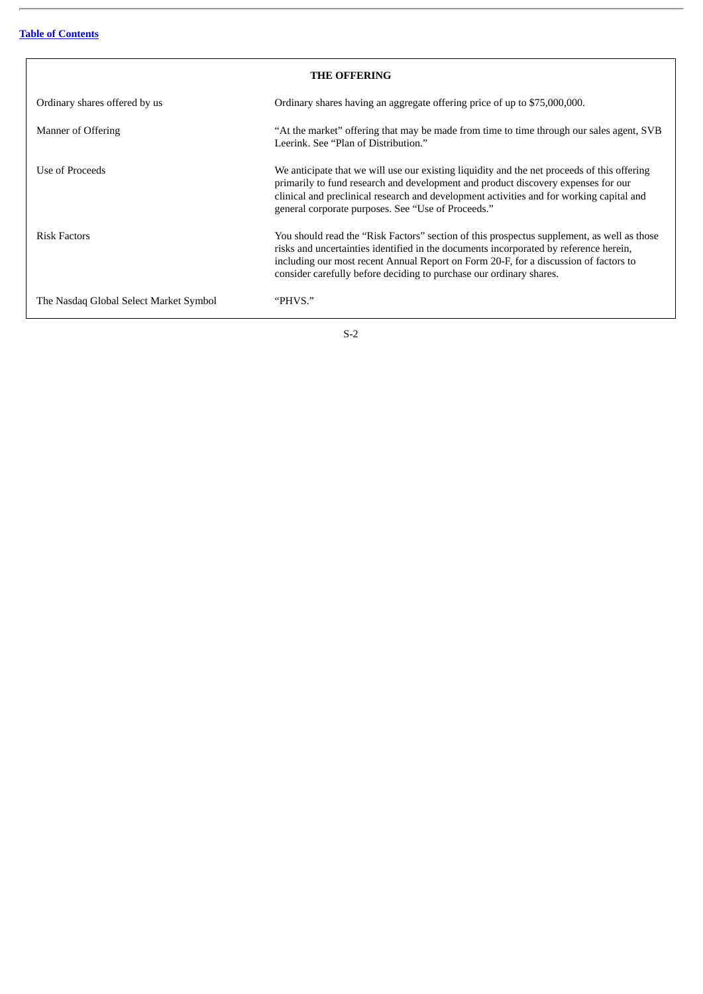| <b>THE OFFERING</b>                    |                                                                                                                                                                                                                                                                                                                                                    |  |
|----------------------------------------|----------------------------------------------------------------------------------------------------------------------------------------------------------------------------------------------------------------------------------------------------------------------------------------------------------------------------------------------------|--|
| Ordinary shares offered by us          | Ordinary shares having an aggregate offering price of up to \$75,000,000.                                                                                                                                                                                                                                                                          |  |
| Manner of Offering                     | "At the market" offering that may be made from time to time through our sales agent, SVB<br>Leerink, See "Plan of Distribution."                                                                                                                                                                                                                   |  |
| Use of Proceeds                        | We anticipate that we will use our existing liquidity and the net proceeds of this offering<br>primarily to fund research and development and product discovery expenses for our<br>clinical and preclinical research and development activities and for working capital and<br>general corporate purposes. See "Use of Proceeds."                 |  |
| <b>Risk Factors</b>                    | You should read the "Risk Factors" section of this prospectus supplement, as well as those<br>risks and uncertainties identified in the documents incorporated by reference herein,<br>including our most recent Annual Report on Form 20-F, for a discussion of factors to<br>consider carefully before deciding to purchase our ordinary shares. |  |
| The Nasdaq Global Select Market Symbol | "PHVS."                                                                                                                                                                                                                                                                                                                                            |  |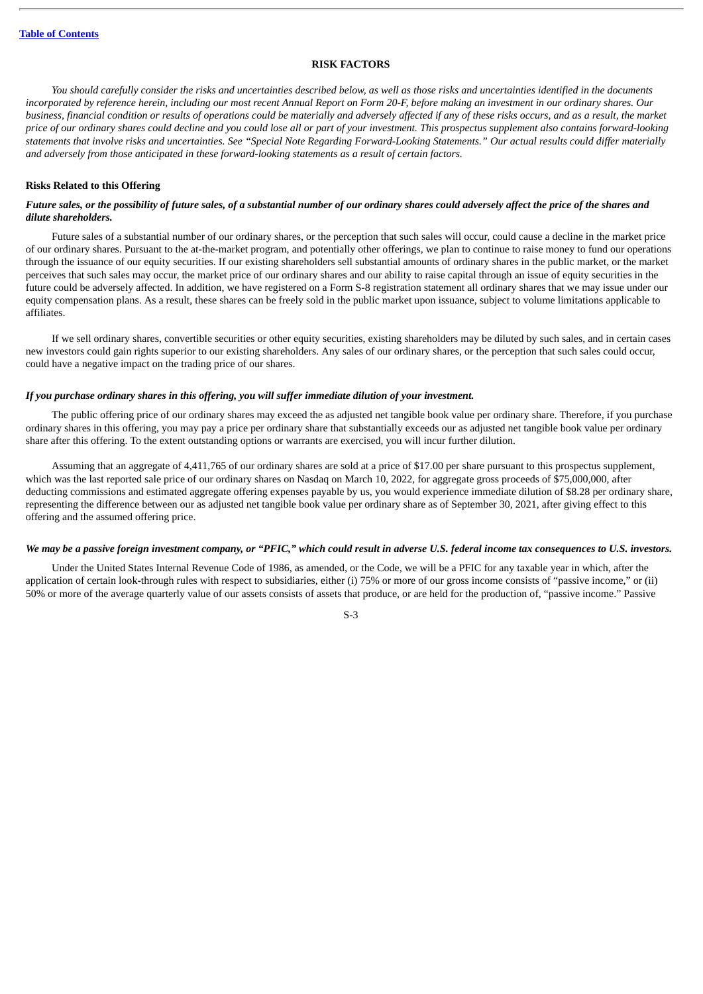#### **RISK FACTORS**

<span id="page-8-0"></span>You should carefully consider the risks and uncertainties described below, as well as those risks and uncertainties identified in the documents incorporated by reference herein, including our most recent Annual Report on Form 20-F, before making an investment in our ordinary shares. Our business, financial condition or results of operations could be materially and adversely affected if any of these risks occurs, and as a result, the market price of our ordinary shares could decline and you could lose all or part of your investment. This prospectus supplement also contains forward-looking statements that involve risks and uncertainties. See "Special Note Regarding Forward-Looking Statements." Our actual results could differ materially *and adversely from those anticipated in these forward-looking statements as a result of certain factors.*

#### **Risks Related to this Offering**

#### Future sales, or the possibility of future sales, of a substantial number of our ordinary shares could adversely affect the price of the shares and *dilute shareholders.*

Future sales of a substantial number of our ordinary shares, or the perception that such sales will occur, could cause a decline in the market price of our ordinary shares. Pursuant to the at-the-market program, and potentially other offerings, we plan to continue to raise money to fund our operations through the issuance of our equity securities. If our existing shareholders sell substantial amounts of ordinary shares in the public market, or the market perceives that such sales may occur, the market price of our ordinary shares and our ability to raise capital through an issue of equity securities in the future could be adversely affected. In addition, we have registered on a Form S-8 registration statement all ordinary shares that we may issue under our equity compensation plans. As a result, these shares can be freely sold in the public market upon issuance, subject to volume limitations applicable to affiliates.

If we sell ordinary shares, convertible securities or other equity securities, existing shareholders may be diluted by such sales, and in certain cases new investors could gain rights superior to our existing shareholders. Any sales of our ordinary shares, or the perception that such sales could occur, could have a negative impact on the trading price of our shares.

#### *If you purchase ordinary shares in this offering, you will suffer immediate dilution of your investment.*

The public offering price of our ordinary shares may exceed the as adjusted net tangible book value per ordinary share. Therefore, if you purchase ordinary shares in this offering, you may pay a price per ordinary share that substantially exceeds our as adjusted net tangible book value per ordinary share after this offering. To the extent outstanding options or warrants are exercised, you will incur further dilution.

Assuming that an aggregate of 4,411,765 of our ordinary shares are sold at a price of \$17.00 per share pursuant to this prospectus supplement, which was the last reported sale price of our ordinary shares on Nasdaq on March 10, 2022, for aggregate gross proceeds of \$75,000,000, after deducting commissions and estimated aggregate offering expenses payable by us, you would experience immediate dilution of \$8.28 per ordinary share, representing the difference between our as adjusted net tangible book value per ordinary share as of September 30, 2021, after giving effect to this offering and the assumed offering price.

#### We may be a passive foreign investment company, or "PFIC," which could result in adverse U.S. federal income tax consequences to U.S. investors.

Under the United States Internal Revenue Code of 1986, as amended, or the Code, we will be a PFIC for any taxable year in which, after the application of certain look-through rules with respect to subsidiaries, either (i) 75% or more of our gross income consists of "passive income," or (ii) 50% or more of the average quarterly value of our assets consists of assets that produce, or are held for the production of, "passive income." Passive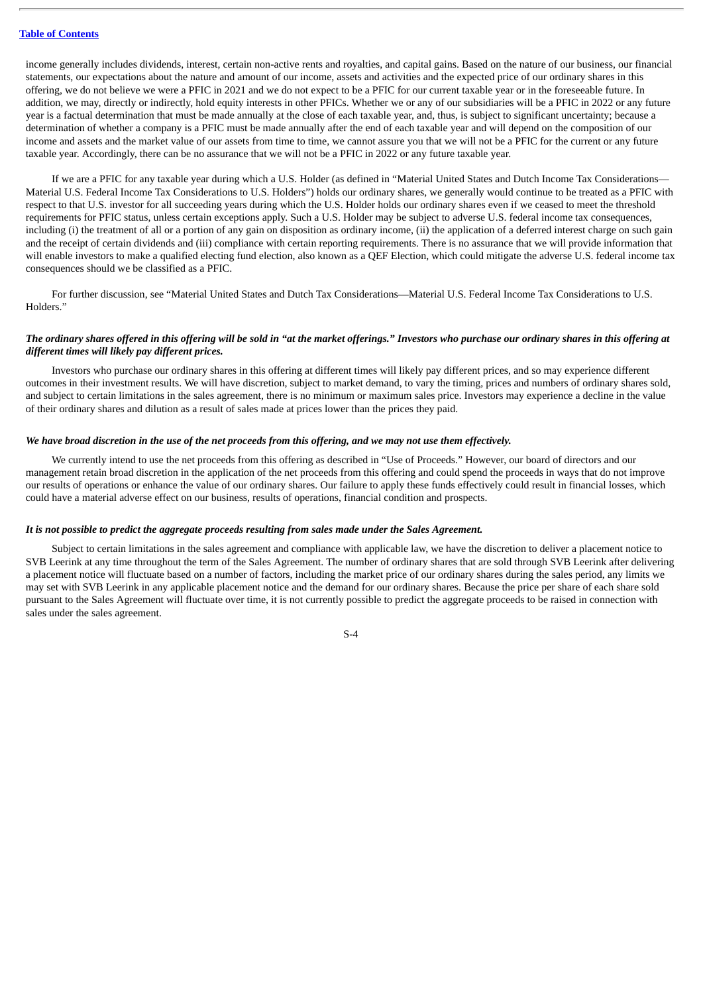income generally includes dividends, interest, certain non-active rents and royalties, and capital gains. Based on the nature of our business, our financial statements, our expectations about the nature and amount of our income, assets and activities and the expected price of our ordinary shares in this offering, we do not believe we were a PFIC in 2021 and we do not expect to be a PFIC for our current taxable year or in the foreseeable future. In addition, we may, directly or indirectly, hold equity interests in other PFICs. Whether we or any of our subsidiaries will be a PFIC in 2022 or any future year is a factual determination that must be made annually at the close of each taxable year, and, thus, is subject to significant uncertainty; because a determination of whether a company is a PFIC must be made annually after the end of each taxable year and will depend on the composition of our income and assets and the market value of our assets from time to time, we cannot assure you that we will not be a PFIC for the current or any future taxable year. Accordingly, there can be no assurance that we will not be a PFIC in 2022 or any future taxable year.

If we are a PFIC for any taxable year during which a U.S. Holder (as defined in "Material United States and Dutch Income Tax Considerations— Material U.S. Federal Income Tax Considerations to U.S. Holders") holds our ordinary shares, we generally would continue to be treated as a PFIC with respect to that U.S. investor for all succeeding years during which the U.S. Holder holds our ordinary shares even if we ceased to meet the threshold requirements for PFIC status, unless certain exceptions apply. Such a U.S. Holder may be subject to adverse U.S. federal income tax consequences, including (i) the treatment of all or a portion of any gain on disposition as ordinary income, (ii) the application of a deferred interest charge on such gain and the receipt of certain dividends and (iii) compliance with certain reporting requirements. There is no assurance that we will provide information that will enable investors to make a qualified electing fund election, also known as a QEF Election, which could mitigate the adverse U.S. federal income tax consequences should we be classified as a PFIC.

For further discussion, see "Material United States and Dutch Tax Considerations—Material U.S. Federal Income Tax Considerations to U.S. Holders."

#### The ordinary shares offered in this offering will be sold in "at the market offerings." Investors who purchase our ordinary shares in this offering at *different times will likely pay different prices.*

Investors who purchase our ordinary shares in this offering at different times will likely pay different prices, and so may experience different outcomes in their investment results. We will have discretion, subject to market demand, to vary the timing, prices and numbers of ordinary shares sold, and subject to certain limitations in the sales agreement, there is no minimum or maximum sales price. Investors may experience a decline in the value of their ordinary shares and dilution as a result of sales made at prices lower than the prices they paid.

#### We have broad discretion in the use of the net proceeds from this offering, and we may not use them effectively.

We currently intend to use the net proceeds from this offering as described in "Use of Proceeds." However, our board of directors and our management retain broad discretion in the application of the net proceeds from this offering and could spend the proceeds in ways that do not improve our results of operations or enhance the value of our ordinary shares. Our failure to apply these funds effectively could result in financial losses, which could have a material adverse effect on our business, results of operations, financial condition and prospects.

#### *It is not possible to predict the aggregate proceeds resulting from sales made under the Sales Agreement.*

Subject to certain limitations in the sales agreement and compliance with applicable law, we have the discretion to deliver a placement notice to SVB Leerink at any time throughout the term of the Sales Agreement. The number of ordinary shares that are sold through SVB Leerink after delivering a placement notice will fluctuate based on a number of factors, including the market price of our ordinary shares during the sales period, any limits we may set with SVB Leerink in any applicable placement notice and the demand for our ordinary shares. Because the price per share of each share sold pursuant to the Sales Agreement will fluctuate over time, it is not currently possible to predict the aggregate proceeds to be raised in connection with sales under the sales agreement.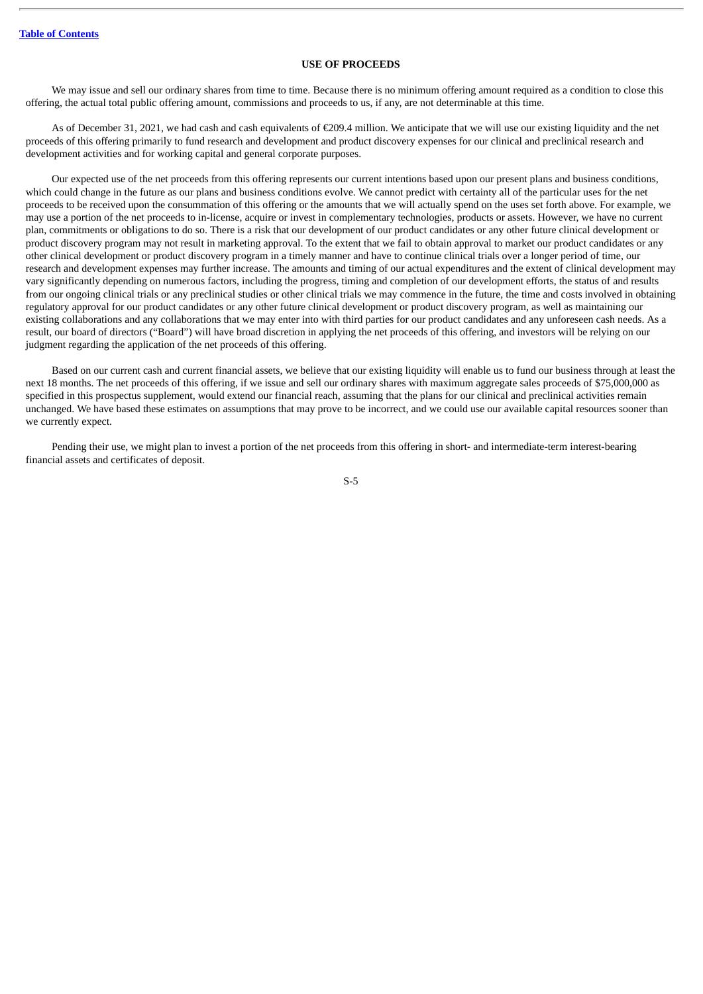#### **USE OF PROCEEDS**

<span id="page-10-0"></span>We may issue and sell our ordinary shares from time to time. Because there is no minimum offering amount required as a condition to close this offering, the actual total public offering amount, commissions and proceeds to us, if any, are not determinable at this time.

As of December 31, 2021, we had cash and cash equivalents of €209.4 million. We anticipate that we will use our existing liquidity and the net proceeds of this offering primarily to fund research and development and product discovery expenses for our clinical and preclinical research and development activities and for working capital and general corporate purposes.

Our expected use of the net proceeds from this offering represents our current intentions based upon our present plans and business conditions, which could change in the future as our plans and business conditions evolve. We cannot predict with certainty all of the particular uses for the net proceeds to be received upon the consummation of this offering or the amounts that we will actually spend on the uses set forth above. For example, we may use a portion of the net proceeds to in-license, acquire or invest in complementary technologies, products or assets. However, we have no current plan, commitments or obligations to do so. There is a risk that our development of our product candidates or any other future clinical development or product discovery program may not result in marketing approval. To the extent that we fail to obtain approval to market our product candidates or any other clinical development or product discovery program in a timely manner and have to continue clinical trials over a longer period of time, our research and development expenses may further increase. The amounts and timing of our actual expenditures and the extent of clinical development may vary significantly depending on numerous factors, including the progress, timing and completion of our development efforts, the status of and results from our ongoing clinical trials or any preclinical studies or other clinical trials we may commence in the future, the time and costs involved in obtaining regulatory approval for our product candidates or any other future clinical development or product discovery program, as well as maintaining our existing collaborations and any collaborations that we may enter into with third parties for our product candidates and any unforeseen cash needs. As a result, our board of directors ("Board") will have broad discretion in applying the net proceeds of this offering, and investors will be relying on our judgment regarding the application of the net proceeds of this offering.

Based on our current cash and current financial assets, we believe that our existing liquidity will enable us to fund our business through at least the next 18 months. The net proceeds of this offering, if we issue and sell our ordinary shares with maximum aggregate sales proceeds of \$75,000,000 as specified in this prospectus supplement, would extend our financial reach, assuming that the plans for our clinical and preclinical activities remain unchanged. We have based these estimates on assumptions that may prove to be incorrect, and we could use our available capital resources sooner than we currently expect.

Pending their use, we might plan to invest a portion of the net proceeds from this offering in short- and intermediate-term interest-bearing financial assets and certificates of deposit.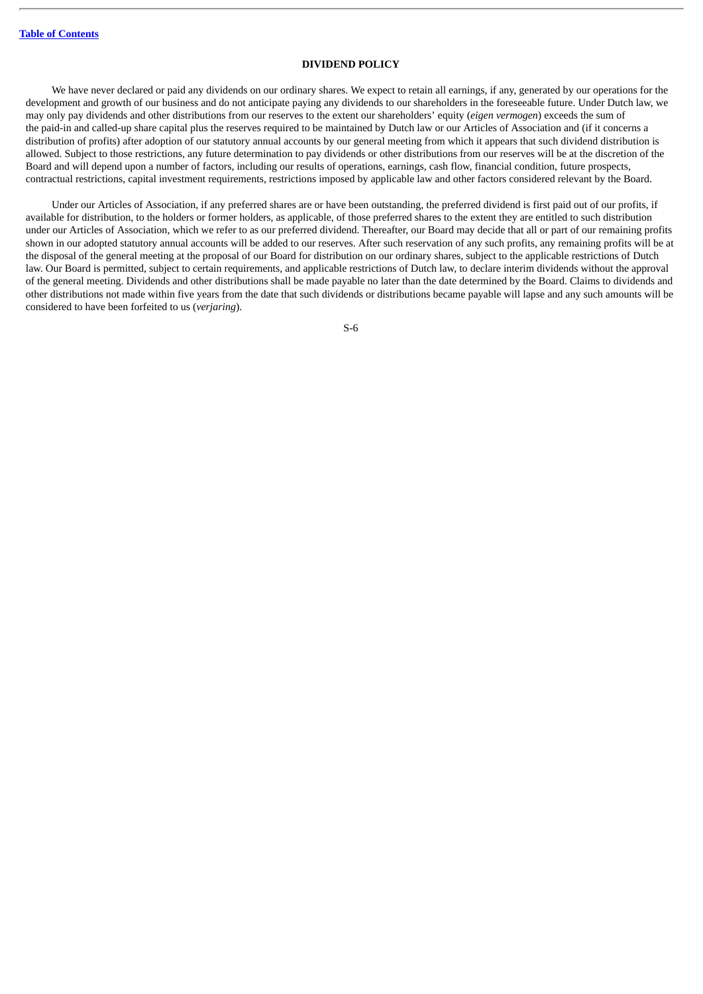#### **DIVIDEND POLICY**

<span id="page-11-0"></span>We have never declared or paid any dividends on our ordinary shares. We expect to retain all earnings, if any, generated by our operations for the development and growth of our business and do not anticipate paying any dividends to our shareholders in the foreseeable future. Under Dutch law, we may only pay dividends and other distributions from our reserves to the extent our shareholders' equity (*eigen vermogen*) exceeds the sum of the paid-in and called-up share capital plus the reserves required to be maintained by Dutch law or our Articles of Association and (if it concerns a distribution of profits) after adoption of our statutory annual accounts by our general meeting from which it appears that such dividend distribution is allowed. Subject to those restrictions, any future determination to pay dividends or other distributions from our reserves will be at the discretion of the Board and will depend upon a number of factors, including our results of operations, earnings, cash flow, financial condition, future prospects, contractual restrictions, capital investment requirements, restrictions imposed by applicable law and other factors considered relevant by the Board.

Under our Articles of Association, if any preferred shares are or have been outstanding, the preferred dividend is first paid out of our profits, if available for distribution, to the holders or former holders, as applicable, of those preferred shares to the extent they are entitled to such distribution under our Articles of Association, which we refer to as our preferred dividend. Thereafter, our Board may decide that all or part of our remaining profits shown in our adopted statutory annual accounts will be added to our reserves. After such reservation of any such profits, any remaining profits will be at the disposal of the general meeting at the proposal of our Board for distribution on our ordinary shares, subject to the applicable restrictions of Dutch law. Our Board is permitted, subject to certain requirements, and applicable restrictions of Dutch law, to declare interim dividends without the approval of the general meeting. Dividends and other distributions shall be made payable no later than the date determined by the Board. Claims to dividends and other distributions not made within five years from the date that such dividends or distributions became payable will lapse and any such amounts will be considered to have been forfeited to us (*verjaring*).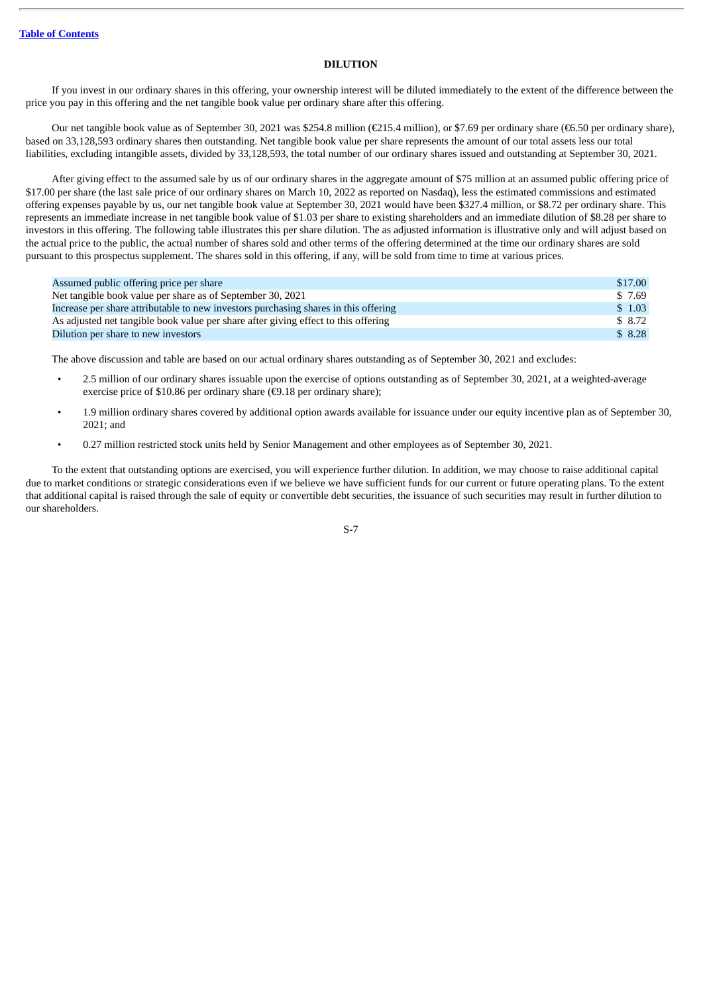#### **DILUTION**

<span id="page-12-0"></span>If you invest in our ordinary shares in this offering, your ownership interest will be diluted immediately to the extent of the difference between the price you pay in this offering and the net tangible book value per ordinary share after this offering.

Our net tangible book value as of September 30, 2021 was \$254.8 million (€215.4 million), or \$7.69 per ordinary share (€6.50 per ordinary share), based on 33,128,593 ordinary shares then outstanding. Net tangible book value per share represents the amount of our total assets less our total liabilities, excluding intangible assets, divided by 33,128,593, the total number of our ordinary shares issued and outstanding at September 30, 2021.

After giving effect to the assumed sale by us of our ordinary shares in the aggregate amount of \$75 million at an assumed public offering price of \$17.00 per share (the last sale price of our ordinary shares on March 10, 2022 as reported on Nasdaq), less the estimated commissions and estimated offering expenses payable by us, our net tangible book value at September 30, 2021 would have been \$327.4 million, or \$8.72 per ordinary share. This represents an immediate increase in net tangible book value of \$1.03 per share to existing shareholders and an immediate dilution of \$8.28 per share to investors in this offering. The following table illustrates this per share dilution. The as adjusted information is illustrative only and will adjust based on the actual price to the public, the actual number of shares sold and other terms of the offering determined at the time our ordinary shares are sold pursuant to this prospectus supplement. The shares sold in this offering, if any, will be sold from time to time at various prices.

| Assumed public offering price per share                                             | \$17.00 |
|-------------------------------------------------------------------------------------|---------|
| Net tangible book value per share as of September 30, 2021                          | \$ 7.69 |
| Increase per share attributable to new investors purchasing shares in this offering | \$1.03  |
| As adjusted net tangible book value per share after giving effect to this offering  | \$ 8.72 |
| Dilution per share to new investors                                                 | \$8.28  |

The above discussion and table are based on our actual ordinary shares outstanding as of September 30, 2021 and excludes:

- 2.5 million of our ordinary shares issuable upon the exercise of options outstanding as of September 30, 2021, at a weighted-average exercise price of \$10.86 per ordinary share ( $\epsilon$ 9.18 per ordinary share);
- 1.9 million ordinary shares covered by additional option awards available for issuance under our equity incentive plan as of September 30, 2021; and
- 0.27 million restricted stock units held by Senior Management and other employees as of September 30, 2021.

To the extent that outstanding options are exercised, you will experience further dilution. In addition, we may choose to raise additional capital due to market conditions or strategic considerations even if we believe we have sufficient funds for our current or future operating plans. To the extent that additional capital is raised through the sale of equity or convertible debt securities, the issuance of such securities may result in further dilution to our shareholders.

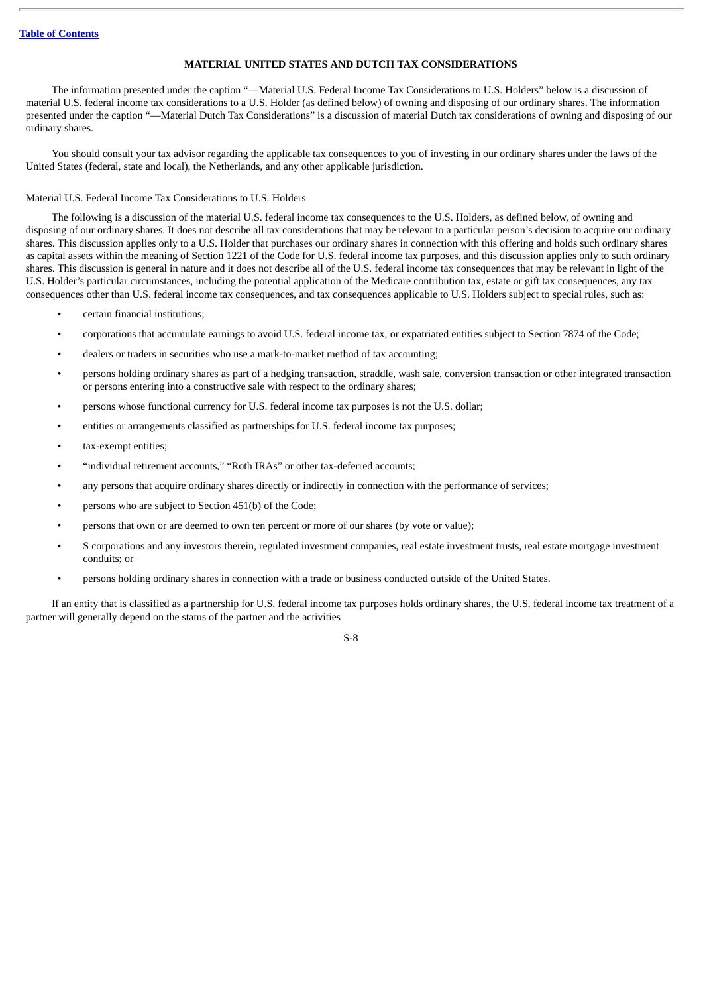#### **MATERIAL UNITED STATES AND DUTCH TAX CONSIDERATIONS**

<span id="page-13-0"></span>The information presented under the caption "—Material U.S. Federal Income Tax Considerations to U.S. Holders" below is a discussion of material U.S. federal income tax considerations to a U.S. Holder (as defined below) of owning and disposing of our ordinary shares. The information presented under the caption "—Material Dutch Tax Considerations" is a discussion of material Dutch tax considerations of owning and disposing of our ordinary shares.

You should consult your tax advisor regarding the applicable tax consequences to you of investing in our ordinary shares under the laws of the United States (federal, state and local), the Netherlands, and any other applicable jurisdiction.

#### Material U.S. Federal Income Tax Considerations to U.S. Holders

The following is a discussion of the material U.S. federal income tax consequences to the U.S. Holders, as defined below, of owning and disposing of our ordinary shares. It does not describe all tax considerations that may be relevant to a particular person's decision to acquire our ordinary shares. This discussion applies only to a U.S. Holder that purchases our ordinary shares in connection with this offering and holds such ordinary shares as capital assets within the meaning of Section 1221 of the Code for U.S. federal income tax purposes, and this discussion applies only to such ordinary shares. This discussion is general in nature and it does not describe all of the U.S. federal income tax consequences that may be relevant in light of the U.S. Holder's particular circumstances, including the potential application of the Medicare contribution tax, estate or gift tax consequences, any tax consequences other than U.S. federal income tax consequences, and tax consequences applicable to U.S. Holders subject to special rules, such as:

- certain financial institutions;
- corporations that accumulate earnings to avoid U.S. federal income tax, or expatriated entities subject to Section 7874 of the Code;
- dealers or traders in securities who use a mark-to-market method of tax accounting;
- persons holding ordinary shares as part of a hedging transaction, straddle, wash sale, conversion transaction or other integrated transaction or persons entering into a constructive sale with respect to the ordinary shares;
- persons whose functional currency for U.S. federal income tax purposes is not the U.S. dollar;
- entities or arrangements classified as partnerships for U.S. federal income tax purposes;
- tax-exempt entities;
- "individual retirement accounts," "Roth IRAs" or other tax-deferred accounts;
- any persons that acquire ordinary shares directly or indirectly in connection with the performance of services;
- persons who are subject to Section 451(b) of the Code;
- persons that own or are deemed to own ten percent or more of our shares (by vote or value);
- S corporations and any investors therein, regulated investment companies, real estate investment trusts, real estate mortgage investment conduits; or
- persons holding ordinary shares in connection with a trade or business conducted outside of the United States.

If an entity that is classified as a partnership for U.S. federal income tax purposes holds ordinary shares, the U.S. federal income tax treatment of a partner will generally depend on the status of the partner and the activities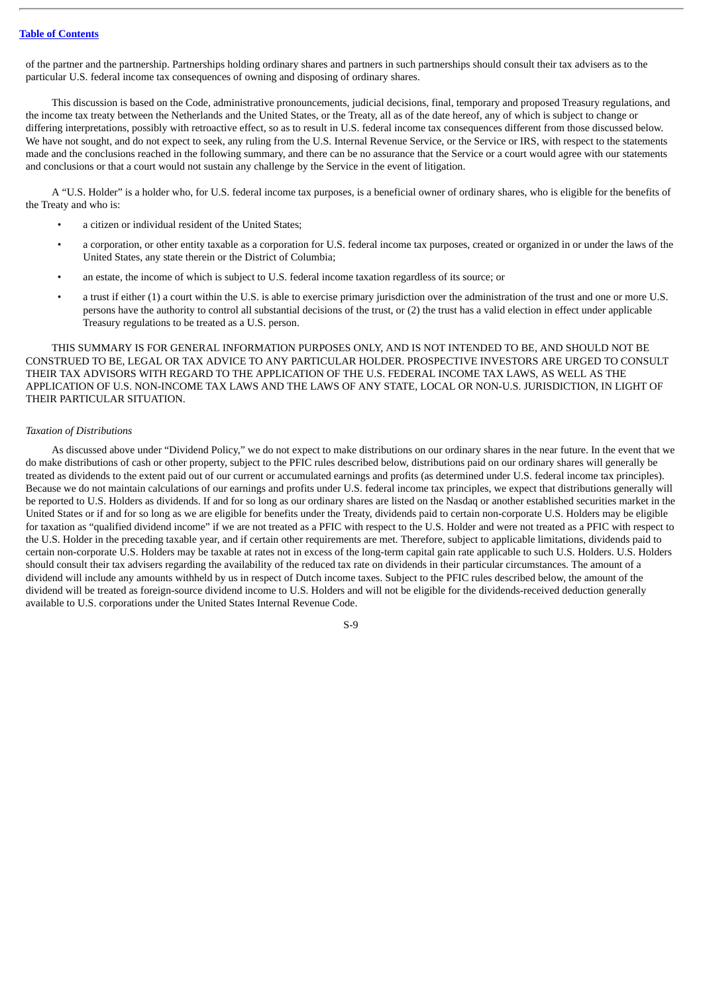of the partner and the partnership. Partnerships holding ordinary shares and partners in such partnerships should consult their tax advisers as to the particular U.S. federal income tax consequences of owning and disposing of ordinary shares.

This discussion is based on the Code, administrative pronouncements, judicial decisions, final, temporary and proposed Treasury regulations, and the income tax treaty between the Netherlands and the United States, or the Treaty, all as of the date hereof, any of which is subject to change or differing interpretations, possibly with retroactive effect, so as to result in U.S. federal income tax consequences different from those discussed below. We have not sought, and do not expect to seek, any ruling from the U.S. Internal Revenue Service, or the Service or IRS, with respect to the statements made and the conclusions reached in the following summary, and there can be no assurance that the Service or a court would agree with our statements and conclusions or that a court would not sustain any challenge by the Service in the event of litigation.

A "U.S. Holder" is a holder who, for U.S. federal income tax purposes, is a beneficial owner of ordinary shares, who is eligible for the benefits of the Treaty and who is:

- a citizen or individual resident of the United States;
- a corporation, or other entity taxable as a corporation for U.S. federal income tax purposes, created or organized in or under the laws of the United States, any state therein or the District of Columbia;
- an estate, the income of which is subject to U.S. federal income taxation regardless of its source; or
- a trust if either (1) a court within the U.S. is able to exercise primary jurisdiction over the administration of the trust and one or more U.S. persons have the authority to control all substantial decisions of the trust, or (2) the trust has a valid election in effect under applicable Treasury regulations to be treated as a U.S. person.

THIS SUMMARY IS FOR GENERAL INFORMATION PURPOSES ONLY, AND IS NOT INTENDED TO BE, AND SHOULD NOT BE CONSTRUED TO BE, LEGAL OR TAX ADVICE TO ANY PARTICULAR HOLDER. PROSPECTIVE INVESTORS ARE URGED TO CONSULT THEIR TAX ADVISORS WITH REGARD TO THE APPLICATION OF THE U.S. FEDERAL INCOME TAX LAWS, AS WELL AS THE APPLICATION OF U.S. NON-INCOME TAX LAWS AND THE LAWS OF ANY STATE, LOCAL OR NON-U.S. JURISDICTION, IN LIGHT OF THEIR PARTICULAR SITUATION.

#### *Taxation of Distributions*

As discussed above under "Dividend Policy," we do not expect to make distributions on our ordinary shares in the near future. In the event that we do make distributions of cash or other property, subject to the PFIC rules described below, distributions paid on our ordinary shares will generally be treated as dividends to the extent paid out of our current or accumulated earnings and profits (as determined under U.S. federal income tax principles). Because we do not maintain calculations of our earnings and profits under U.S. federal income tax principles, we expect that distributions generally will be reported to U.S. Holders as dividends. If and for so long as our ordinary shares are listed on the Nasdaq or another established securities market in the United States or if and for so long as we are eligible for benefits under the Treaty, dividends paid to certain non-corporate U.S. Holders may be eligible for taxation as "qualified dividend income" if we are not treated as a PFIC with respect to the U.S. Holder and were not treated as a PFIC with respect to the U.S. Holder in the preceding taxable year, and if certain other requirements are met. Therefore, subject to applicable limitations, dividends paid to certain non-corporate U.S. Holders may be taxable at rates not in excess of the long-term capital gain rate applicable to such U.S. Holders. U.S. Holders should consult their tax advisers regarding the availability of the reduced tax rate on dividends in their particular circumstances. The amount of a dividend will include any amounts withheld by us in respect of Dutch income taxes. Subject to the PFIC rules described below, the amount of the dividend will be treated as foreign-source dividend income to U.S. Holders and will not be eligible for the dividends-received deduction generally available to U.S. corporations under the United States Internal Revenue Code.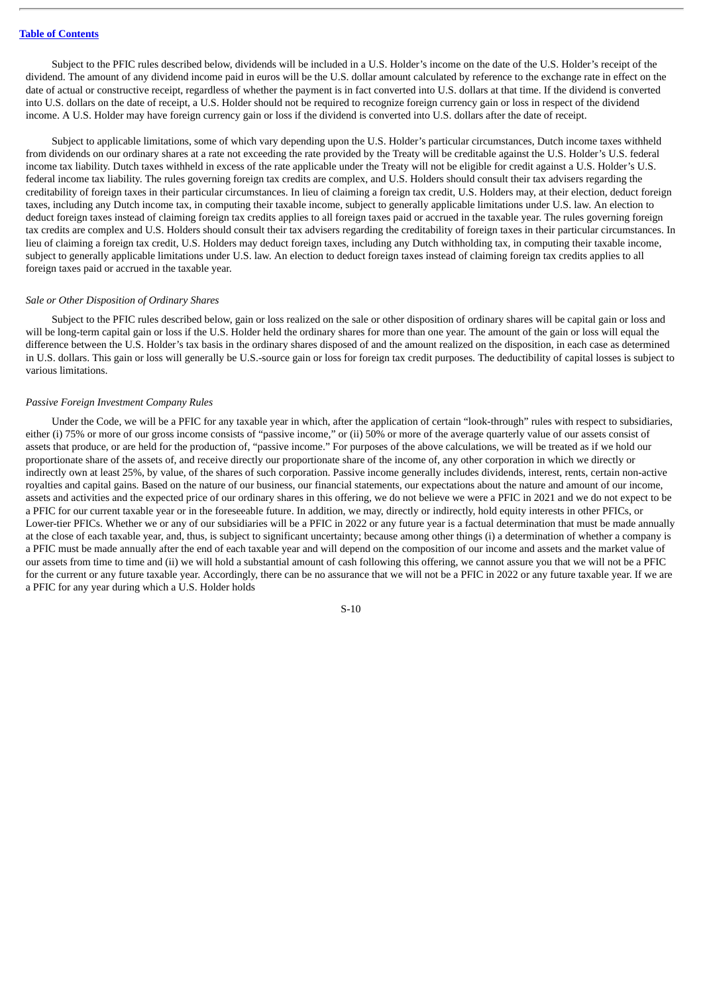Subject to the PFIC rules described below, dividends will be included in a U.S. Holder's income on the date of the U.S. Holder's receipt of the dividend. The amount of any dividend income paid in euros will be the U.S. dollar amount calculated by reference to the exchange rate in effect on the date of actual or constructive receipt, regardless of whether the payment is in fact converted into U.S. dollars at that time. If the dividend is converted into U.S. dollars on the date of receipt, a U.S. Holder should not be required to recognize foreign currency gain or loss in respect of the dividend income. A U.S. Holder may have foreign currency gain or loss if the dividend is converted into U.S. dollars after the date of receipt.

Subject to applicable limitations, some of which vary depending upon the U.S. Holder's particular circumstances, Dutch income taxes withheld from dividends on our ordinary shares at a rate not exceeding the rate provided by the Treaty will be creditable against the U.S. Holder's U.S. federal income tax liability. Dutch taxes withheld in excess of the rate applicable under the Treaty will not be eligible for credit against a U.S. Holder's U.S. federal income tax liability. The rules governing foreign tax credits are complex, and U.S. Holders should consult their tax advisers regarding the creditability of foreign taxes in their particular circumstances. In lieu of claiming a foreign tax credit, U.S. Holders may, at their election, deduct foreign taxes, including any Dutch income tax, in computing their taxable income, subject to generally applicable limitations under U.S. law. An election to deduct foreign taxes instead of claiming foreign tax credits applies to all foreign taxes paid or accrued in the taxable year. The rules governing foreign tax credits are complex and U.S. Holders should consult their tax advisers regarding the creditability of foreign taxes in their particular circumstances. In lieu of claiming a foreign tax credit, U.S. Holders may deduct foreign taxes, including any Dutch withholding tax, in computing their taxable income, subject to generally applicable limitations under U.S. law. An election to deduct foreign taxes instead of claiming foreign tax credits applies to all foreign taxes paid or accrued in the taxable year.

#### *Sale or Other Disposition of Ordinary Shares*

Subject to the PFIC rules described below, gain or loss realized on the sale or other disposition of ordinary shares will be capital gain or loss and will be long-term capital gain or loss if the U.S. Holder held the ordinary shares for more than one year. The amount of the gain or loss will equal the difference between the U.S. Holder's tax basis in the ordinary shares disposed of and the amount realized on the disposition, in each case as determined in U.S. dollars. This gain or loss will generally be U.S.-source gain or loss for foreign tax credit purposes. The deductibility of capital losses is subject to various limitations.

#### *Passive Foreign Investment Company Rules*

Under the Code, we will be a PFIC for any taxable year in which, after the application of certain "look-through" rules with respect to subsidiaries, either (i) 75% or more of our gross income consists of "passive income," or (ii) 50% or more of the average quarterly value of our assets consist of assets that produce, or are held for the production of, "passive income." For purposes of the above calculations, we will be treated as if we hold our proportionate share of the assets of, and receive directly our proportionate share of the income of, any other corporation in which we directly or indirectly own at least 25%, by value, of the shares of such corporation. Passive income generally includes dividends, interest, rents, certain non-active royalties and capital gains. Based on the nature of our business, our financial statements, our expectations about the nature and amount of our income, assets and activities and the expected price of our ordinary shares in this offering, we do not believe we were a PFIC in 2021 and we do not expect to be a PFIC for our current taxable year or in the foreseeable future. In addition, we may, directly or indirectly, hold equity interests in other PFICs, or Lower-tier PFICs. Whether we or any of our subsidiaries will be a PFIC in 2022 or any future year is a factual determination that must be made annually at the close of each taxable year, and, thus, is subject to significant uncertainty; because among other things (i) a determination of whether a company is a PFIC must be made annually after the end of each taxable year and will depend on the composition of our income and assets and the market value of our assets from time to time and (ii) we will hold a substantial amount of cash following this offering, we cannot assure you that we will not be a PFIC for the current or any future taxable year. Accordingly, there can be no assurance that we will not be a PFIC in 2022 or any future taxable year. If we are a PFIC for any year during which a U.S. Holder holds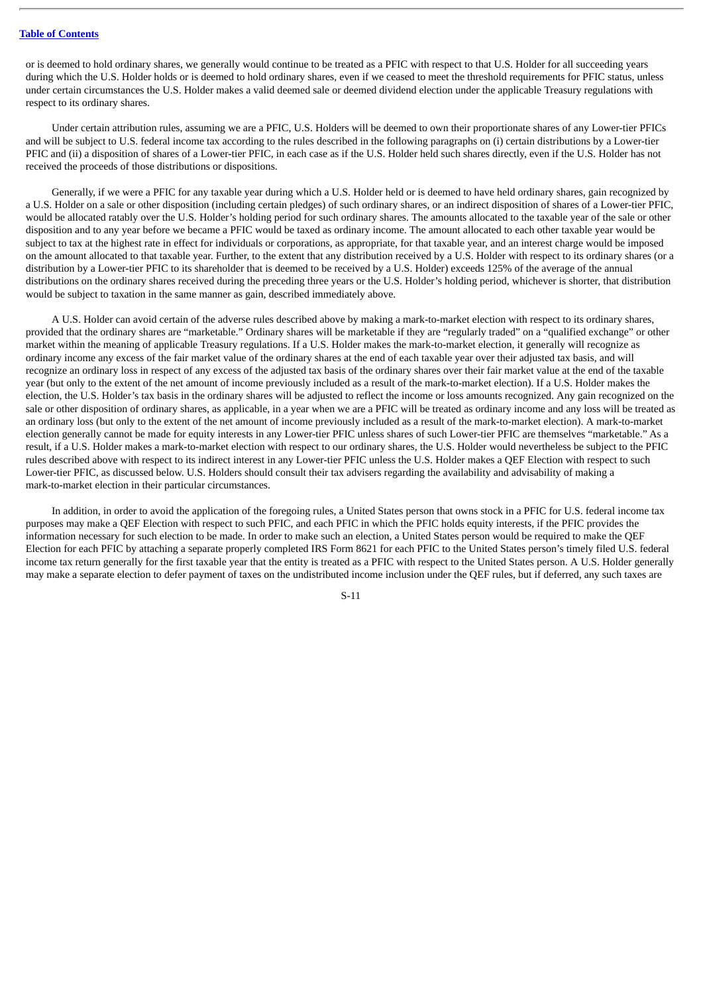or is deemed to hold ordinary shares, we generally would continue to be treated as a PFIC with respect to that U.S. Holder for all succeeding years during which the U.S. Holder holds or is deemed to hold ordinary shares, even if we ceased to meet the threshold requirements for PFIC status, unless under certain circumstances the U.S. Holder makes a valid deemed sale or deemed dividend election under the applicable Treasury regulations with respect to its ordinary shares.

Under certain attribution rules, assuming we are a PFIC, U.S. Holders will be deemed to own their proportionate shares of any Lower-tier PFICs and will be subject to U.S. federal income tax according to the rules described in the following paragraphs on (i) certain distributions by a Lower-tier PFIC and (ii) a disposition of shares of a Lower-tier PFIC, in each case as if the U.S. Holder held such shares directly, even if the U.S. Holder has not received the proceeds of those distributions or dispositions.

Generally, if we were a PFIC for any taxable year during which a U.S. Holder held or is deemed to have held ordinary shares, gain recognized by a U.S. Holder on a sale or other disposition (including certain pledges) of such ordinary shares, or an indirect disposition of shares of a Lower-tier PFIC, would be allocated ratably over the U.S. Holder's holding period for such ordinary shares. The amounts allocated to the taxable year of the sale or other disposition and to any year before we became a PFIC would be taxed as ordinary income. The amount allocated to each other taxable year would be subject to tax at the highest rate in effect for individuals or corporations, as appropriate, for that taxable year, and an interest charge would be imposed on the amount allocated to that taxable year. Further, to the extent that any distribution received by a U.S. Holder with respect to its ordinary shares (or a distribution by a Lower-tier PFIC to its shareholder that is deemed to be received by a U.S. Holder) exceeds 125% of the average of the annual distributions on the ordinary shares received during the preceding three years or the U.S. Holder's holding period, whichever is shorter, that distribution would be subject to taxation in the same manner as gain, described immediately above.

A U.S. Holder can avoid certain of the adverse rules described above by making a mark-to-market election with respect to its ordinary shares, provided that the ordinary shares are "marketable." Ordinary shares will be marketable if they are "regularly traded" on a "qualified exchange" or other market within the meaning of applicable Treasury regulations. If a U.S. Holder makes the mark-to-market election, it generally will recognize as ordinary income any excess of the fair market value of the ordinary shares at the end of each taxable year over their adjusted tax basis, and will recognize an ordinary loss in respect of any excess of the adjusted tax basis of the ordinary shares over their fair market value at the end of the taxable year (but only to the extent of the net amount of income previously included as a result of the mark-to-market election). If a U.S. Holder makes the election, the U.S. Holder's tax basis in the ordinary shares will be adjusted to reflect the income or loss amounts recognized. Any gain recognized on the sale or other disposition of ordinary shares, as applicable, in a year when we are a PFIC will be treated as ordinary income and any loss will be treated as an ordinary loss (but only to the extent of the net amount of income previously included as a result of the mark-to-market election). A mark-to-market election generally cannot be made for equity interests in any Lower-tier PFIC unless shares of such Lower-tier PFIC are themselves "marketable." As a result, if a U.S. Holder makes a mark-to-market election with respect to our ordinary shares, the U.S. Holder would nevertheless be subject to the PFIC rules described above with respect to its indirect interest in any Lower-tier PFIC unless the U.S. Holder makes a QEF Election with respect to such Lower-tier PFIC, as discussed below. U.S. Holders should consult their tax advisers regarding the availability and advisability of making a mark-to-market election in their particular circumstances.

In addition, in order to avoid the application of the foregoing rules, a United States person that owns stock in a PFIC for U.S. federal income tax purposes may make a QEF Election with respect to such PFIC, and each PFIC in which the PFIC holds equity interests, if the PFIC provides the information necessary for such election to be made. In order to make such an election, a United States person would be required to make the QEF Election for each PFIC by attaching a separate properly completed IRS Form 8621 for each PFIC to the United States person's timely filed U.S. federal income tax return generally for the first taxable year that the entity is treated as a PFIC with respect to the United States person. A U.S. Holder generally may make a separate election to defer payment of taxes on the undistributed income inclusion under the QEF rules, but if deferred, any such taxes are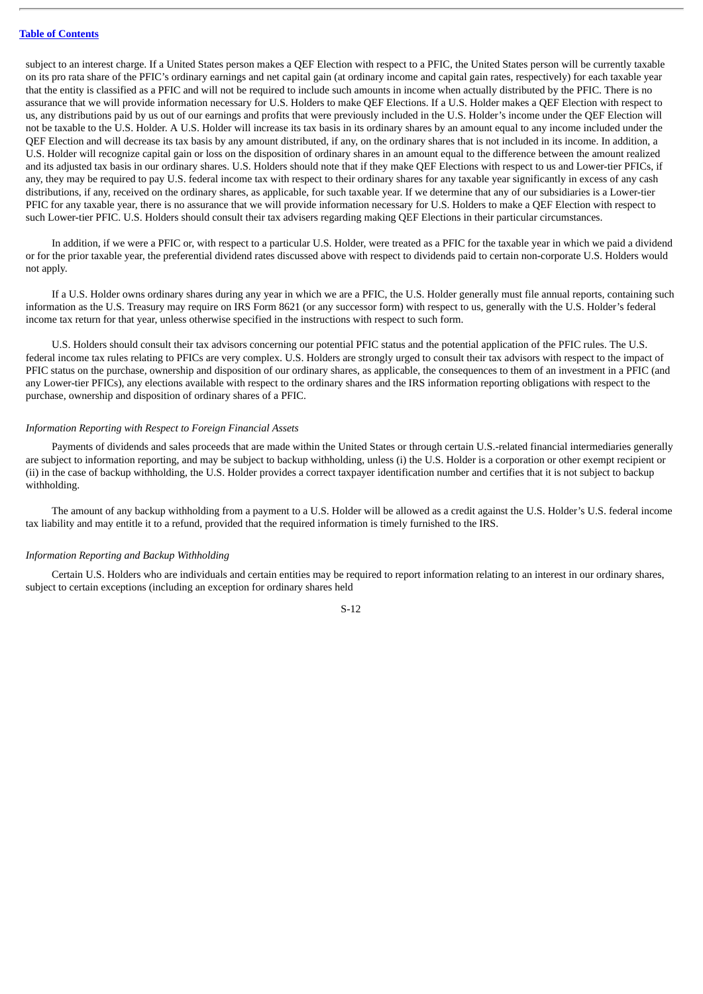subject to an interest charge. If a United States person makes a QEF Election with respect to a PFIC, the United States person will be currently taxable on its pro rata share of the PFIC's ordinary earnings and net capital gain (at ordinary income and capital gain rates, respectively) for each taxable year that the entity is classified as a PFIC and will not be required to include such amounts in income when actually distributed by the PFIC. There is no assurance that we will provide information necessary for U.S. Holders to make QEF Elections. If a U.S. Holder makes a QEF Election with respect to us, any distributions paid by us out of our earnings and profits that were previously included in the U.S. Holder's income under the QEF Election will not be taxable to the U.S. Holder. A U.S. Holder will increase its tax basis in its ordinary shares by an amount equal to any income included under the QEF Election and will decrease its tax basis by any amount distributed, if any, on the ordinary shares that is not included in its income. In addition, a U.S. Holder will recognize capital gain or loss on the disposition of ordinary shares in an amount equal to the difference between the amount realized and its adjusted tax basis in our ordinary shares. U.S. Holders should note that if they make QEF Elections with respect to us and Lower-tier PFICs, if any, they may be required to pay U.S. federal income tax with respect to their ordinary shares for any taxable year significantly in excess of any cash distributions, if any, received on the ordinary shares, as applicable, for such taxable year. If we determine that any of our subsidiaries is a Lower-tier PFIC for any taxable year, there is no assurance that we will provide information necessary for U.S. Holders to make a QEF Election with respect to such Lower-tier PFIC. U.S. Holders should consult their tax advisers regarding making QEF Elections in their particular circumstances.

In addition, if we were a PFIC or, with respect to a particular U.S. Holder, were treated as a PFIC for the taxable year in which we paid a dividend or for the prior taxable year, the preferential dividend rates discussed above with respect to dividends paid to certain non-corporate U.S. Holders would not apply.

If a U.S. Holder owns ordinary shares during any year in which we are a PFIC, the U.S. Holder generally must file annual reports, containing such information as the U.S. Treasury may require on IRS Form 8621 (or any successor form) with respect to us, generally with the U.S. Holder's federal income tax return for that year, unless otherwise specified in the instructions with respect to such form.

U.S. Holders should consult their tax advisors concerning our potential PFIC status and the potential application of the PFIC rules. The U.S. federal income tax rules relating to PFICs are very complex. U.S. Holders are strongly urged to consult their tax advisors with respect to the impact of PFIC status on the purchase, ownership and disposition of our ordinary shares, as applicable, the consequences to them of an investment in a PFIC (and any Lower-tier PFICs), any elections available with respect to the ordinary shares and the IRS information reporting obligations with respect to the purchase, ownership and disposition of ordinary shares of a PFIC.

#### *Information Reporting with Respect to Foreign Financial Assets*

Payments of dividends and sales proceeds that are made within the United States or through certain U.S.-related financial intermediaries generally are subject to information reporting, and may be subject to backup withholding, unless (i) the U.S. Holder is a corporation or other exempt recipient or (ii) in the case of backup withholding, the U.S. Holder provides a correct taxpayer identification number and certifies that it is not subject to backup withholding.

The amount of any backup withholding from a payment to a U.S. Holder will be allowed as a credit against the U.S. Holder's U.S. federal income tax liability and may entitle it to a refund, provided that the required information is timely furnished to the IRS.

#### *Information Reporting and Backup Withholding*

Certain U.S. Holders who are individuals and certain entities may be required to report information relating to an interest in our ordinary shares, subject to certain exceptions (including an exception for ordinary shares held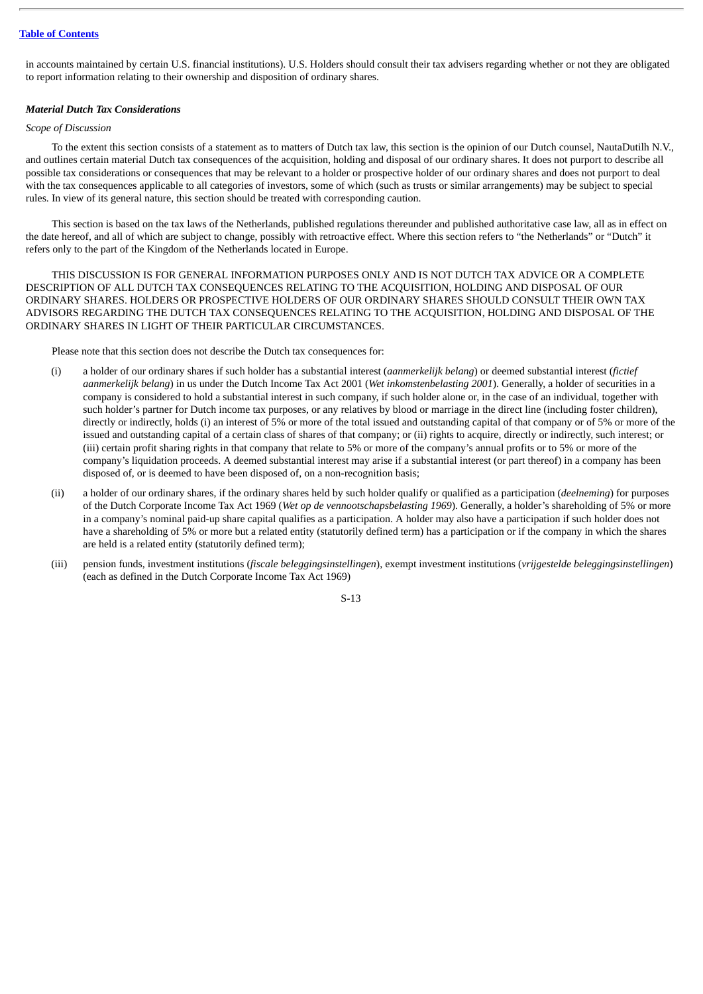#### **Table of [Contents](#page-1-0)**

in accounts maintained by certain U.S. financial institutions). U.S. Holders should consult their tax advisers regarding whether or not they are obligated to report information relating to their ownership and disposition of ordinary shares.

#### *Material Dutch Tax Considerations*

#### *Scope of Discussion*

To the extent this section consists of a statement as to matters of Dutch tax law, this section is the opinion of our Dutch counsel, NautaDutilh N.V., and outlines certain material Dutch tax consequences of the acquisition, holding and disposal of our ordinary shares. It does not purport to describe all possible tax considerations or consequences that may be relevant to a holder or prospective holder of our ordinary shares and does not purport to deal with the tax consequences applicable to all categories of investors, some of which (such as trusts or similar arrangements) may be subject to special rules. In view of its general nature, this section should be treated with corresponding caution.

This section is based on the tax laws of the Netherlands, published regulations thereunder and published authoritative case law, all as in effect on the date hereof, and all of which are subject to change, possibly with retroactive effect. Where this section refers to "the Netherlands" or "Dutch" it refers only to the part of the Kingdom of the Netherlands located in Europe.

THIS DISCUSSION IS FOR GENERAL INFORMATION PURPOSES ONLY AND IS NOT DUTCH TAX ADVICE OR A COMPLETE DESCRIPTION OF ALL DUTCH TAX CONSEQUENCES RELATING TO THE ACQUISITION, HOLDING AND DISPOSAL OF OUR ORDINARY SHARES. HOLDERS OR PROSPECTIVE HOLDERS OF OUR ORDINARY SHARES SHOULD CONSULT THEIR OWN TAX ADVISORS REGARDING THE DUTCH TAX CONSEQUENCES RELATING TO THE ACQUISITION, HOLDING AND DISPOSAL OF THE ORDINARY SHARES IN LIGHT OF THEIR PARTICULAR CIRCUMSTANCES.

Please note that this section does not describe the Dutch tax consequences for:

- (i) a holder of our ordinary shares if such holder has a substantial interest (*aanmerkelijk belang*) or deemed substantial interest (*fictief aanmerkelijk belang*) in us under the Dutch Income Tax Act 2001 (*Wet inkomstenbelasting 2001*). Generally, a holder of securities in a company is considered to hold a substantial interest in such company, if such holder alone or, in the case of an individual, together with such holder's partner for Dutch income tax purposes, or any relatives by blood or marriage in the direct line (including foster children), directly or indirectly, holds (i) an interest of 5% or more of the total issued and outstanding capital of that company or of 5% or more of the issued and outstanding capital of a certain class of shares of that company; or (ii) rights to acquire, directly or indirectly, such interest; or (iii) certain profit sharing rights in that company that relate to 5% or more of the company's annual profits or to 5% or more of the company's liquidation proceeds. A deemed substantial interest may arise if a substantial interest (or part thereof) in a company has been disposed of, or is deemed to have been disposed of, on a non-recognition basis;
- (ii) a holder of our ordinary shares, if the ordinary shares held by such holder qualify or qualified as a participation (*deelneming*) for purposes of the Dutch Corporate Income Tax Act 1969 (*Wet op de vennootschapsbelasting 1969*). Generally, a holder's shareholding of 5% or more in a company's nominal paid-up share capital qualifies as a participation. A holder may also have a participation if such holder does not have a shareholding of 5% or more but a related entity (statutorily defined term) has a participation or if the company in which the shares are held is a related entity (statutorily defined term);
- (iii) pension funds, investment institutions (*fiscale beleggingsinstellingen*), exempt investment institutions (*vrijgestelde beleggingsinstellingen*) (each as defined in the Dutch Corporate Income Tax Act 1969)

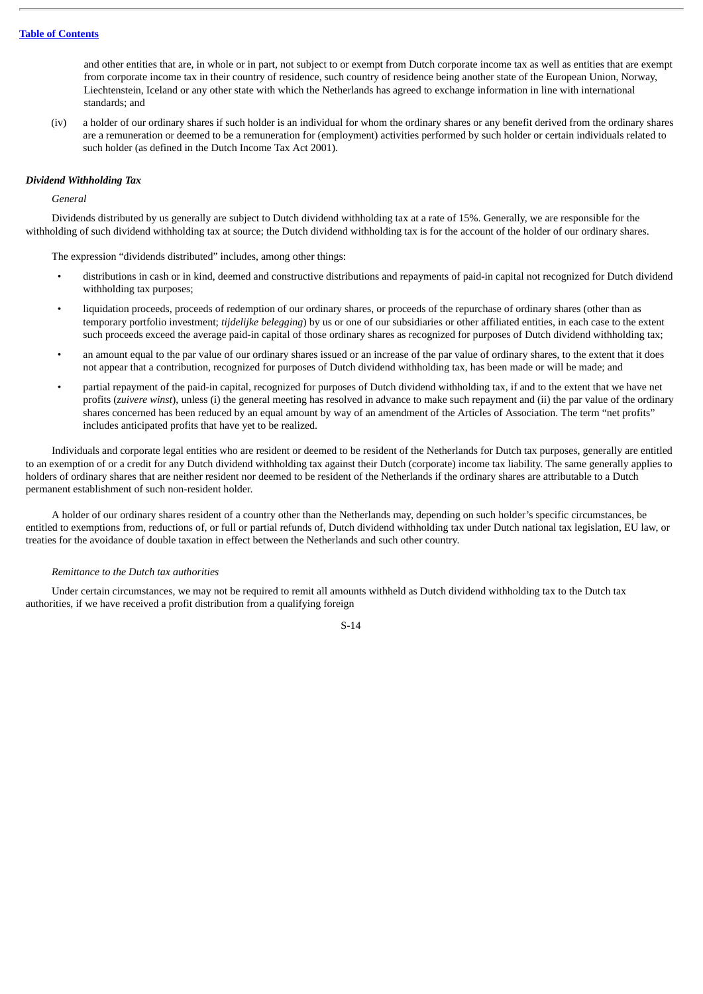and other entities that are, in whole or in part, not subject to or exempt from Dutch corporate income tax as well as entities that are exempt from corporate income tax in their country of residence, such country of residence being another state of the European Union, Norway, Liechtenstein, Iceland or any other state with which the Netherlands has agreed to exchange information in line with international standards; and

(iv) a holder of our ordinary shares if such holder is an individual for whom the ordinary shares or any benefit derived from the ordinary shares are a remuneration or deemed to be a remuneration for (employment) activities performed by such holder or certain individuals related to such holder (as defined in the Dutch Income Tax Act 2001).

#### *Dividend Withholding Tax*

#### *General*

Dividends distributed by us generally are subject to Dutch dividend withholding tax at a rate of 15%. Generally, we are responsible for the withholding of such dividend withholding tax at source; the Dutch dividend withholding tax is for the account of the holder of our ordinary shares.

The expression "dividends distributed" includes, among other things:

- distributions in cash or in kind, deemed and constructive distributions and repayments of paid-in capital not recognized for Dutch dividend withholding tax purposes;
- liquidation proceeds, proceeds of redemption of our ordinary shares, or proceeds of the repurchase of ordinary shares (other than as temporary portfolio investment; *tijdelijke belegging*) by us or one of our subsidiaries or other affiliated entities, in each case to the extent such proceeds exceed the average paid-in capital of those ordinary shares as recognized for purposes of Dutch dividend withholding tax;
- an amount equal to the par value of our ordinary shares issued or an increase of the par value of ordinary shares, to the extent that it does not appear that a contribution, recognized for purposes of Dutch dividend withholding tax, has been made or will be made; and
- partial repayment of the paid-in capital, recognized for purposes of Dutch dividend withholding tax, if and to the extent that we have net profits (*zuivere winst*), unless (i) the general meeting has resolved in advance to make such repayment and (ii) the par value of the ordinary shares concerned has been reduced by an equal amount by way of an amendment of the Articles of Association. The term "net profits" includes anticipated profits that have yet to be realized.

Individuals and corporate legal entities who are resident or deemed to be resident of the Netherlands for Dutch tax purposes, generally are entitled to an exemption of or a credit for any Dutch dividend withholding tax against their Dutch (corporate) income tax liability. The same generally applies to holders of ordinary shares that are neither resident nor deemed to be resident of the Netherlands if the ordinary shares are attributable to a Dutch permanent establishment of such non-resident holder.

A holder of our ordinary shares resident of a country other than the Netherlands may, depending on such holder's specific circumstances, be entitled to exemptions from, reductions of, or full or partial refunds of, Dutch dividend withholding tax under Dutch national tax legislation, EU law, or treaties for the avoidance of double taxation in effect between the Netherlands and such other country.

#### *Remittance to the Dutch tax authorities*

Under certain circumstances, we may not be required to remit all amounts withheld as Dutch dividend withholding tax to the Dutch tax authorities, if we have received a profit distribution from a qualifying foreign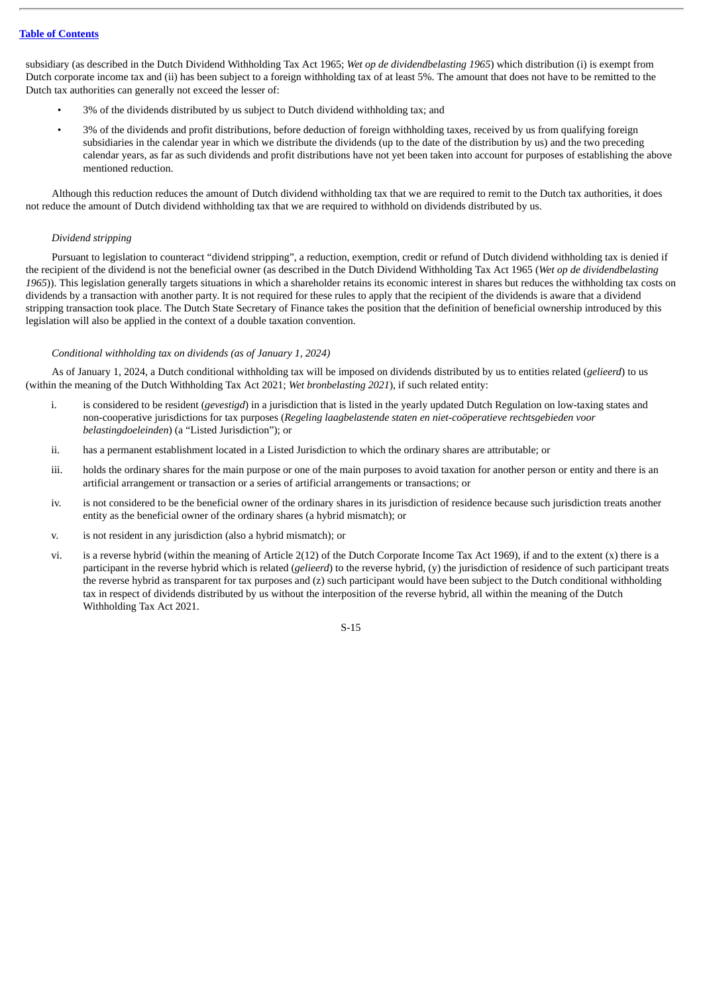subsidiary (as described in the Dutch Dividend Withholding Tax Act 1965; *Wet op de dividendbelasting 1965*) which distribution (i) is exempt from Dutch corporate income tax and (ii) has been subject to a foreign withholding tax of at least 5%. The amount that does not have to be remitted to the Dutch tax authorities can generally not exceed the lesser of:

- 3% of the dividends distributed by us subject to Dutch dividend withholding tax; and
- 3% of the dividends and profit distributions, before deduction of foreign withholding taxes, received by us from qualifying foreign subsidiaries in the calendar year in which we distribute the dividends (up to the date of the distribution by us) and the two preceding calendar years, as far as such dividends and profit distributions have not yet been taken into account for purposes of establishing the above mentioned reduction.

Although this reduction reduces the amount of Dutch dividend withholding tax that we are required to remit to the Dutch tax authorities, it does not reduce the amount of Dutch dividend withholding tax that we are required to withhold on dividends distributed by us.

#### *Dividend stripping*

Pursuant to legislation to counteract "dividend stripping", a reduction, exemption, credit or refund of Dutch dividend withholding tax is denied if the recipient of the dividend is not the beneficial owner (as described in the Dutch Dividend Withholding Tax Act 1965 (*Wet op de dividendbelasting* 1965)). This legislation generally targets situations in which a shareholder retains its economic interest in shares but reduces the withholding tax costs on dividends by a transaction with another party. It is not required for these rules to apply that the recipient of the dividends is aware that a dividend stripping transaction took place. The Dutch State Secretary of Finance takes the position that the definition of beneficial ownership introduced by this legislation will also be applied in the context of a double taxation convention.

#### *Conditional withholding tax on dividends (as of January 1, 2024)*

As of January 1, 2024, a Dutch conditional withholding tax will be imposed on dividends distributed by us to entities related (*gelieerd*) to us (within the meaning of the Dutch Withholding Tax Act 2021; *Wet bronbelasting 2021*), if such related entity:

- i. is considered to be resident (*gevestigd*) in a jurisdiction that is listed in the yearly updated Dutch Regulation on low-taxing states and non-cooperative jurisdictions for tax purposes (*Regeling laagbelastende staten en niet-coöperatieve rechtsgebieden voor belastingdoeleinden*) (a "Listed Jurisdiction"); or
- ii. has a permanent establishment located in a Listed Jurisdiction to which the ordinary shares are attributable; or
- iii. holds the ordinary shares for the main purpose or one of the main purposes to avoid taxation for another person or entity and there is an artificial arrangement or transaction or a series of artificial arrangements or transactions; or
- iv. is not considered to be the beneficial owner of the ordinary shares in its jurisdiction of residence because such jurisdiction treats another entity as the beneficial owner of the ordinary shares (a hybrid mismatch); or
- v. is not resident in any jurisdiction (also a hybrid mismatch); or
- vi. is a reverse hybrid (within the meaning of Article 2(12) of the Dutch Corporate Income Tax Act 1969), if and to the extent (x) there is a participant in the reverse hybrid which is related (*gelieerd*) to the reverse hybrid, (y) the jurisdiction of residence of such participant treats the reverse hybrid as transparent for tax purposes and (z) such participant would have been subject to the Dutch conditional withholding tax in respect of dividends distributed by us without the interposition of the reverse hybrid, all within the meaning of the Dutch Withholding Tax Act 2021.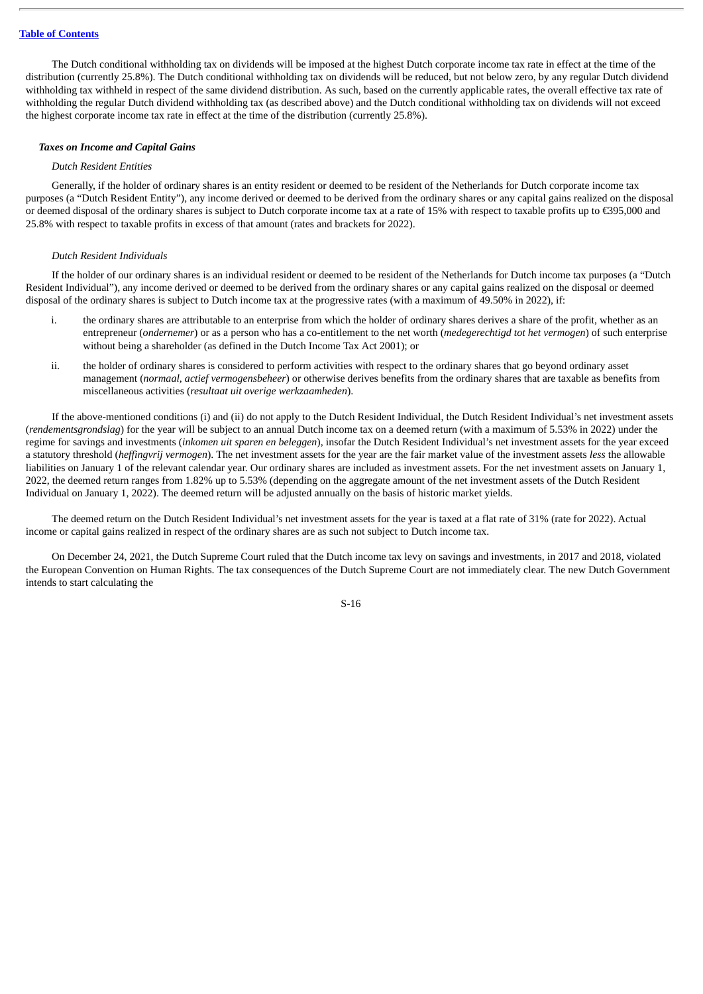The Dutch conditional withholding tax on dividends will be imposed at the highest Dutch corporate income tax rate in effect at the time of the distribution (currently 25.8%). The Dutch conditional withholding tax on dividends will be reduced, but not below zero, by any regular Dutch dividend withholding tax withheld in respect of the same dividend distribution. As such, based on the currently applicable rates, the overall effective tax rate of withholding the regular Dutch dividend withholding tax (as described above) and the Dutch conditional withholding tax on dividends will not exceed the highest corporate income tax rate in effect at the time of the distribution (currently 25.8%).

#### *Taxes on Income and Capital Gains*

#### *Dutch Resident Entities*

Generally, if the holder of ordinary shares is an entity resident or deemed to be resident of the Netherlands for Dutch corporate income tax purposes (a "Dutch Resident Entity"), any income derived or deemed to be derived from the ordinary shares or any capital gains realized on the disposal or deemed disposal of the ordinary shares is subject to Dutch corporate income tax at a rate of 15% with respect to taxable profits up to €395,000 and 25.8% with respect to taxable profits in excess of that amount (rates and brackets for 2022).

#### *Dutch Resident Individuals*

If the holder of our ordinary shares is an individual resident or deemed to be resident of the Netherlands for Dutch income tax purposes (a "Dutch Resident Individual"), any income derived or deemed to be derived from the ordinary shares or any capital gains realized on the disposal or deemed disposal of the ordinary shares is subject to Dutch income tax at the progressive rates (with a maximum of 49.50% in 2022), if:

- i. the ordinary shares are attributable to an enterprise from which the holder of ordinary shares derives a share of the profit, whether as an entrepreneur (*ondernemer*) or as a person who has a co-entitlement to the net worth (*medegerechtigd tot het vermogen*) of such enterprise without being a shareholder (as defined in the Dutch Income Tax Act 2001); or
- ii. the holder of ordinary shares is considered to perform activities with respect to the ordinary shares that go beyond ordinary asset management (*normaal, actief vermogensbeheer*) or otherwise derives benefits from the ordinary shares that are taxable as benefits from miscellaneous activities (*resultaat uit overige werkzaamheden*).

If the above-mentioned conditions (i) and (ii) do not apply to the Dutch Resident Individual, the Dutch Resident Individual's net investment assets (*rendementsgrondslag*) for the year will be subject to an annual Dutch income tax on a deemed return (with a maximum of 5.53% in 2022) under the regime for savings and investments (*inkomen uit sparen en beleggen*), insofar the Dutch Resident Individual's net investment assets for the year exceed a statutory threshold (*heffingvrij vermogen*). The net investment assets for the year are the fair market value of the investment assets *less* the allowable liabilities on January 1 of the relevant calendar year. Our ordinary shares are included as investment assets. For the net investment assets on January 1, 2022, the deemed return ranges from 1.82% up to 5.53% (depending on the aggregate amount of the net investment assets of the Dutch Resident Individual on January 1, 2022). The deemed return will be adjusted annually on the basis of historic market yields.

The deemed return on the Dutch Resident Individual's net investment assets for the year is taxed at a flat rate of 31% (rate for 2022). Actual income or capital gains realized in respect of the ordinary shares are as such not subject to Dutch income tax.

On December 24, 2021, the Dutch Supreme Court ruled that the Dutch income tax levy on savings and investments, in 2017 and 2018, violated the European Convention on Human Rights. The tax consequences of the Dutch Supreme Court are not immediately clear. The new Dutch Government intends to start calculating the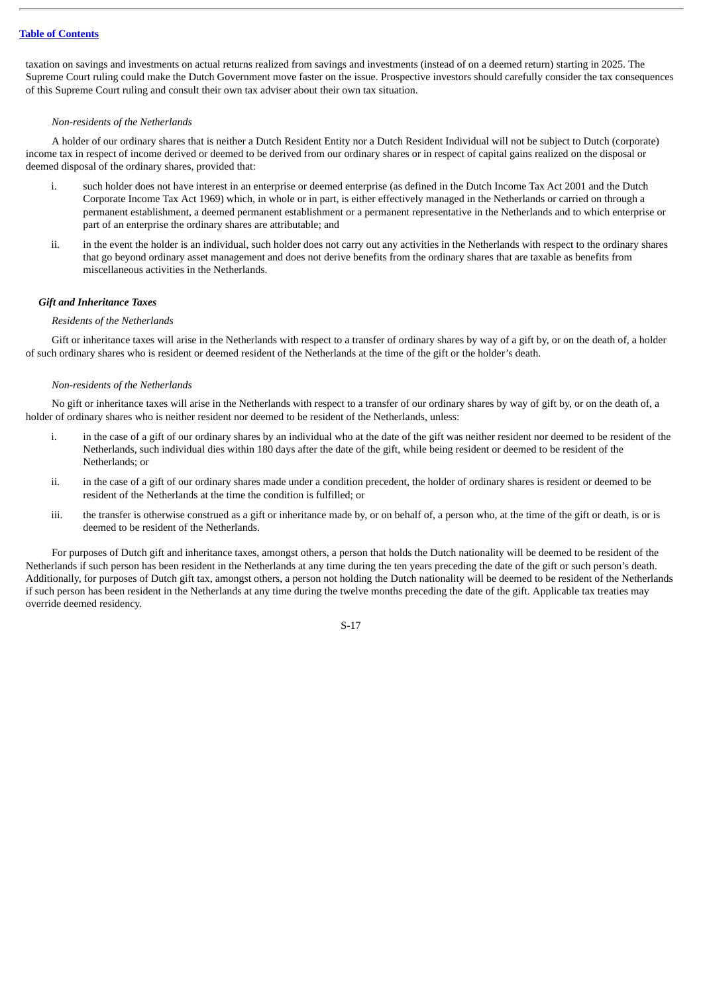taxation on savings and investments on actual returns realized from savings and investments (instead of on a deemed return) starting in 2025. The Supreme Court ruling could make the Dutch Government move faster on the issue. Prospective investors should carefully consider the tax consequences of this Supreme Court ruling and consult their own tax adviser about their own tax situation.

#### *Non-residents of the Netherlands*

A holder of our ordinary shares that is neither a Dutch Resident Entity nor a Dutch Resident Individual will not be subject to Dutch (corporate) income tax in respect of income derived or deemed to be derived from our ordinary shares or in respect of capital gains realized on the disposal or deemed disposal of the ordinary shares, provided that:

- i. such holder does not have interest in an enterprise or deemed enterprise (as defined in the Dutch Income Tax Act 2001 and the Dutch Corporate Income Tax Act 1969) which, in whole or in part, is either effectively managed in the Netherlands or carried on through a permanent establishment, a deemed permanent establishment or a permanent representative in the Netherlands and to which enterprise or part of an enterprise the ordinary shares are attributable; and
- ii. in the event the holder is an individual, such holder does not carry out any activities in the Netherlands with respect to the ordinary shares that go beyond ordinary asset management and does not derive benefits from the ordinary shares that are taxable as benefits from miscellaneous activities in the Netherlands.

#### *Gift and Inheritance Taxes*

#### *Residents of the Netherlands*

Gift or inheritance taxes will arise in the Netherlands with respect to a transfer of ordinary shares by way of a gift by, or on the death of, a holder of such ordinary shares who is resident or deemed resident of the Netherlands at the time of the gift or the holder*'*s death.

#### *Non-residents of the Netherlands*

No gift or inheritance taxes will arise in the Netherlands with respect to a transfer of our ordinary shares by way of gift by, or on the death of, a holder of ordinary shares who is neither resident nor deemed to be resident of the Netherlands, unless:

- i. in the case of a gift of our ordinary shares by an individual who at the date of the gift was neither resident nor deemed to be resident of the Netherlands, such individual dies within 180 days after the date of the gift, while being resident or deemed to be resident of the Netherlands; or
- ii. in the case of a gift of our ordinary shares made under a condition precedent, the holder of ordinary shares is resident or deemed to be resident of the Netherlands at the time the condition is fulfilled; or
- iii. the transfer is otherwise construed as a gift or inheritance made by, or on behalf of, a person who, at the time of the gift or death, is or is deemed to be resident of the Netherlands.

For purposes of Dutch gift and inheritance taxes, amongst others, a person that holds the Dutch nationality will be deemed to be resident of the Netherlands if such person has been resident in the Netherlands at any time during the ten years preceding the date of the gift or such person's death. Additionally, for purposes of Dutch gift tax, amongst others, a person not holding the Dutch nationality will be deemed to be resident of the Netherlands if such person has been resident in the Netherlands at any time during the twelve months preceding the date of the gift. Applicable tax treaties may override deemed residency.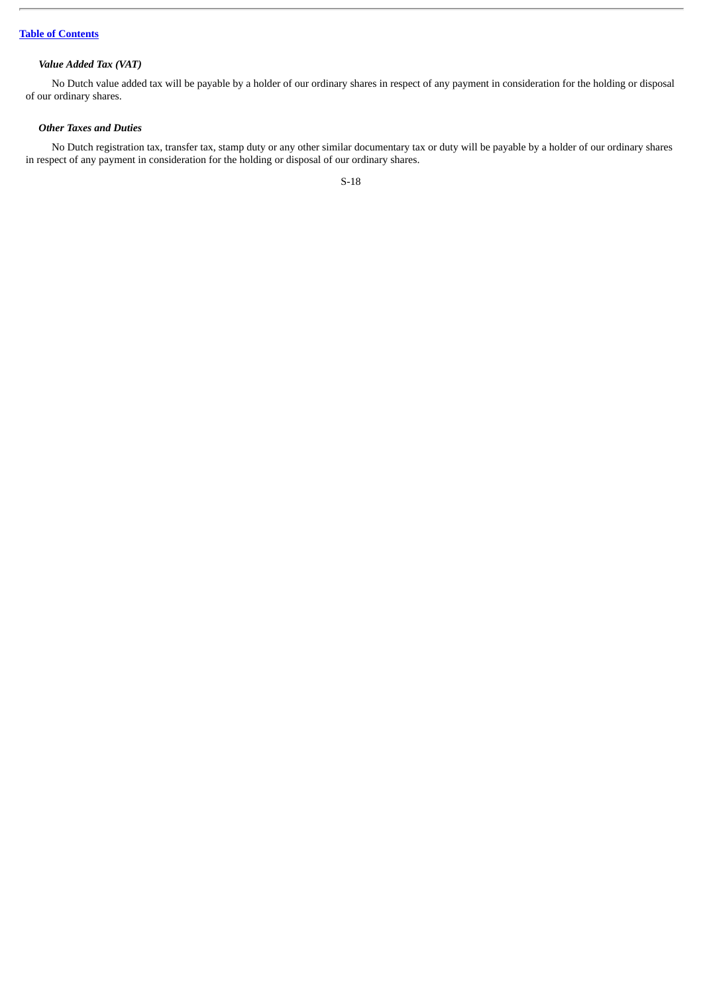# *Value Added Tax (VAT)*

No Dutch value added tax will be payable by a holder of our ordinary shares in respect of any payment in consideration for the holding or disposal of our ordinary shares.

### *Other Taxes and Duties*

No Dutch registration tax, transfer tax, stamp duty or any other similar documentary tax or duty will be payable by a holder of our ordinary shares in respect of any payment in consideration for the holding or disposal of our ordinary shares.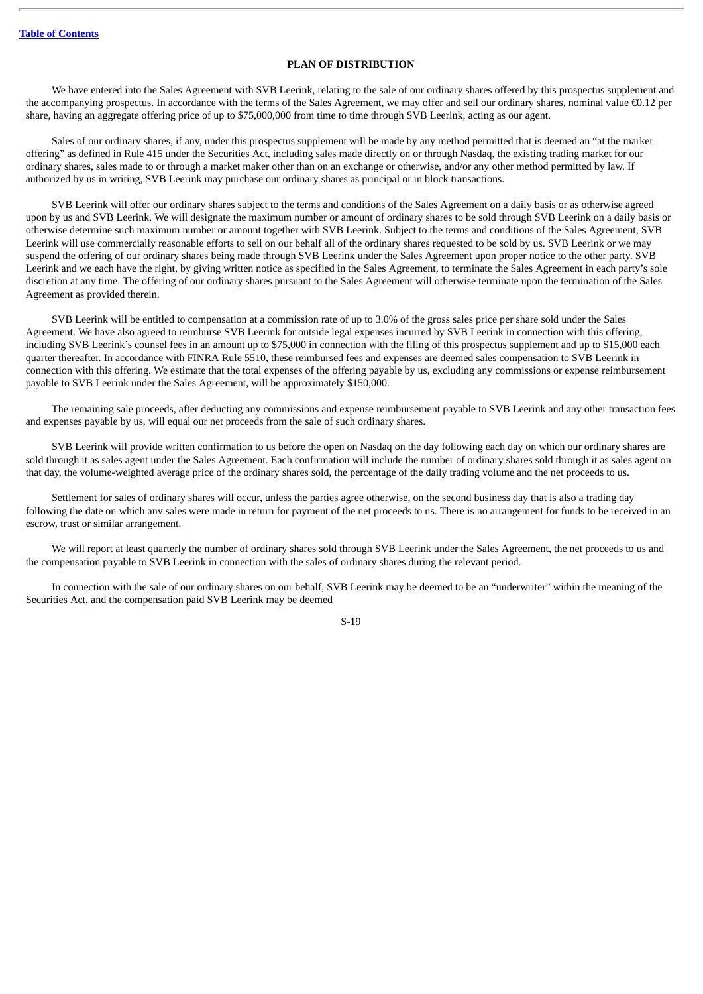#### **PLAN OF DISTRIBUTION**

<span id="page-24-0"></span>We have entered into the Sales Agreement with SVB Leerink, relating to the sale of our ordinary shares offered by this prospectus supplement and the accompanying prospectus. In accordance with the terms of the Sales Agreement, we may offer and sell our ordinary shares, nominal value  $\epsilon$ 0.12 per share, having an aggregate offering price of up to \$75,000,000 from time to time through SVB Leerink, acting as our agent.

Sales of our ordinary shares, if any, under this prospectus supplement will be made by any method permitted that is deemed an "at the market offering" as defined in Rule 415 under the Securities Act, including sales made directly on or through Nasdaq, the existing trading market for our ordinary shares, sales made to or through a market maker other than on an exchange or otherwise, and/or any other method permitted by law. If authorized by us in writing, SVB Leerink may purchase our ordinary shares as principal or in block transactions.

SVB Leerink will offer our ordinary shares subject to the terms and conditions of the Sales Agreement on a daily basis or as otherwise agreed upon by us and SVB Leerink. We will designate the maximum number or amount of ordinary shares to be sold through SVB Leerink on a daily basis or otherwise determine such maximum number or amount together with SVB Leerink. Subject to the terms and conditions of the Sales Agreement, SVB Leerink will use commercially reasonable efforts to sell on our behalf all of the ordinary shares requested to be sold by us. SVB Leerink or we may suspend the offering of our ordinary shares being made through SVB Leerink under the Sales Agreement upon proper notice to the other party. SVB Leerink and we each have the right, by giving written notice as specified in the Sales Agreement, to terminate the Sales Agreement in each party's sole discretion at any time. The offering of our ordinary shares pursuant to the Sales Agreement will otherwise terminate upon the termination of the Sales Agreement as provided therein.

SVB Leerink will be entitled to compensation at a commission rate of up to 3.0% of the gross sales price per share sold under the Sales Agreement. We have also agreed to reimburse SVB Leerink for outside legal expenses incurred by SVB Leerink in connection with this offering, including SVB Leerink's counsel fees in an amount up to \$75,000 in connection with the filing of this prospectus supplement and up to \$15,000 each quarter thereafter. In accordance with FINRA Rule 5510, these reimbursed fees and expenses are deemed sales compensation to SVB Leerink in connection with this offering. We estimate that the total expenses of the offering payable by us, excluding any commissions or expense reimbursement payable to SVB Leerink under the Sales Agreement, will be approximately \$150,000.

The remaining sale proceeds, after deducting any commissions and expense reimbursement payable to SVB Leerink and any other transaction fees and expenses payable by us, will equal our net proceeds from the sale of such ordinary shares.

SVB Leerink will provide written confirmation to us before the open on Nasdaq on the day following each day on which our ordinary shares are sold through it as sales agent under the Sales Agreement. Each confirmation will include the number of ordinary shares sold through it as sales agent on that day, the volume-weighted average price of the ordinary shares sold, the percentage of the daily trading volume and the net proceeds to us.

Settlement for sales of ordinary shares will occur, unless the parties agree otherwise, on the second business day that is also a trading day following the date on which any sales were made in return for payment of the net proceeds to us. There is no arrangement for funds to be received in an escrow, trust or similar arrangement.

We will report at least quarterly the number of ordinary shares sold through SVB Leerink under the Sales Agreement, the net proceeds to us and the compensation payable to SVB Leerink in connection with the sales of ordinary shares during the relevant period.

In connection with the sale of our ordinary shares on our behalf, SVB Leerink may be deemed to be an "underwriter" within the meaning of the Securities Act, and the compensation paid SVB Leerink may be deemed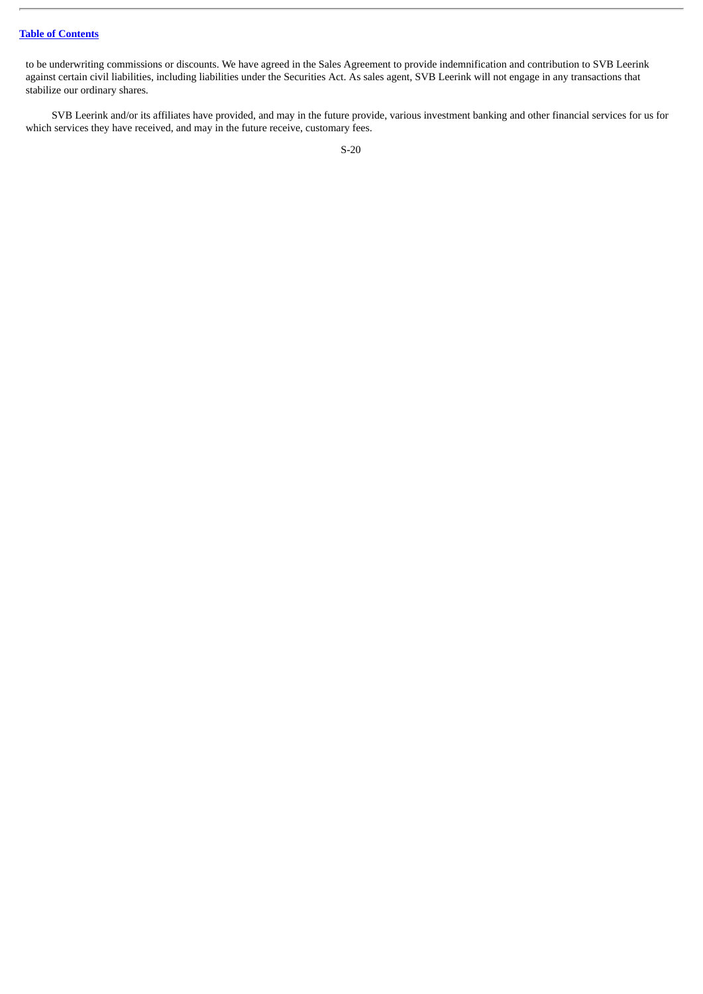## **Table of [Contents](#page-1-0)**

to be underwriting commissions or discounts. We have agreed in the Sales Agreement to provide indemnification and contribution to SVB Leerink against certain civil liabilities, including liabilities under the Securities Act. As sales agent, SVB Leerink will not engage in any transactions that stabilize our ordinary shares.

SVB Leerink and/or its affiliates have provided, and may in the future provide, various investment banking and other financial services for us for which services they have received, and may in the future receive, customary fees.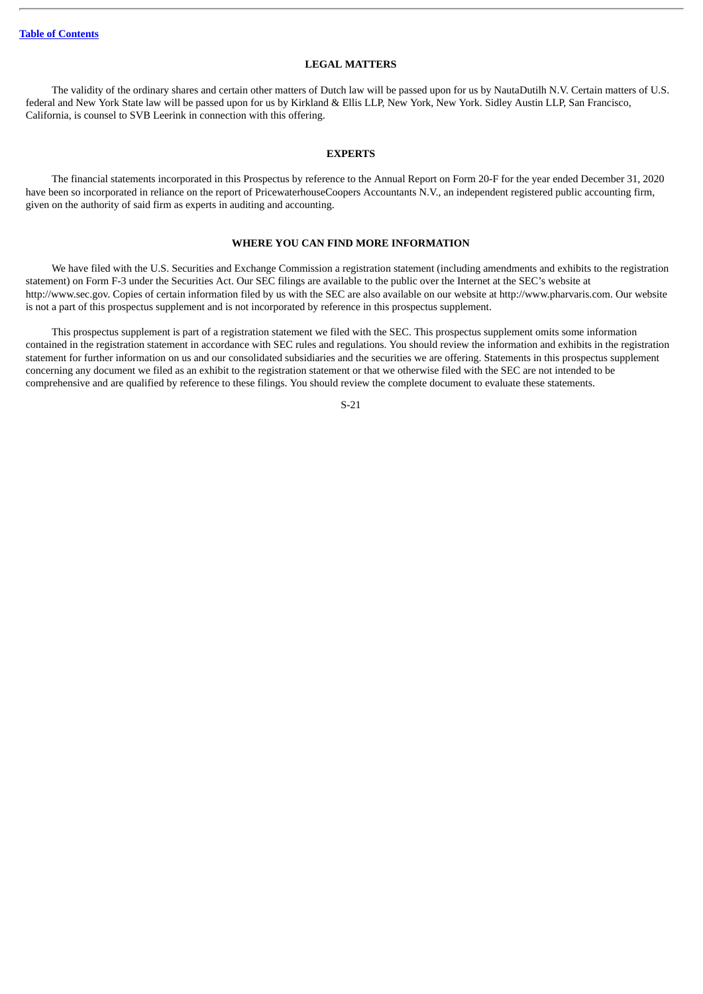#### **LEGAL MATTERS**

<span id="page-26-0"></span>The validity of the ordinary shares and certain other matters of Dutch law will be passed upon for us by NautaDutilh N.V. Certain matters of U.S. federal and New York State law will be passed upon for us by Kirkland & Ellis LLP, New York, New York. Sidley Austin LLP, San Francisco, California, is counsel to SVB Leerink in connection with this offering.

#### **EXPERTS**

<span id="page-26-1"></span>The financial statements incorporated in this Prospectus by reference to the Annual Report on Form 20-F for the year ended December 31, 2020 have been so incorporated in reliance on the report of PricewaterhouseCoopers Accountants N.V., an independent registered public accounting firm, given on the authority of said firm as experts in auditing and accounting.

#### **WHERE YOU CAN FIND MORE INFORMATION**

<span id="page-26-2"></span>We have filed with the U.S. Securities and Exchange Commission a registration statement (including amendments and exhibits to the registration statement) on Form F-3 under the Securities Act. Our SEC filings are available to the public over the Internet at the SEC's website at http://www.sec.gov. Copies of certain information filed by us with the SEC are also available on our website at http://www.pharvaris.com. Our website is not a part of this prospectus supplement and is not incorporated by reference in this prospectus supplement.

This prospectus supplement is part of a registration statement we filed with the SEC. This prospectus supplement omits some information contained in the registration statement in accordance with SEC rules and regulations. You should review the information and exhibits in the registration statement for further information on us and our consolidated subsidiaries and the securities we are offering. Statements in this prospectus supplement concerning any document we filed as an exhibit to the registration statement or that we otherwise filed with the SEC are not intended to be comprehensive and are qualified by reference to these filings. You should review the complete document to evaluate these statements.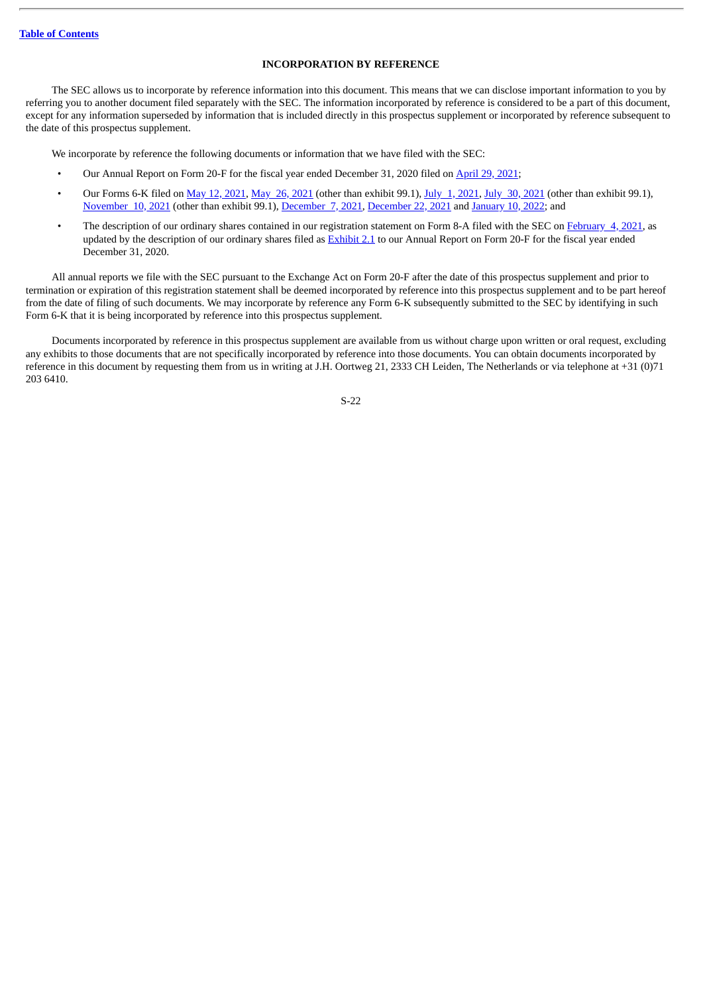#### **INCORPORATION BY REFERENCE**

<span id="page-27-0"></span>The SEC allows us to incorporate by reference information into this document. This means that we can disclose important information to you by referring you to another document filed separately with the SEC. The information incorporated by reference is considered to be a part of this document, except for any information superseded by information that is included directly in this prospectus supplement or incorporated by reference subsequent to the date of this prospectus supplement.

We incorporate by reference the following documents or information that we have filed with the SEC:

- Our Annual Report on Form 20-F for the fiscal year ended December 31, 2020 filed on [April](http://www.sec.gov/Archives/edgar/data/1830487/000119312521140476/d51199d20f.htm) 29, 2021;
- Our Forms 6-K filed on May 12, [2021](http://www.sec.gov/Archives/edgar/data/1830487/000156459021039331/phvs-6k_20210730.htm), May 26, 2021 (other than exhibit 99.1), July 1, [2021,](http://www.sec.gov/Archives/edgar/data/1830487/000156459021035421/phvs-6k_20210701.htm) July 30, 2021 (other than exhibit 99.1), [November](http://www.sec.gov/Archives/edgar/data/1830487/000156459021055938/phvs-6k_20211110.htm) 10, 2021 (other than exhibit 99.1), [December](http://www.sec.gov/Archives/edgar/data/1830487/000119312521349696/d222757d6k.htm) 7, 2021, [December](http://www.sec.gov/Archives/edgar/data/1830487/000119312521364304/d262163d6k.htm) 22, 2021 and [January](http://www.sec.gov/Archives/edgar/data/1830487/000119312522005106/d246773d6k.htm) 10, 2022; and
- The description of our ordinary shares contained in our registration statement on Form 8-A filed with the SEC on [February](http://www.sec.gov/Archives/edgar/data/1830487/000119312521028346/d91705d8a12b.htm) 4, 2021, as updated by the description of our ordinary shares filed as [Exhibit](http://www.sec.gov/Archives/edgar/data/1830487/000119312521140476/d51199dex21.htm) 2.1 to our Annual Report on Form 20-F for the fiscal year ended December 31, 2020.

All annual reports we file with the SEC pursuant to the Exchange Act on Form 20-F after the date of this prospectus supplement and prior to termination or expiration of this registration statement shall be deemed incorporated by reference into this prospectus supplement and to be part hereof from the date of filing of such documents. We may incorporate by reference any Form 6-K subsequently submitted to the SEC by identifying in such Form 6-K that it is being incorporated by reference into this prospectus supplement.

Documents incorporated by reference in this prospectus supplement are available from us without charge upon written or oral request, excluding any exhibits to those documents that are not specifically incorporated by reference into those documents. You can obtain documents incorporated by reference in this document by requesting them from us in writing at J.H. Oortweg 21, 2333 CH Leiden, The Netherlands or via telephone at +31 (0)71 203 6410.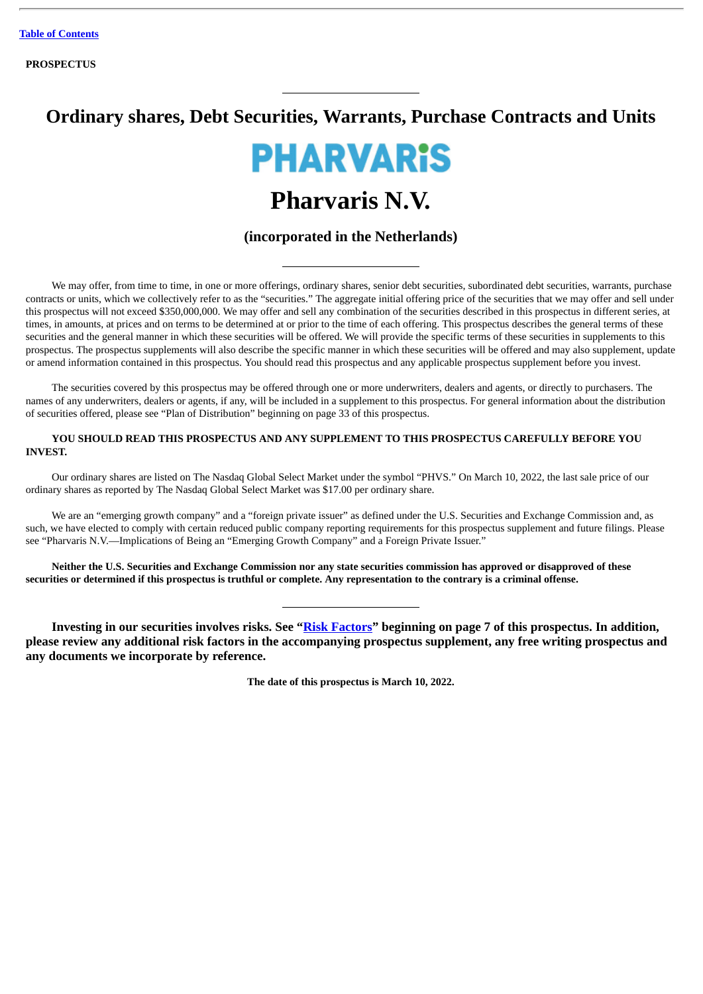# **Ordinary shares, Debt Securities, Warrants, Purchase Contracts and Units**



# **Pharvaris N.V.**

# **(incorporated in the Netherlands)**

We may offer, from time to time, in one or more offerings, ordinary shares, senior debt securities, subordinated debt securities, warrants, purchase contracts or units, which we collectively refer to as the "securities." The aggregate initial offering price of the securities that we may offer and sell under this prospectus will not exceed \$350,000,000. We may offer and sell any combination of the securities described in this prospectus in different series, at times, in amounts, at prices and on terms to be determined at or prior to the time of each offering. This prospectus describes the general terms of these securities and the general manner in which these securities will be offered. We will provide the specific terms of these securities in supplements to this prospectus. The prospectus supplements will also describe the specific manner in which these securities will be offered and may also supplement, update or amend information contained in this prospectus. You should read this prospectus and any applicable prospectus supplement before you invest.

The securities covered by this prospectus may be offered through one or more underwriters, dealers and agents, or directly to purchasers. The names of any underwriters, dealers or agents, if any, will be included in a supplement to this prospectus. For general information about the distribution of securities offered, please see "Plan of Distribution" beginning on page 33 of this prospectus.

## **YOU SHOULD READ THIS PROSPECTUS AND ANY SUPPLEMENT TO THIS PROSPECTUS CAREFULLY BEFORE YOU INVEST.**

Our ordinary shares are listed on The Nasdaq Global Select Market under the symbol "PHVS." On March 10, 2022, the last sale price of our ordinary shares as reported by The Nasdaq Global Select Market was \$17.00 per ordinary share.

We are an "emerging growth company" and a "foreign private issuer" as defined under the U.S. Securities and Exchange Commission and, as such, we have elected to comply with certain reduced public company reporting requirements for this prospectus supplement and future filings. Please see "Pharvaris N.V.—Implications of Being an "Emerging Growth Company" and a Foreign Private Issuer."

Neither the U.S. Securities and Exchange Commission nor any state securities commission has approved or disapproved of these securities or determined if this prospectus is truthful or complete. Any representation to the contrary is a criminal offense.

**Investing in our securities involves risks. See "[Risk Factors](#page-36-0)" beginning on page 7 of this prospectus. In addition, please review any additional risk factors in the accompanying prospectus supplement, any free writing prospectus and any documents we incorporate by reference.**

**The date of this prospectus is March 10, 2022.**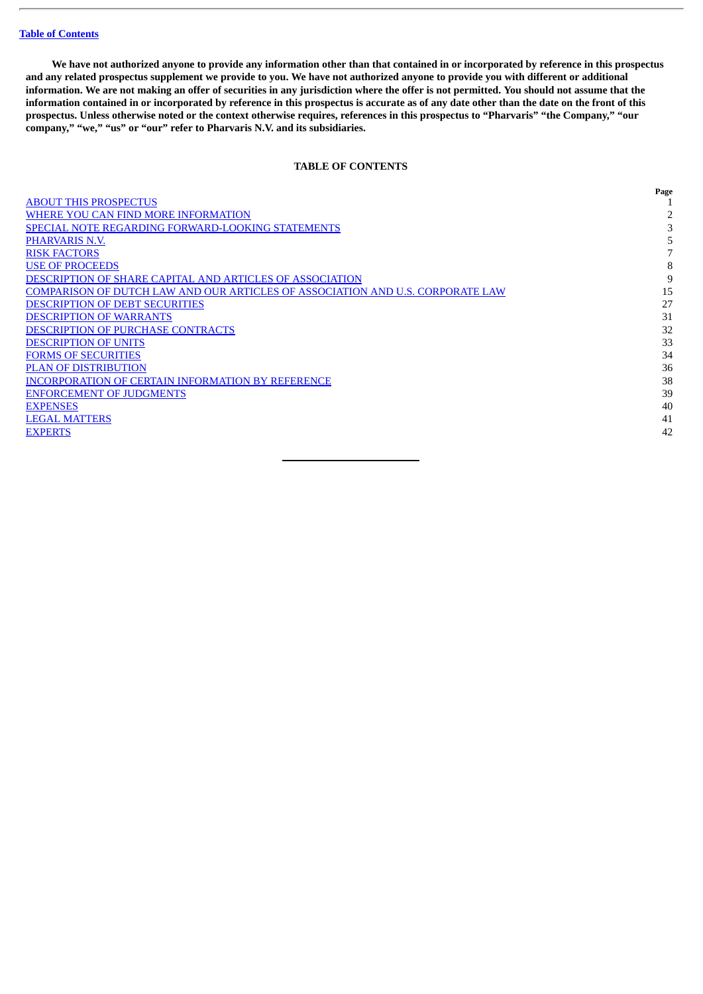#### **Table of [Contents](#page-1-0)**

We have not authorized anyone to provide any information other than that contained in or incorporated by reference in this prospectus and any related prospectus supplement we provide to you. We have not authorized anyone to provide you with different or additional information. We are not making an offer of securities in any jurisdiction where the offer is not permitted. You should not assume that the information contained in or incorporated by reference in this prospectus is accurate as of any date other than the date on the front of this prospectus. Unless otherwise noted or the context otherwise requires, references in this prospectus to "Pharvaris" "the Company," "our **company," "we," "us" or "our" refer to Pharvaris N.V. and its subsidiaries.**

#### **TABLE OF CONTENTS**

|                                                                                | Page |
|--------------------------------------------------------------------------------|------|
| <b>ABOUT THIS PROSPECTUS</b>                                                   |      |
| WHERE YOU CAN FIND MORE INFORMATION                                            |      |
| <b>SPECIAL NOTE REGARDING FORWARD-LOOKING STATEMENTS</b>                       |      |
| <b>PHARVARIS N.V.</b>                                                          |      |
| <b>RISK FACTORS</b>                                                            |      |
| <b>USE OF PROCEEDS</b>                                                         | 8    |
| DESCRIPTION OF SHARE CAPITAL AND ARTICLES OF ASSOCIATION                       | 9    |
| COMPARISON OF DUTCH LAW AND OUR ARTICLES OF ASSOCIATION AND U.S. CORPORATE LAW | 15   |
| <b>DESCRIPTION OF DEBT SECURITIES</b>                                          | 27   |
| <b>DESCRIPTION OF WARRANTS</b>                                                 | 31   |
| <b>DESCRIPTION OF PURCHASE CONTRACTS</b>                                       | 32   |
| <b>DESCRIPTION OF UNITS</b>                                                    | 33   |
| <b>FORMS OF SECURITIES</b>                                                     | 34   |
| <b>PLAN OF DISTRIBUTION</b>                                                    | 36   |
| <b>INCORPORATION OF CERTAIN INFORMATION BY REFERENCE</b>                       | 38   |
| <b>ENFORCEMENT OF JUDGMENTS</b>                                                | 39   |
| <b>EXPENSES</b>                                                                | 40   |
| <b>LEGAL MATTERS</b>                                                           | 41   |
| <b>EXPERTS</b>                                                                 | 42   |
|                                                                                |      |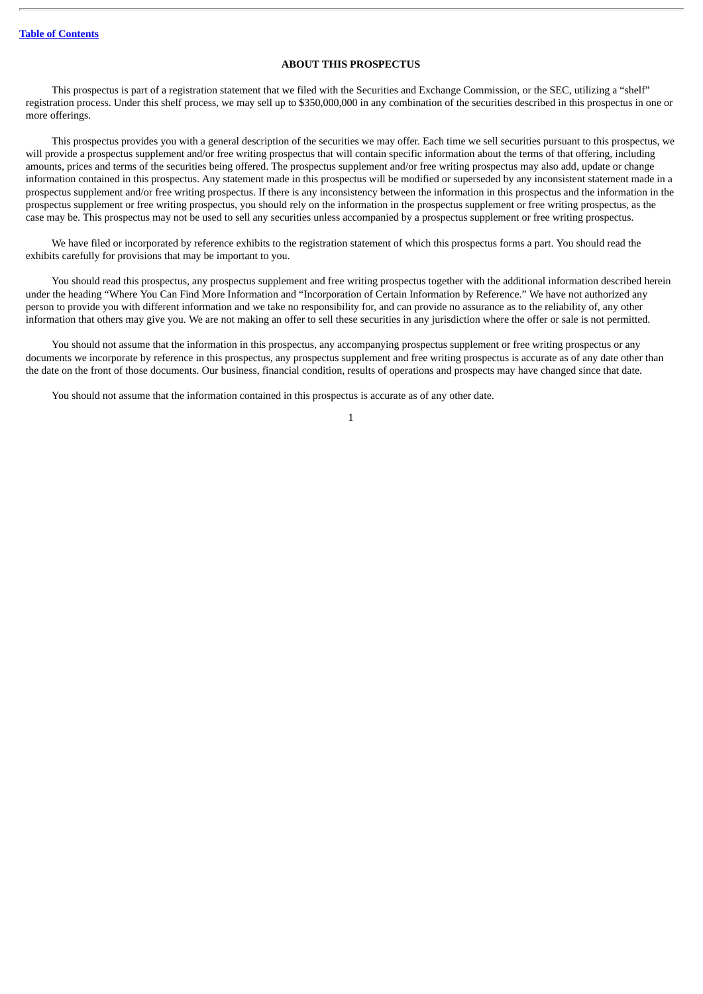#### **ABOUT THIS PROSPECTUS**

<span id="page-30-0"></span>This prospectus is part of a registration statement that we filed with the Securities and Exchange Commission, or the SEC, utilizing a "shelf" registration process. Under this shelf process, we may sell up to \$350,000,000 in any combination of the securities described in this prospectus in one or more offerings.

This prospectus provides you with a general description of the securities we may offer. Each time we sell securities pursuant to this prospectus, we will provide a prospectus supplement and/or free writing prospectus that will contain specific information about the terms of that offering, including amounts, prices and terms of the securities being offered. The prospectus supplement and/or free writing prospectus may also add, update or change information contained in this prospectus. Any statement made in this prospectus will be modified or superseded by any inconsistent statement made in a prospectus supplement and/or free writing prospectus. If there is any inconsistency between the information in this prospectus and the information in the prospectus supplement or free writing prospectus, you should rely on the information in the prospectus supplement or free writing prospectus, as the case may be. This prospectus may not be used to sell any securities unless accompanied by a prospectus supplement or free writing prospectus.

We have filed or incorporated by reference exhibits to the registration statement of which this prospectus forms a part. You should read the exhibits carefully for provisions that may be important to you.

You should read this prospectus, any prospectus supplement and free writing prospectus together with the additional information described herein under the heading "Where You Can Find More Information and "Incorporation of Certain Information by Reference." We have not authorized any person to provide you with different information and we take no responsibility for, and can provide no assurance as to the reliability of, any other information that others may give you. We are not making an offer to sell these securities in any jurisdiction where the offer or sale is not permitted.

You should not assume that the information in this prospectus, any accompanying prospectus supplement or free writing prospectus or any documents we incorporate by reference in this prospectus, any prospectus supplement and free writing prospectus is accurate as of any date other than the date on the front of those documents. Our business, financial condition, results of operations and prospects may have changed since that date.

You should not assume that the information contained in this prospectus is accurate as of any other date.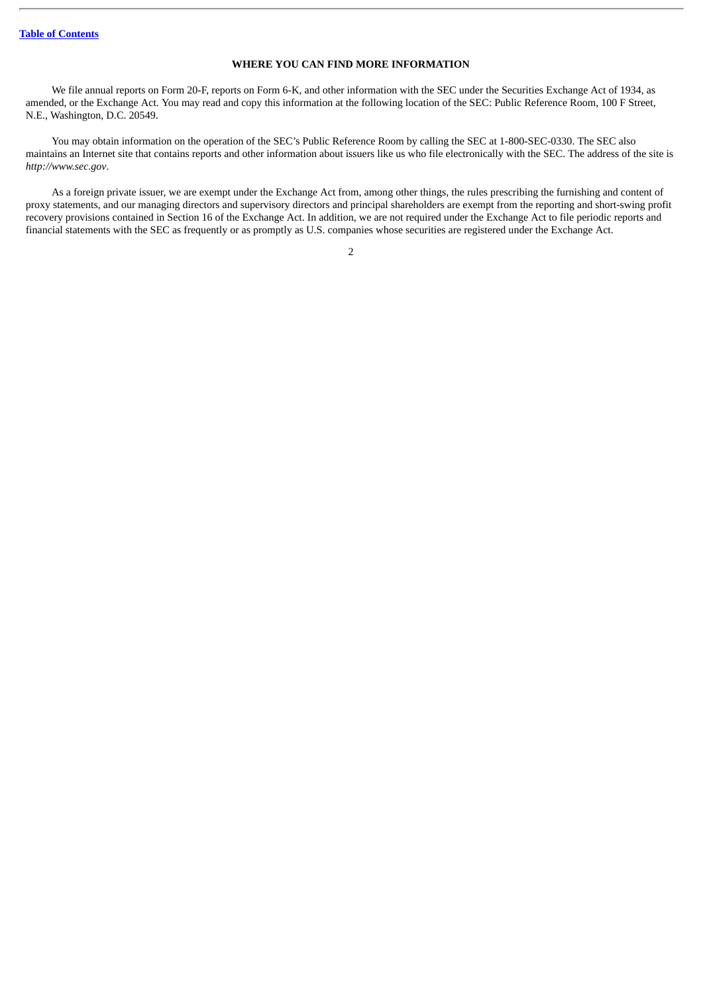#### **WHERE YOU CAN FIND MORE INFORMATION**

<span id="page-31-0"></span>We file annual reports on Form 20-F, reports on Form 6-K, and other information with the SEC under the Securities Exchange Act of 1934, as amended, or the Exchange Act. You may read and copy this information at the following location of the SEC: Public Reference Room, 100 F Street, N.E., Washington, D.C. 20549.

You may obtain information on the operation of the SEC's Public Reference Room by calling the SEC at 1-800-SEC-0330. The SEC also maintains an Internet site that contains reports and other information about issuers like us who file electronically with the SEC. The address of the site is *http://www.sec.gov*.

As a foreign private issuer, we are exempt under the Exchange Act from, among other things, the rules prescribing the furnishing and content of proxy statements, and our managing directors and supervisory directors and principal shareholders are exempt from the reporting and short-swing profit recovery provisions contained in Section 16 of the Exchange Act. In addition, we are not required under the Exchange Act to file periodic reports and financial statements with the SEC as frequently or as promptly as U.S. companies whose securities are registered under the Exchange Act.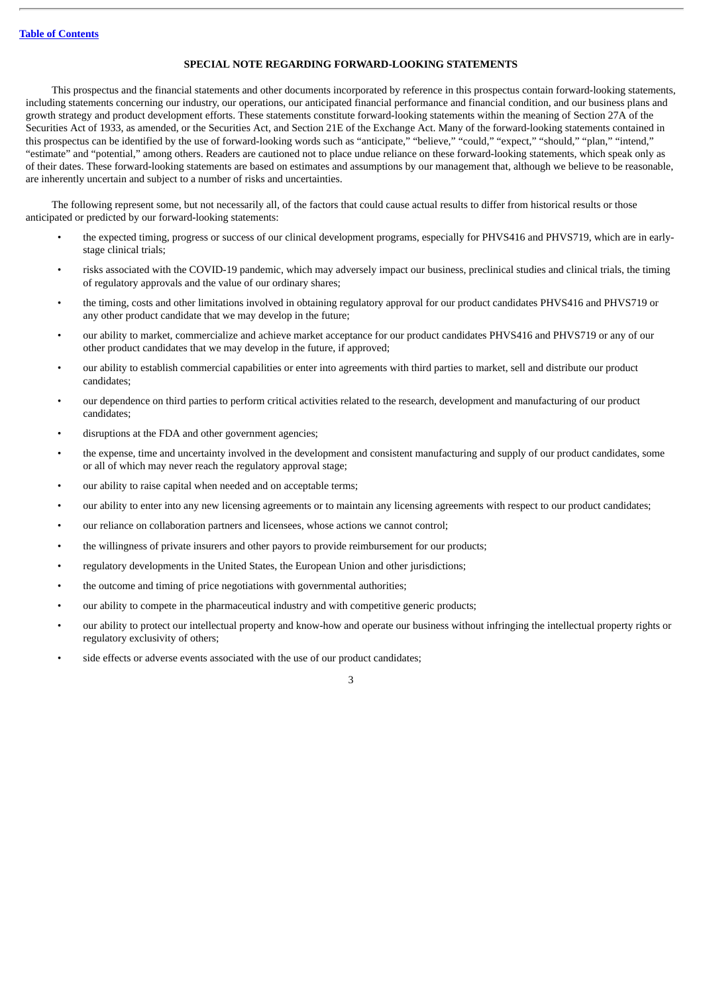#### **SPECIAL NOTE REGARDING FORWARD-LOOKING STATEMENTS**

<span id="page-32-0"></span>This prospectus and the financial statements and other documents incorporated by reference in this prospectus contain forward-looking statements, including statements concerning our industry, our operations, our anticipated financial performance and financial condition, and our business plans and growth strategy and product development efforts. These statements constitute forward-looking statements within the meaning of Section 27A of the Securities Act of 1933, as amended, or the Securities Act, and Section 21E of the Exchange Act. Many of the forward-looking statements contained in this prospectus can be identified by the use of forward-looking words such as "anticipate," "believe," "could," "expect," "should," "plan," "intend," "estimate" and "potential," among others. Readers are cautioned not to place undue reliance on these forward-looking statements, which speak only as of their dates. These forward-looking statements are based on estimates and assumptions by our management that, although we believe to be reasonable, are inherently uncertain and subject to a number of risks and uncertainties.

The following represent some, but not necessarily all, of the factors that could cause actual results to differ from historical results or those anticipated or predicted by our forward-looking statements:

- the expected timing, progress or success of our clinical development programs, especially for PHVS416 and PHVS719, which are in earlystage clinical trials;
- risks associated with the COVID-19 pandemic, which may adversely impact our business, preclinical studies and clinical trials, the timing of regulatory approvals and the value of our ordinary shares;
- the timing, costs and other limitations involved in obtaining regulatory approval for our product candidates PHVS416 and PHVS719 or any other product candidate that we may develop in the future;
- our ability to market, commercialize and achieve market acceptance for our product candidates PHVS416 and PHVS719 or any of our other product candidates that we may develop in the future, if approved;
- our ability to establish commercial capabilities or enter into agreements with third parties to market, sell and distribute our product candidates;
- our dependence on third parties to perform critical activities related to the research, development and manufacturing of our product candidates;
- disruptions at the FDA and other government agencies;
- the expense, time and uncertainty involved in the development and consistent manufacturing and supply of our product candidates, some or all of which may never reach the regulatory approval stage;
- our ability to raise capital when needed and on acceptable terms;
- our ability to enter into any new licensing agreements or to maintain any licensing agreements with respect to our product candidates;
- our reliance on collaboration partners and licensees, whose actions we cannot control;
- the willingness of private insurers and other payors to provide reimbursement for our products;
- regulatory developments in the United States, the European Union and other jurisdictions;
- the outcome and timing of price negotiations with governmental authorities;
- our ability to compete in the pharmaceutical industry and with competitive generic products;
- our ability to protect our intellectual property and know-how and operate our business without infringing the intellectual property rights or regulatory exclusivity of others;
- side effects or adverse events associated with the use of our product candidates;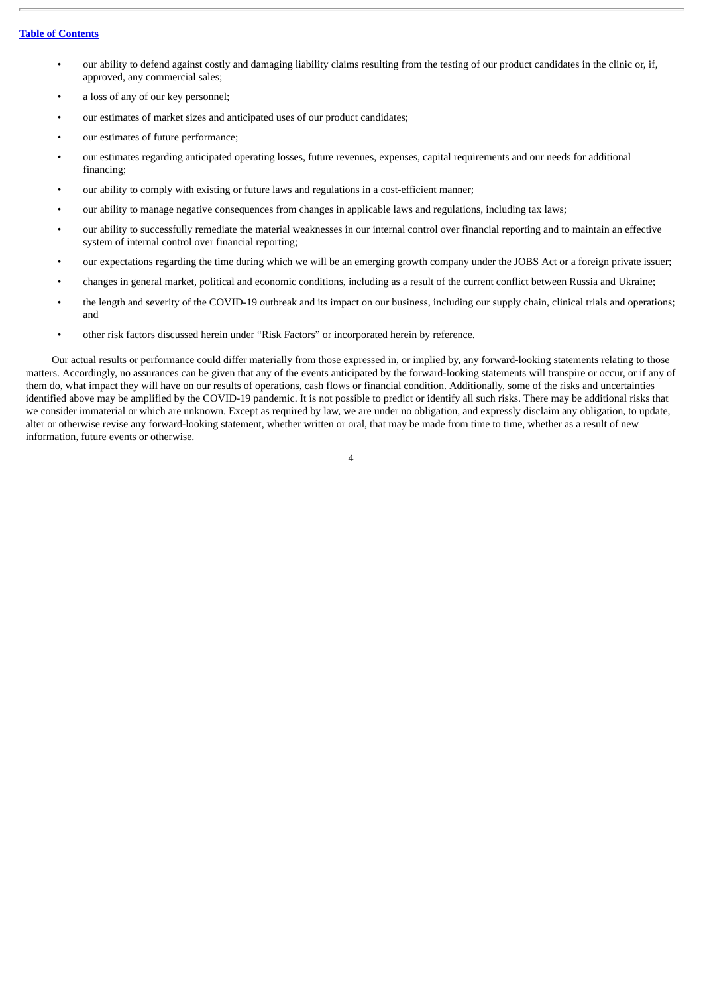#### **Table of [Contents](#page-1-0)**

- our ability to defend against costly and damaging liability claims resulting from the testing of our product candidates in the clinic or, if, approved, any commercial sales;
- a loss of any of our key personnel;
- our estimates of market sizes and anticipated uses of our product candidates;
- our estimates of future performance;
- our estimates regarding anticipated operating losses, future revenues, expenses, capital requirements and our needs for additional financing;
- our ability to comply with existing or future laws and regulations in a cost-efficient manner;
- our ability to manage negative consequences from changes in applicable laws and regulations, including tax laws;
- our ability to successfully remediate the material weaknesses in our internal control over financial reporting and to maintain an effective system of internal control over financial reporting;
- our expectations regarding the time during which we will be an emerging growth company under the JOBS Act or a foreign private issuer;
- changes in general market, political and economic conditions, including as a result of the current conflict between Russia and Ukraine;
- the length and severity of the COVID-19 outbreak and its impact on our business, including our supply chain, clinical trials and operations; and
- other risk factors discussed herein under "Risk Factors" or incorporated herein by reference.

Our actual results or performance could differ materially from those expressed in, or implied by, any forward-looking statements relating to those matters. Accordingly, no assurances can be given that any of the events anticipated by the forward-looking statements will transpire or occur, or if any of them do, what impact they will have on our results of operations, cash flows or financial condition. Additionally, some of the risks and uncertainties identified above may be amplified by the COVID-19 pandemic. It is not possible to predict or identify all such risks. There may be additional risks that we consider immaterial or which are unknown. Except as required by law, we are under no obligation, and expressly disclaim any obligation, to update, alter or otherwise revise any forward-looking statement, whether written or oral, that may be made from time to time, whether as a result of new information, future events or otherwise.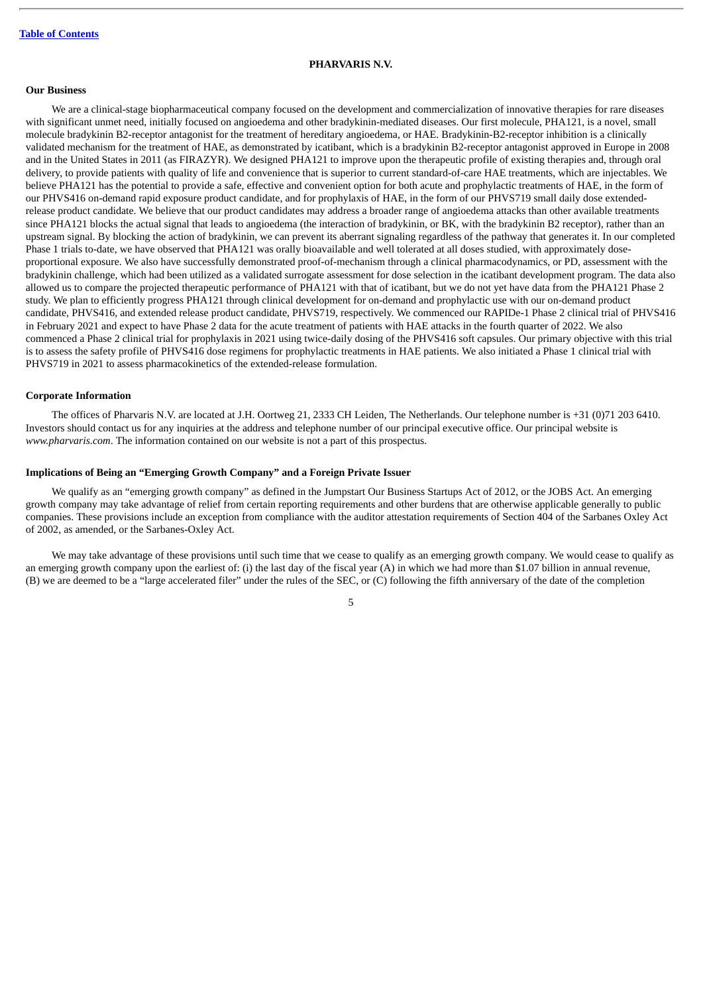#### **PHARVARIS N.V.**

#### <span id="page-34-0"></span>**Our Business**

We are a clinical-stage biopharmaceutical company focused on the development and commercialization of innovative therapies for rare diseases with significant unmet need, initially focused on angioedema and other bradykinin-mediated diseases. Our first molecule, PHA121, is a novel, small molecule bradykinin B2-receptor antagonist for the treatment of hereditary angioedema, or HAE. Bradykinin-B2-receptor inhibition is a clinically validated mechanism for the treatment of HAE, as demonstrated by icatibant, which is a bradykinin B2-receptor antagonist approved in Europe in 2008 and in the United States in 2011 (as FIRAZYR). We designed PHA121 to improve upon the therapeutic profile of existing therapies and, through oral delivery, to provide patients with quality of life and convenience that is superior to current standard-of-care HAE treatments, which are injectables. We believe PHA121 has the potential to provide a safe, effective and convenient option for both acute and prophylactic treatments of HAE, in the form of our PHVS416 on-demand rapid exposure product candidate, and for prophylaxis of HAE, in the form of our PHVS719 small daily dose extendedrelease product candidate. We believe that our product candidates may address a broader range of angioedema attacks than other available treatments since PHA121 blocks the actual signal that leads to angioedema (the interaction of bradykinin, or BK, with the bradykinin B2 receptor), rather than an upstream signal. By blocking the action of bradykinin, we can prevent its aberrant signaling regardless of the pathway that generates it. In our completed Phase 1 trials to-date, we have observed that PHA121 was orally bioavailable and well tolerated at all doses studied, with approximately doseproportional exposure. We also have successfully demonstrated proof-of-mechanism through a clinical pharmacodynamics, or PD, assessment with the bradykinin challenge, which had been utilized as a validated surrogate assessment for dose selection in the icatibant development program. The data also allowed us to compare the projected therapeutic performance of PHA121 with that of icatibant, but we do not yet have data from the PHA121 Phase 2 study. We plan to efficiently progress PHA121 through clinical development for on-demand and prophylactic use with our on-demand product candidate, PHVS416, and extended release product candidate, PHVS719, respectively. We commenced our RAPIDe-1 Phase 2 clinical trial of PHVS416 in February 2021 and expect to have Phase 2 data for the acute treatment of patients with HAE attacks in the fourth quarter of 2022. We also commenced a Phase 2 clinical trial for prophylaxis in 2021 using twice-daily dosing of the PHVS416 soft capsules. Our primary objective with this trial is to assess the safety profile of PHVS416 dose regimens for prophylactic treatments in HAE patients. We also initiated a Phase 1 clinical trial with PHVS719 in 2021 to assess pharmacokinetics of the extended-release formulation.

#### **Corporate Information**

The offices of Pharvaris N.V. are located at J.H. Oortweg 21, 2333 CH Leiden, The Netherlands. Our telephone number is +31 (0)71 203 6410. Investors should contact us for any inquiries at the address and telephone number of our principal executive office. Our principal website is *www.pharvaris.com*. The information contained on our website is not a part of this prospectus.

#### **Implications of Being an "Emerging Growth Company" and a Foreign Private Issuer**

We qualify as an "emerging growth company" as defined in the Jumpstart Our Business Startups Act of 2012, or the JOBS Act. An emerging growth company may take advantage of relief from certain reporting requirements and other burdens that are otherwise applicable generally to public companies. These provisions include an exception from compliance with the auditor attestation requirements of Section 404 of the Sarbanes Oxley Act of 2002, as amended, or the Sarbanes-Oxley Act.

We may take advantage of these provisions until such time that we cease to qualify as an emerging growth company. We would cease to qualify as an emerging growth company upon the earliest of: (i) the last day of the fiscal year (A) in which we had more than \$1.07 billion in annual revenue, (B) we are deemed to be a "large accelerated filer" under the rules of the SEC, or (C) following the fifth anniversary of the date of the completion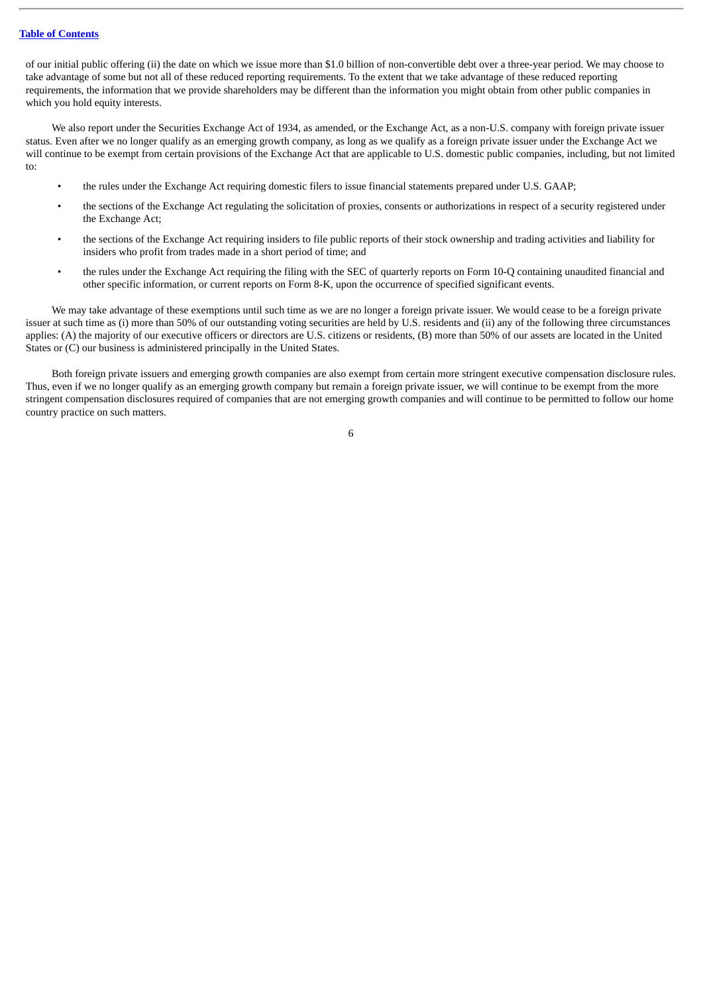#### **Table of [Contents](#page-1-0)**

of our initial public offering (ii) the date on which we issue more than \$1.0 billion of non-convertible debt over a three-year period. We may choose to take advantage of some but not all of these reduced reporting requirements. To the extent that we take advantage of these reduced reporting requirements, the information that we provide shareholders may be different than the information you might obtain from other public companies in which you hold equity interests.

We also report under the Securities Exchange Act of 1934, as amended, or the Exchange Act, as a non-U.S. company with foreign private issuer status. Even after we no longer qualify as an emerging growth company, as long as we qualify as a foreign private issuer under the Exchange Act we will continue to be exempt from certain provisions of the Exchange Act that are applicable to U.S. domestic public companies, including, but not limited to:

- the rules under the Exchange Act requiring domestic filers to issue financial statements prepared under U.S. GAAP;
- the sections of the Exchange Act regulating the solicitation of proxies, consents or authorizations in respect of a security registered under the Exchange Act;
- the sections of the Exchange Act requiring insiders to file public reports of their stock ownership and trading activities and liability for insiders who profit from trades made in a short period of time; and
- the rules under the Exchange Act requiring the filing with the SEC of quarterly reports on Form 10-Q containing unaudited financial and other specific information, or current reports on Form 8-K, upon the occurrence of specified significant events.

We may take advantage of these exemptions until such time as we are no longer a foreign private issuer. We would cease to be a foreign private issuer at such time as (i) more than 50% of our outstanding voting securities are held by U.S. residents and (ii) any of the following three circumstances applies: (A) the majority of our executive officers or directors are U.S. citizens or residents, (B) more than 50% of our assets are located in the United States or (C) our business is administered principally in the United States.

Both foreign private issuers and emerging growth companies are also exempt from certain more stringent executive compensation disclosure rules. Thus, even if we no longer qualify as an emerging growth company but remain a foreign private issuer, we will continue to be exempt from the more stringent compensation disclosures required of companies that are not emerging growth companies and will continue to be permitted to follow our home country practice on such matters.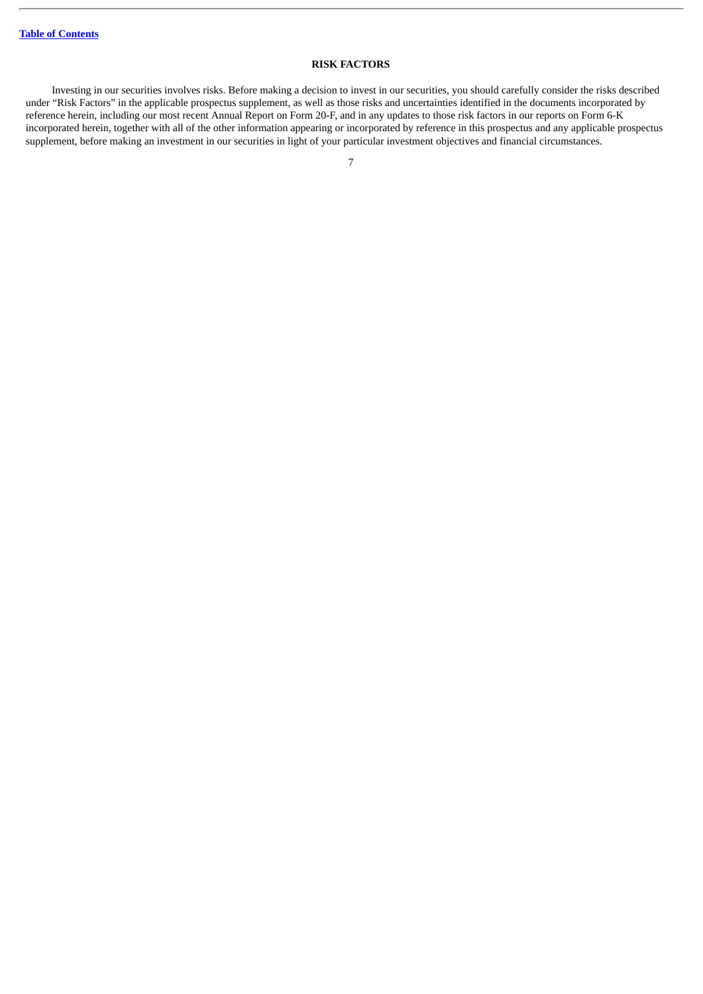## **RISK FACTORS**

Investing in our securities involves risks. Before making a decision to invest in our securities, you should carefully consider the risks described under "Risk Factors" in the applicable prospectus supplement, as well as those risks and uncertainties identified in the documents incorporated by reference herein, including our most recent Annual Report on Form 20-F, and in any updates to those risk factors in our reports on Form 6-K incorporated herein, together with all of the other information appearing or incorporated by reference in this prospectus and any applicable prospectus supplement, before making an investment in our securities in light of your particular investment objectives and financial circumstances.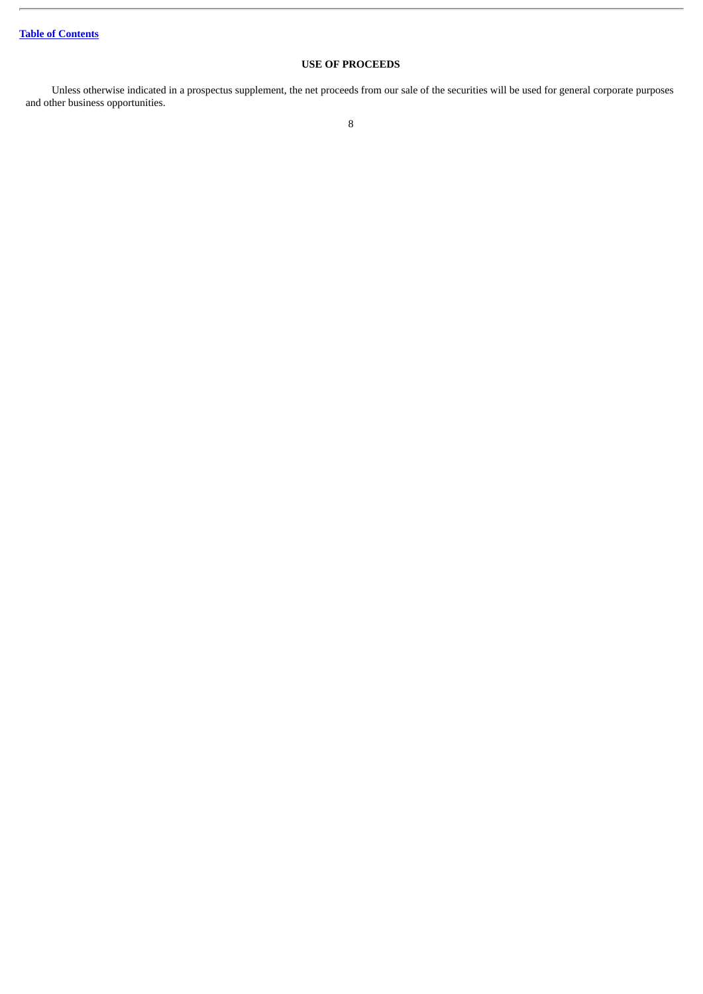# **USE OF PROCEEDS**

Unless otherwise indicated in a prospectus supplement, the net proceeds from our sale of the securities will be used for general corporate purposes and other business opportunities.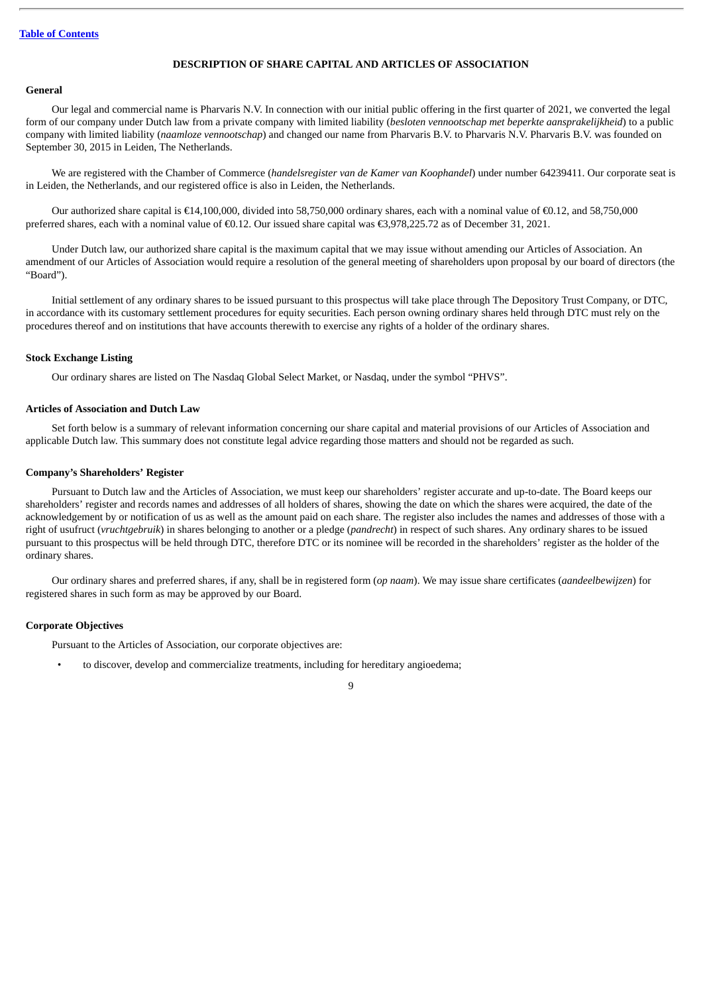## **DESCRIPTION OF SHARE CAPITAL AND ARTICLES OF ASSOCIATION**

## **General**

Our legal and commercial name is Pharvaris N.V. In connection with our initial public offering in the first quarter of 2021, we converted the legal form of our company under Dutch law from a private company with limited liability (*besloten vennootschap met beperkte aansprakelijkheid*) to a public company with limited liability (*naamloze vennootschap*) and changed our name from Pharvaris B.V. to Pharvaris N.V. Pharvaris B.V. was founded on September 30, 2015 in Leiden, The Netherlands.

We are registered with the Chamber of Commerce (*handelsregister van de Kamer van Koophandel*) under number 64239411. Our corporate seat is in Leiden, the Netherlands, and our registered office is also in Leiden, the Netherlands.

Our authorized share capital is €14,100,000, divided into 58,750,000 ordinary shares, each with a nominal value of €0.12, and 58,750,000 preferred shares, each with a nominal value of €0.12. Our issued share capital was €3,978,225.72 as of December 31, 2021.

Under Dutch law, our authorized share capital is the maximum capital that we may issue without amending our Articles of Association. An amendment of our Articles of Association would require a resolution of the general meeting of shareholders upon proposal by our board of directors (the "Board").

Initial settlement of any ordinary shares to be issued pursuant to this prospectus will take place through The Depository Trust Company, or DTC, in accordance with its customary settlement procedures for equity securities. Each person owning ordinary shares held through DTC must rely on the procedures thereof and on institutions that have accounts therewith to exercise any rights of a holder of the ordinary shares.

## **Stock Exchange Listing**

Our ordinary shares are listed on The Nasdaq Global Select Market, or Nasdaq, under the symbol "PHVS".

## **Articles of Association and Dutch Law**

Set forth below is a summary of relevant information concerning our share capital and material provisions of our Articles of Association and applicable Dutch law. This summary does not constitute legal advice regarding those matters and should not be regarded as such.

#### **Company's Shareholders' Register**

Pursuant to Dutch law and the Articles of Association, we must keep our shareholders' register accurate and up-to-date. The Board keeps our shareholders' register and records names and addresses of all holders of shares, showing the date on which the shares were acquired, the date of the acknowledgement by or notification of us as well as the amount paid on each share. The register also includes the names and addresses of those with a right of usufruct (*vruchtgebruik*) in shares belonging to another or a pledge (*pandrecht*) in respect of such shares. Any ordinary shares to be issued pursuant to this prospectus will be held through DTC, therefore DTC or its nominee will be recorded in the shareholders' register as the holder of the ordinary shares.

Our ordinary shares and preferred shares, if any, shall be in registered form (*op naam*). We may issue share certificates (*aandeelbewijzen*) for registered shares in such form as may be approved by our Board.

### **Corporate Objectives**

Pursuant to the Articles of Association, our corporate objectives are:

• to discover, develop and commercialize treatments, including for hereditary angioedema;

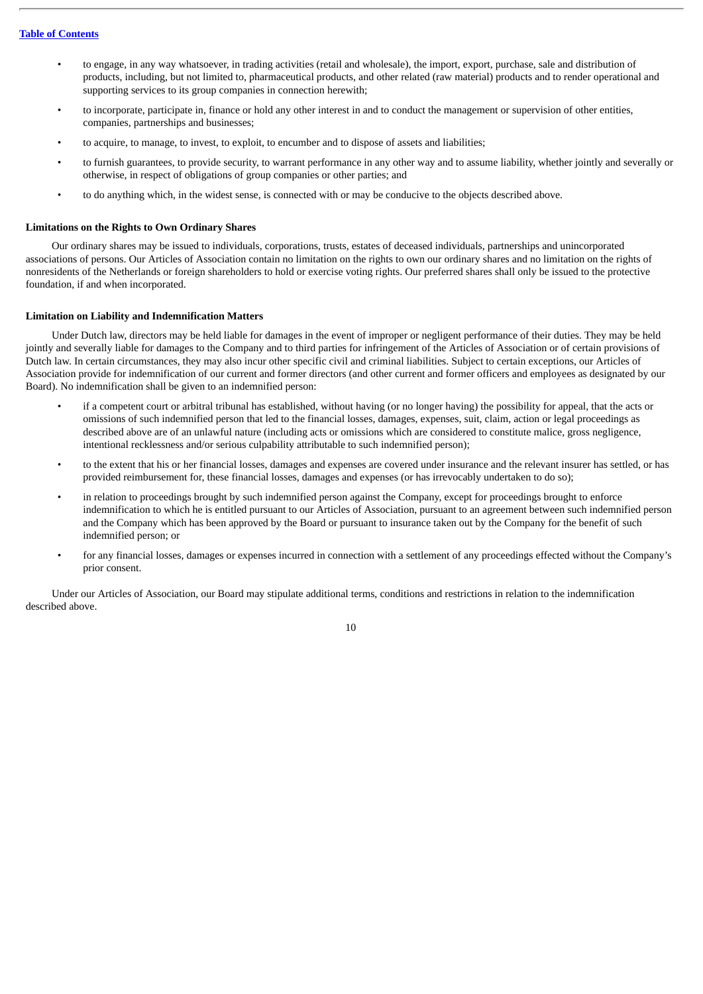- to engage, in any way whatsoever, in trading activities (retail and wholesale), the import, export, purchase, sale and distribution of products, including, but not limited to, pharmaceutical products, and other related (raw material) products and to render operational and supporting services to its group companies in connection herewith;
- to incorporate, participate in, finance or hold any other interest in and to conduct the management or supervision of other entities, companies, partnerships and businesses;
- to acquire, to manage, to invest, to exploit, to encumber and to dispose of assets and liabilities;
- to furnish guarantees, to provide security, to warrant performance in any other way and to assume liability, whether jointly and severally or otherwise, in respect of obligations of group companies or other parties; and
- to do anything which, in the widest sense, is connected with or may be conducive to the objects described above.

### **Limitations on the Rights to Own Ordinary Shares**

Our ordinary shares may be issued to individuals, corporations, trusts, estates of deceased individuals, partnerships and unincorporated associations of persons. Our Articles of Association contain no limitation on the rights to own our ordinary shares and no limitation on the rights of nonresidents of the Netherlands or foreign shareholders to hold or exercise voting rights. Our preferred shares shall only be issued to the protective foundation, if and when incorporated.

## **Limitation on Liability and Indemnification Matters**

Under Dutch law, directors may be held liable for damages in the event of improper or negligent performance of their duties. They may be held jointly and severally liable for damages to the Company and to third parties for infringement of the Articles of Association or of certain provisions of Dutch law. In certain circumstances, they may also incur other specific civil and criminal liabilities. Subject to certain exceptions, our Articles of Association provide for indemnification of our current and former directors (and other current and former officers and employees as designated by our Board). No indemnification shall be given to an indemnified person:

- if a competent court or arbitral tribunal has established, without having (or no longer having) the possibility for appeal, that the acts or omissions of such indemnified person that led to the financial losses, damages, expenses, suit, claim, action or legal proceedings as described above are of an unlawful nature (including acts or omissions which are considered to constitute malice, gross negligence, intentional recklessness and/or serious culpability attributable to such indemnified person);
- to the extent that his or her financial losses, damages and expenses are covered under insurance and the relevant insurer has settled, or has provided reimbursement for, these financial losses, damages and expenses (or has irrevocably undertaken to do so);
- in relation to proceedings brought by such indemnified person against the Company, except for proceedings brought to enforce indemnification to which he is entitled pursuant to our Articles of Association, pursuant to an agreement between such indemnified person and the Company which has been approved by the Board or pursuant to insurance taken out by the Company for the benefit of such indemnified person; or
- for any financial losses, damages or expenses incurred in connection with a settlement of any proceedings effected without the Company's prior consent.

Under our Articles of Association, our Board may stipulate additional terms, conditions and restrictions in relation to the indemnification described above.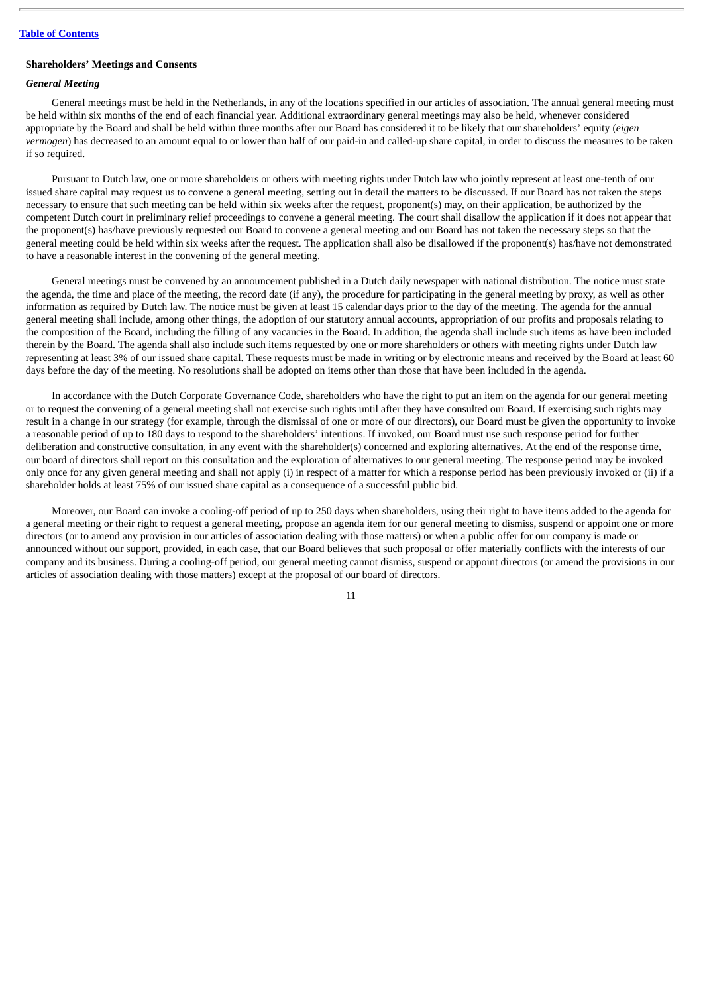## **Shareholders' Meetings and Consents**

# *General Meeting*

General meetings must be held in the Netherlands, in any of the locations specified in our articles of association. The annual general meeting must be held within six months of the end of each financial year. Additional extraordinary general meetings may also be held, whenever considered appropriate by the Board and shall be held within three months after our Board has considered it to be likely that our shareholders' equity (*eigen vermogen*) has decreased to an amount equal to or lower than half of our paid-in and called-up share capital, in order to discuss the measures to be taken if so required.

Pursuant to Dutch law, one or more shareholders or others with meeting rights under Dutch law who jointly represent at least one-tenth of our issued share capital may request us to convene a general meeting, setting out in detail the matters to be discussed. If our Board has not taken the steps necessary to ensure that such meeting can be held within six weeks after the request, proponent(s) may, on their application, be authorized by the competent Dutch court in preliminary relief proceedings to convene a general meeting. The court shall disallow the application if it does not appear that the proponent(s) has/have previously requested our Board to convene a general meeting and our Board has not taken the necessary steps so that the general meeting could be held within six weeks after the request. The application shall also be disallowed if the proponent(s) has/have not demonstrated to have a reasonable interest in the convening of the general meeting.

General meetings must be convened by an announcement published in a Dutch daily newspaper with national distribution. The notice must state the agenda, the time and place of the meeting, the record date (if any), the procedure for participating in the general meeting by proxy, as well as other information as required by Dutch law. The notice must be given at least 15 calendar days prior to the day of the meeting. The agenda for the annual general meeting shall include, among other things, the adoption of our statutory annual accounts, appropriation of our profits and proposals relating to the composition of the Board, including the filling of any vacancies in the Board. In addition, the agenda shall include such items as have been included therein by the Board. The agenda shall also include such items requested by one or more shareholders or others with meeting rights under Dutch law representing at least 3% of our issued share capital. These requests must be made in writing or by electronic means and received by the Board at least 60 days before the day of the meeting. No resolutions shall be adopted on items other than those that have been included in the agenda.

In accordance with the Dutch Corporate Governance Code, shareholders who have the right to put an item on the agenda for our general meeting or to request the convening of a general meeting shall not exercise such rights until after they have consulted our Board. If exercising such rights may result in a change in our strategy (for example, through the dismissal of one or more of our directors), our Board must be given the opportunity to invoke a reasonable period of up to 180 days to respond to the shareholders' intentions. If invoked, our Board must use such response period for further deliberation and constructive consultation, in any event with the shareholder(s) concerned and exploring alternatives. At the end of the response time, our board of directors shall report on this consultation and the exploration of alternatives to our general meeting. The response period may be invoked only once for any given general meeting and shall not apply (i) in respect of a matter for which a response period has been previously invoked or (ii) if a shareholder holds at least 75% of our issued share capital as a consequence of a successful public bid.

Moreover, our Board can invoke a cooling-off period of up to 250 days when shareholders, using their right to have items added to the agenda for a general meeting or their right to request a general meeting, propose an agenda item for our general meeting to dismiss, suspend or appoint one or more directors (or to amend any provision in our articles of association dealing with those matters) or when a public offer for our company is made or announced without our support, provided, in each case, that our Board believes that such proposal or offer materially conflicts with the interests of our company and its business. During a cooling-off period, our general meeting cannot dismiss, suspend or appoint directors (or amend the provisions in our articles of association dealing with those matters) except at the proposal of our board of directors.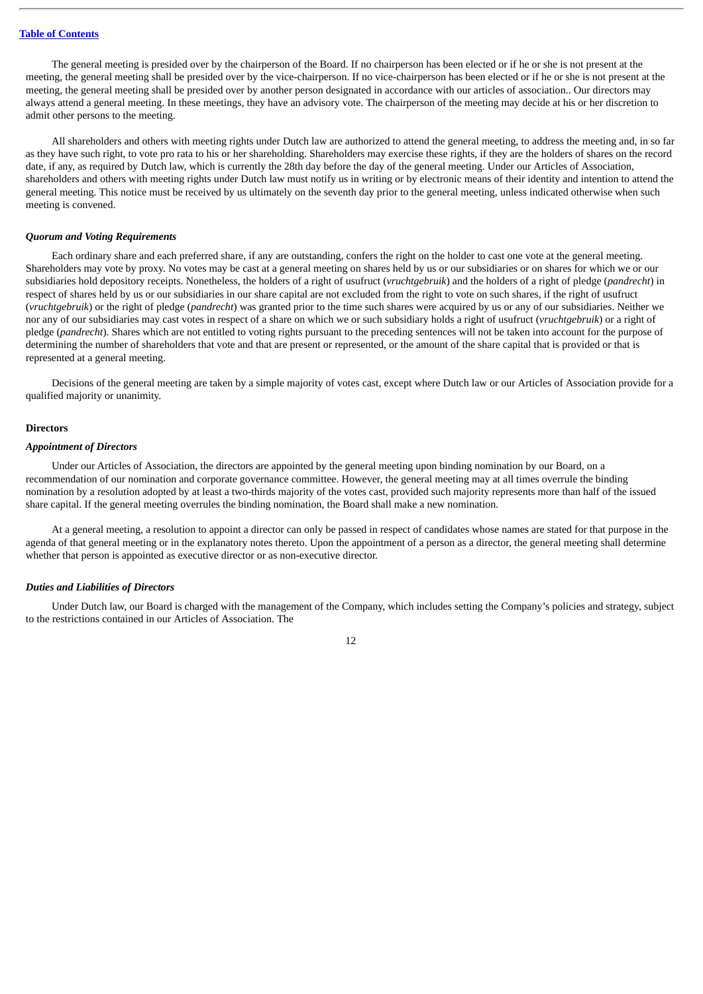The general meeting is presided over by the chairperson of the Board. If no chairperson has been elected or if he or she is not present at the meeting, the general meeting shall be presided over by the vice-chairperson. If no vice-chairperson has been elected or if he or she is not present at the meeting, the general meeting shall be presided over by another person designated in accordance with our articles of association.. Our directors may always attend a general meeting. In these meetings, they have an advisory vote. The chairperson of the meeting may decide at his or her discretion to admit other persons to the meeting.

All shareholders and others with meeting rights under Dutch law are authorized to attend the general meeting, to address the meeting and, in so far as they have such right, to vote pro rata to his or her shareholding. Shareholders may exercise these rights, if they are the holders of shares on the record date, if any, as required by Dutch law, which is currently the 28th day before the day of the general meeting. Under our Articles of Association, shareholders and others with meeting rights under Dutch law must notify us in writing or by electronic means of their identity and intention to attend the general meeting. This notice must be received by us ultimately on the seventh day prior to the general meeting, unless indicated otherwise when such meeting is convened.

#### *Quorum and Voting Requirements*

Each ordinary share and each preferred share, if any are outstanding, confers the right on the holder to cast one vote at the general meeting. Shareholders may vote by proxy. No votes may be cast at a general meeting on shares held by us or our subsidiaries or on shares for which we or our subsidiaries hold depository receipts. Nonetheless, the holders of a right of usufruct (*vruchtgebruik*) and the holders of a right of pledge (*pandrecht*) in respect of shares held by us or our subsidiaries in our share capital are not excluded from the right to vote on such shares, if the right of usufruct (*vruchtgebruik*) or the right of pledge (*pandrecht*) was granted prior to the time such shares were acquired by us or any of our subsidiaries. Neither we nor any of our subsidiaries may cast votes in respect of a share on which we or such subsidiary holds a right of usufruct (*vruchtgebruik*) or a right of pledge (*pandrecht*). Shares which are not entitled to voting rights pursuant to the preceding sentences will not be taken into account for the purpose of determining the number of shareholders that vote and that are present or represented, or the amount of the share capital that is provided or that is represented at a general meeting.

Decisions of the general meeting are taken by a simple majority of votes cast, except where Dutch law or our Articles of Association provide for a qualified majority or unanimity.

#### **Directors**

## *Appointment of Directors*

Under our Articles of Association, the directors are appointed by the general meeting upon binding nomination by our Board, on a recommendation of our nomination and corporate governance committee. However, the general meeting may at all times overrule the binding nomination by a resolution adopted by at least a two-thirds majority of the votes cast, provided such majority represents more than half of the issued share capital. If the general meeting overrules the binding nomination, the Board shall make a new nomination.

At a general meeting, a resolution to appoint a director can only be passed in respect of candidates whose names are stated for that purpose in the agenda of that general meeting or in the explanatory notes thereto. Upon the appointment of a person as a director, the general meeting shall determine whether that person is appointed as executive director or as non-executive director.

## *Duties and Liabilities of Directors*

Under Dutch law, our Board is charged with the management of the Company, which includes setting the Company's policies and strategy, subject to the restrictions contained in our Articles of Association. The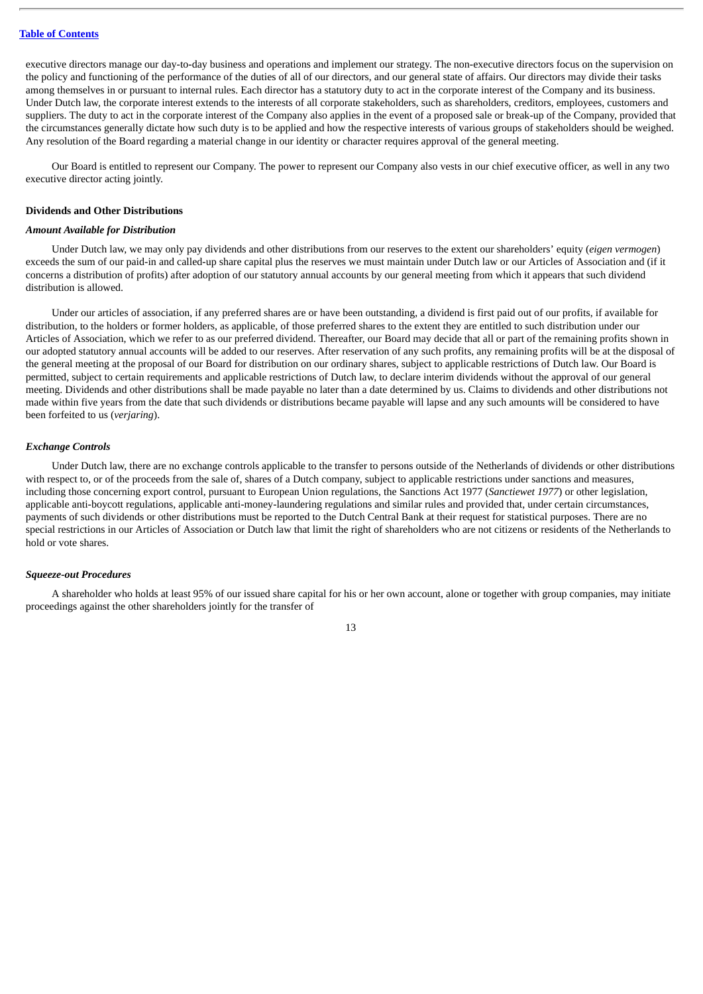executive directors manage our day-to-day business and operations and implement our strategy. The non-executive directors focus on the supervision on the policy and functioning of the performance of the duties of all of our directors, and our general state of affairs. Our directors may divide their tasks among themselves in or pursuant to internal rules. Each director has a statutory duty to act in the corporate interest of the Company and its business. Under Dutch law, the corporate interest extends to the interests of all corporate stakeholders, such as shareholders, creditors, employees, customers and suppliers. The duty to act in the corporate interest of the Company also applies in the event of a proposed sale or break-up of the Company, provided that the circumstances generally dictate how such duty is to be applied and how the respective interests of various groups of stakeholders should be weighed. Any resolution of the Board regarding a material change in our identity or character requires approval of the general meeting.

Our Board is entitled to represent our Company. The power to represent our Company also vests in our chief executive officer, as well in any two executive director acting jointly.

#### **Dividends and Other Distributions**

## *Amount Available for Distribution*

Under Dutch law, we may only pay dividends and other distributions from our reserves to the extent our shareholders' equity (*eigen vermogen*) exceeds the sum of our paid-in and called-up share capital plus the reserves we must maintain under Dutch law or our Articles of Association and (if it concerns a distribution of profits) after adoption of our statutory annual accounts by our general meeting from which it appears that such dividend distribution is allowed.

Under our articles of association, if any preferred shares are or have been outstanding, a dividend is first paid out of our profits, if available for distribution, to the holders or former holders, as applicable, of those preferred shares to the extent they are entitled to such distribution under our Articles of Association, which we refer to as our preferred dividend. Thereafter, our Board may decide that all or part of the remaining profits shown in our adopted statutory annual accounts will be added to our reserves. After reservation of any such profits, any remaining profits will be at the disposal of the general meeting at the proposal of our Board for distribution on our ordinary shares, subject to applicable restrictions of Dutch law. Our Board is permitted, subject to certain requirements and applicable restrictions of Dutch law, to declare interim dividends without the approval of our general meeting. Dividends and other distributions shall be made payable no later than a date determined by us. Claims to dividends and other distributions not made within five years from the date that such dividends or distributions became payable will lapse and any such amounts will be considered to have been forfeited to us (*verjaring*).

## *Exchange Controls*

Under Dutch law, there are no exchange controls applicable to the transfer to persons outside of the Netherlands of dividends or other distributions with respect to, or of the proceeds from the sale of, shares of a Dutch company, subject to applicable restrictions under sanctions and measures, including those concerning export control, pursuant to European Union regulations, the Sanctions Act 1977 (*Sanctiewet 1977*) or other legislation, applicable anti-boycott regulations, applicable anti-money-laundering regulations and similar rules and provided that, under certain circumstances, payments of such dividends or other distributions must be reported to the Dutch Central Bank at their request for statistical purposes. There are no special restrictions in our Articles of Association or Dutch law that limit the right of shareholders who are not citizens or residents of the Netherlands to hold or vote shares.

## *Squeeze-out Procedures*

A shareholder who holds at least 95% of our issued share capital for his or her own account, alone or together with group companies, may initiate proceedings against the other shareholders jointly for the transfer of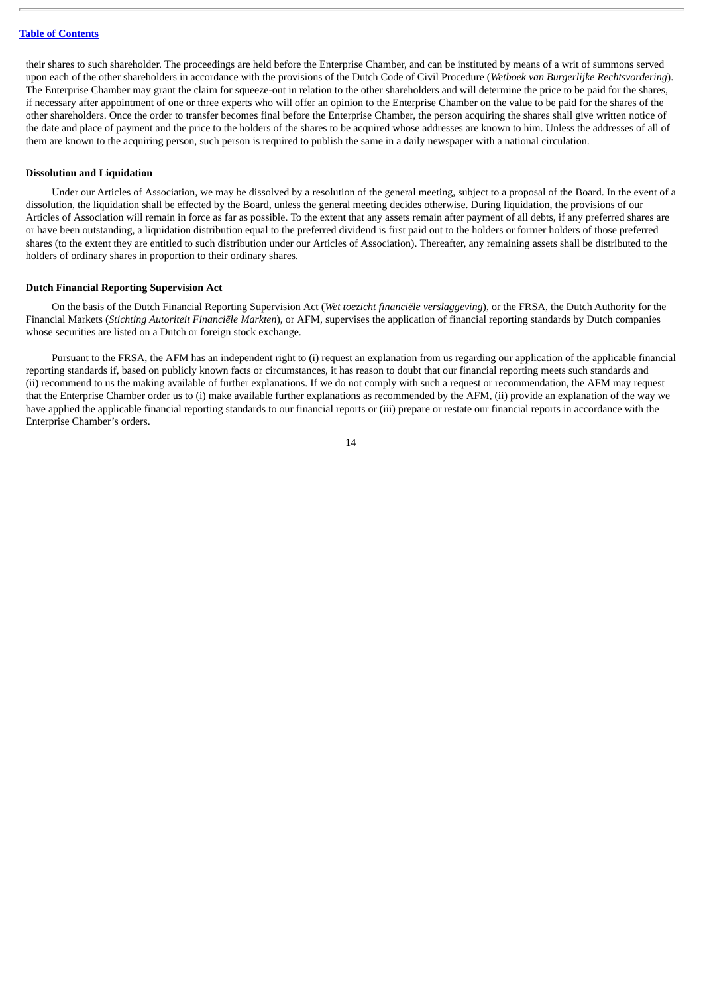their shares to such shareholder. The proceedings are held before the Enterprise Chamber, and can be instituted by means of a writ of summons served upon each of the other shareholders in accordance with the provisions of the Dutch Code of Civil Procedure (*Wetboek van Burgerlijke Rechtsvordering*). The Enterprise Chamber may grant the claim for squeeze-out in relation to the other shareholders and will determine the price to be paid for the shares, if necessary after appointment of one or three experts who will offer an opinion to the Enterprise Chamber on the value to be paid for the shares of the other shareholders. Once the order to transfer becomes final before the Enterprise Chamber, the person acquiring the shares shall give written notice of the date and place of payment and the price to the holders of the shares to be acquired whose addresses are known to him. Unless the addresses of all of them are known to the acquiring person, such person is required to publish the same in a daily newspaper with a national circulation.

#### **Dissolution and Liquidation**

Under our Articles of Association, we may be dissolved by a resolution of the general meeting, subject to a proposal of the Board. In the event of a dissolution, the liquidation shall be effected by the Board, unless the general meeting decides otherwise. During liquidation, the provisions of our Articles of Association will remain in force as far as possible. To the extent that any assets remain after payment of all debts, if any preferred shares are or have been outstanding, a liquidation distribution equal to the preferred dividend is first paid out to the holders or former holders of those preferred shares (to the extent they are entitled to such distribution under our Articles of Association). Thereafter, any remaining assets shall be distributed to the holders of ordinary shares in proportion to their ordinary shares.

#### **Dutch Financial Reporting Supervision Act**

On the basis of the Dutch Financial Reporting Supervision Act (*Wet toezicht financiële verslaggeving*), or the FRSA, the Dutch Authority for the Financial Markets (*Stichting Autoriteit Financiële Markten*), or AFM, supervises the application of financial reporting standards by Dutch companies whose securities are listed on a Dutch or foreign stock exchange.

Pursuant to the FRSA, the AFM has an independent right to (i) request an explanation from us regarding our application of the applicable financial reporting standards if, based on publicly known facts or circumstances, it has reason to doubt that our financial reporting meets such standards and (ii) recommend to us the making available of further explanations. If we do not comply with such a request or recommendation, the AFM may request that the Enterprise Chamber order us to (i) make available further explanations as recommended by the AFM, (ii) provide an explanation of the way we have applied the applicable financial reporting standards to our financial reports or (iii) prepare or restate our financial reports in accordance with the Enterprise Chamber's orders.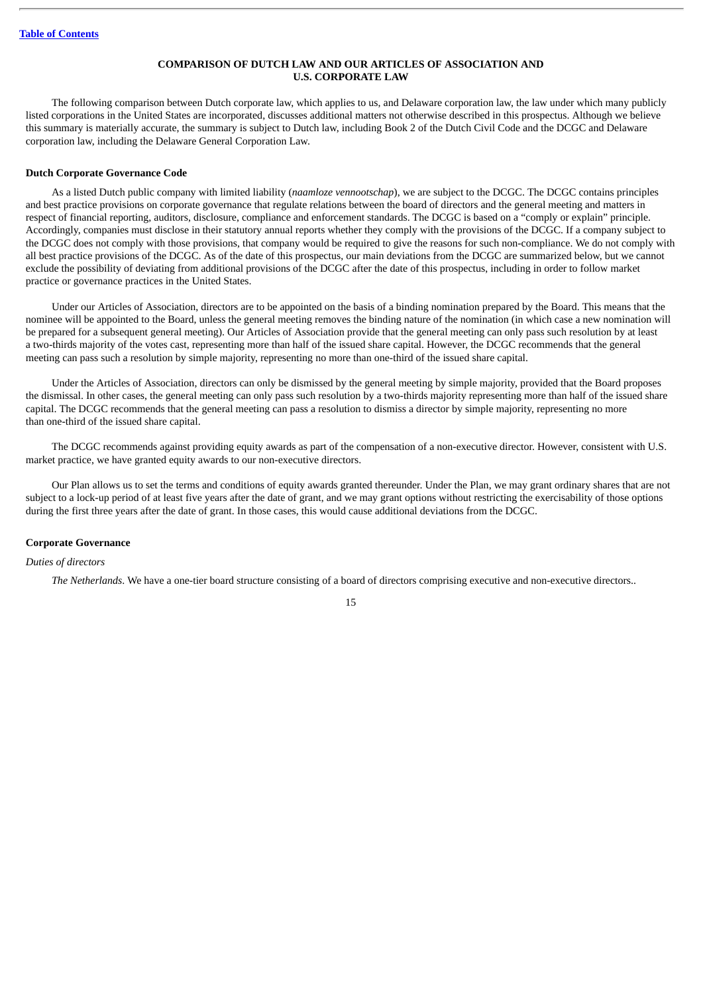## **COMPARISON OF DUTCH LAW AND OUR ARTICLES OF ASSOCIATION AND U.S. CORPORATE LAW**

The following comparison between Dutch corporate law, which applies to us, and Delaware corporation law, the law under which many publicly listed corporations in the United States are incorporated, discusses additional matters not otherwise described in this prospectus. Although we believe this summary is materially accurate, the summary is subject to Dutch law, including Book 2 of the Dutch Civil Code and the DCGC and Delaware corporation law, including the Delaware General Corporation Law.

#### **Dutch Corporate Governance Code**

As a listed Dutch public company with limited liability (*naamloze vennootschap*), we are subject to the DCGC. The DCGC contains principles and best practice provisions on corporate governance that regulate relations between the board of directors and the general meeting and matters in respect of financial reporting, auditors, disclosure, compliance and enforcement standards. The DCGC is based on a "comply or explain" principle. Accordingly, companies must disclose in their statutory annual reports whether they comply with the provisions of the DCGC. If a company subject to the DCGC does not comply with those provisions, that company would be required to give the reasons for such non-compliance. We do not comply with all best practice provisions of the DCGC. As of the date of this prospectus, our main deviations from the DCGC are summarized below, but we cannot exclude the possibility of deviating from additional provisions of the DCGC after the date of this prospectus, including in order to follow market practice or governance practices in the United States.

Under our Articles of Association, directors are to be appointed on the basis of a binding nomination prepared by the Board. This means that the nominee will be appointed to the Board, unless the general meeting removes the binding nature of the nomination (in which case a new nomination will be prepared for a subsequent general meeting). Our Articles of Association provide that the general meeting can only pass such resolution by at least a two-thirds majority of the votes cast, representing more than half of the issued share capital. However, the DCGC recommends that the general meeting can pass such a resolution by simple majority, representing no more than one-third of the issued share capital.

Under the Articles of Association, directors can only be dismissed by the general meeting by simple majority, provided that the Board proposes the dismissal. In other cases, the general meeting can only pass such resolution by a two-thirds majority representing more than half of the issued share capital. The DCGC recommends that the general meeting can pass a resolution to dismiss a director by simple majority, representing no more than one-third of the issued share capital.

The DCGC recommends against providing equity awards as part of the compensation of a non-executive director. However, consistent with U.S. market practice, we have granted equity awards to our non-executive directors.

Our Plan allows us to set the terms and conditions of equity awards granted thereunder. Under the Plan, we may grant ordinary shares that are not subject to a lock-up period of at least five years after the date of grant, and we may grant options without restricting the exercisability of those options during the first three years after the date of grant. In those cases, this would cause additional deviations from the DCGC.

#### **Corporate Governance**

# *Duties of directors*

*The Netherlands*. We have a one-tier board structure consisting of a board of directors comprising executive and non-executive directors..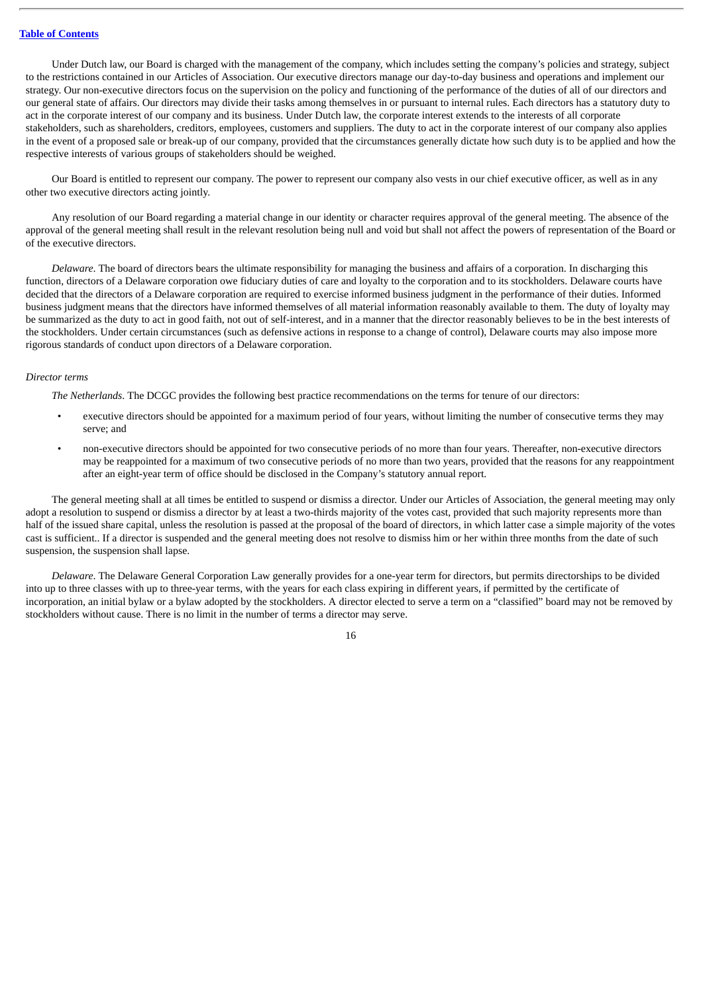Under Dutch law, our Board is charged with the management of the company, which includes setting the company's policies and strategy, subject to the restrictions contained in our Articles of Association. Our executive directors manage our day-to-day business and operations and implement our strategy. Our non-executive directors focus on the supervision on the policy and functioning of the performance of the duties of all of our directors and our general state of affairs. Our directors may divide their tasks among themselves in or pursuant to internal rules. Each directors has a statutory duty to act in the corporate interest of our company and its business. Under Dutch law, the corporate interest extends to the interests of all corporate stakeholders, such as shareholders, creditors, employees, customers and suppliers. The duty to act in the corporate interest of our company also applies in the event of a proposed sale or break-up of our company, provided that the circumstances generally dictate how such duty is to be applied and how the respective interests of various groups of stakeholders should be weighed.

Our Board is entitled to represent our company. The power to represent our company also vests in our chief executive officer, as well as in any other two executive directors acting jointly.

Any resolution of our Board regarding a material change in our identity or character requires approval of the general meeting. The absence of the approval of the general meeting shall result in the relevant resolution being null and void but shall not affect the powers of representation of the Board or of the executive directors.

*Delaware*. The board of directors bears the ultimate responsibility for managing the business and affairs of a corporation. In discharging this function, directors of a Delaware corporation owe fiduciary duties of care and loyalty to the corporation and to its stockholders. Delaware courts have decided that the directors of a Delaware corporation are required to exercise informed business judgment in the performance of their duties. Informed business judgment means that the directors have informed themselves of all material information reasonably available to them. The duty of loyalty may be summarized as the duty to act in good faith, not out of self-interest, and in a manner that the director reasonably believes to be in the best interests of the stockholders. Under certain circumstances (such as defensive actions in response to a change of control), Delaware courts may also impose more rigorous standards of conduct upon directors of a Delaware corporation.

#### *Director terms*

*The Netherlands*. The DCGC provides the following best practice recommendations on the terms for tenure of our directors:

- executive directors should be appointed for a maximum period of four years, without limiting the number of consecutive terms they may serve; and
- non-executive directors should be appointed for two consecutive periods of no more than four years. Thereafter, non-executive directors may be reappointed for a maximum of two consecutive periods of no more than two years, provided that the reasons for any reappointment after an eight-year term of office should be disclosed in the Company's statutory annual report.

The general meeting shall at all times be entitled to suspend or dismiss a director. Under our Articles of Association, the general meeting may only adopt a resolution to suspend or dismiss a director by at least a two-thirds majority of the votes cast, provided that such majority represents more than half of the issued share capital, unless the resolution is passed at the proposal of the board of directors, in which latter case a simple majority of the votes cast is sufficient.. If a director is suspended and the general meeting does not resolve to dismiss him or her within three months from the date of such suspension, the suspension shall lapse.

*Delaware*. The Delaware General Corporation Law generally provides for a one-year term for directors, but permits directorships to be divided into up to three classes with up to three-year terms, with the years for each class expiring in different years, if permitted by the certificate of incorporation, an initial bylaw or a bylaw adopted by the stockholders. A director elected to serve a term on a "classified" board may not be removed by stockholders without cause. There is no limit in the number of terms a director may serve.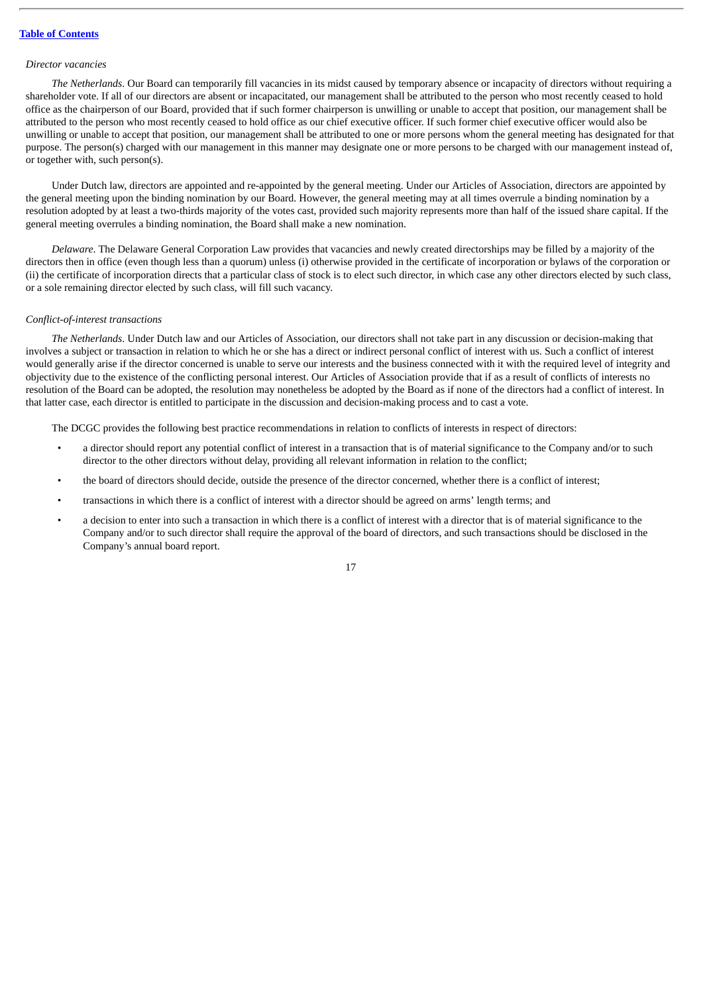#### *Director vacancies*

*The Netherlands*. Our Board can temporarily fill vacancies in its midst caused by temporary absence or incapacity of directors without requiring a shareholder vote. If all of our directors are absent or incapacitated, our management shall be attributed to the person who most recently ceased to hold office as the chairperson of our Board, provided that if such former chairperson is unwilling or unable to accept that position, our management shall be attributed to the person who most recently ceased to hold office as our chief executive officer. If such former chief executive officer would also be unwilling or unable to accept that position, our management shall be attributed to one or more persons whom the general meeting has designated for that purpose. The person(s) charged with our management in this manner may designate one or more persons to be charged with our management instead of, or together with, such person(s).

Under Dutch law, directors are appointed and re-appointed by the general meeting. Under our Articles of Association, directors are appointed by the general meeting upon the binding nomination by our Board. However, the general meeting may at all times overrule a binding nomination by a resolution adopted by at least a two-thirds majority of the votes cast, provided such majority represents more than half of the issued share capital. If the general meeting overrules a binding nomination, the Board shall make a new nomination.

*Delaware*. The Delaware General Corporation Law provides that vacancies and newly created directorships may be filled by a majority of the directors then in office (even though less than a quorum) unless (i) otherwise provided in the certificate of incorporation or bylaws of the corporation or (ii) the certificate of incorporation directs that a particular class of stock is to elect such director, in which case any other directors elected by such class, or a sole remaining director elected by such class, will fill such vacancy.

## *Conflict-of-interest transactions*

*The Netherlands*. Under Dutch law and our Articles of Association, our directors shall not take part in any discussion or decision-making that involves a subject or transaction in relation to which he or she has a direct or indirect personal conflict of interest with us. Such a conflict of interest would generally arise if the director concerned is unable to serve our interests and the business connected with it with the required level of integrity and objectivity due to the existence of the conflicting personal interest. Our Articles of Association provide that if as a result of conflicts of interests no resolution of the Board can be adopted, the resolution may nonetheless be adopted by the Board as if none of the directors had a conflict of interest. In that latter case, each director is entitled to participate in the discussion and decision-making process and to cast a vote.

The DCGC provides the following best practice recommendations in relation to conflicts of interests in respect of directors:

- a director should report any potential conflict of interest in a transaction that is of material significance to the Company and/or to such director to the other directors without delay, providing all relevant information in relation to the conflict;
- the board of directors should decide, outside the presence of the director concerned, whether there is a conflict of interest;
- transactions in which there is a conflict of interest with a director should be agreed on arms' length terms; and
- a decision to enter into such a transaction in which there is a conflict of interest with a director that is of material significance to the Company and/or to such director shall require the approval of the board of directors, and such transactions should be disclosed in the Company's annual board report.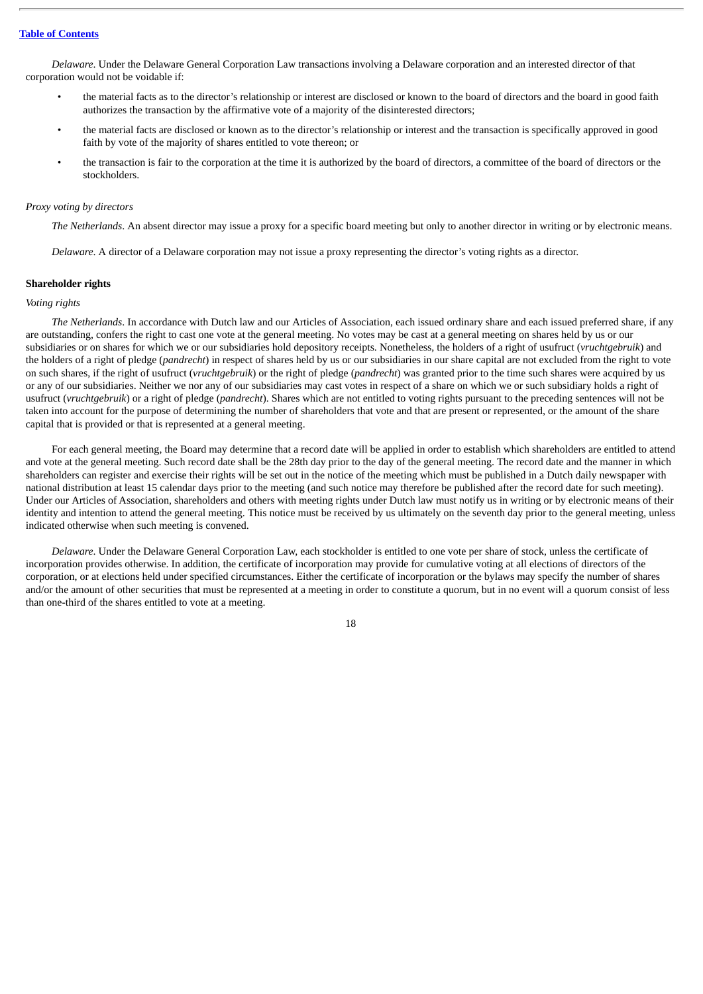*Delaware*. Under the Delaware General Corporation Law transactions involving a Delaware corporation and an interested director of that corporation would not be voidable if:

- the material facts as to the director's relationship or interest are disclosed or known to the board of directors and the board in good faith authorizes the transaction by the affirmative vote of a majority of the disinterested directors;
- the material facts are disclosed or known as to the director's relationship or interest and the transaction is specifically approved in good faith by vote of the majority of shares entitled to vote thereon; or
- the transaction is fair to the corporation at the time it is authorized by the board of directors, a committee of the board of directors or the stockholders.

## *Proxy voting by directors*

*The Netherlands*. An absent director may issue a proxy for a specific board meeting but only to another director in writing or by electronic means.

*Delaware*. A director of a Delaware corporation may not issue a proxy representing the director's voting rights as a director.

#### **Shareholder rights**

### *Voting rights*

*The Netherlands*. In accordance with Dutch law and our Articles of Association, each issued ordinary share and each issued preferred share, if any are outstanding, confers the right to cast one vote at the general meeting. No votes may be cast at a general meeting on shares held by us or our subsidiaries or on shares for which we or our subsidiaries hold depository receipts. Nonetheless, the holders of a right of usufruct (*vruchtgebruik*) and the holders of a right of pledge (*pandrecht*) in respect of shares held by us or our subsidiaries in our share capital are not excluded from the right to vote on such shares, if the right of usufruct (*vruchtgebruik*) or the right of pledge (*pandrecht*) was granted prior to the time such shares were acquired by us or any of our subsidiaries. Neither we nor any of our subsidiaries may cast votes in respect of a share on which we or such subsidiary holds a right of usufruct (*vruchtgebruik*) or a right of pledge (*pandrecht*). Shares which are not entitled to voting rights pursuant to the preceding sentences will not be taken into account for the purpose of determining the number of shareholders that vote and that are present or represented, or the amount of the share capital that is provided or that is represented at a general meeting.

For each general meeting, the Board may determine that a record date will be applied in order to establish which shareholders are entitled to attend and vote at the general meeting. Such record date shall be the 28th day prior to the day of the general meeting. The record date and the manner in which shareholders can register and exercise their rights will be set out in the notice of the meeting which must be published in a Dutch daily newspaper with national distribution at least 15 calendar days prior to the meeting (and such notice may therefore be published after the record date for such meeting). Under our Articles of Association, shareholders and others with meeting rights under Dutch law must notify us in writing or by electronic means of their identity and intention to attend the general meeting. This notice must be received by us ultimately on the seventh day prior to the general meeting, unless indicated otherwise when such meeting is convened.

*Delaware*. Under the Delaware General Corporation Law, each stockholder is entitled to one vote per share of stock, unless the certificate of incorporation provides otherwise. In addition, the certificate of incorporation may provide for cumulative voting at all elections of directors of the corporation, or at elections held under specified circumstances. Either the certificate of incorporation or the bylaws may specify the number of shares and/or the amount of other securities that must be represented at a meeting in order to constitute a quorum, but in no event will a quorum consist of less than one-third of the shares entitled to vote at a meeting.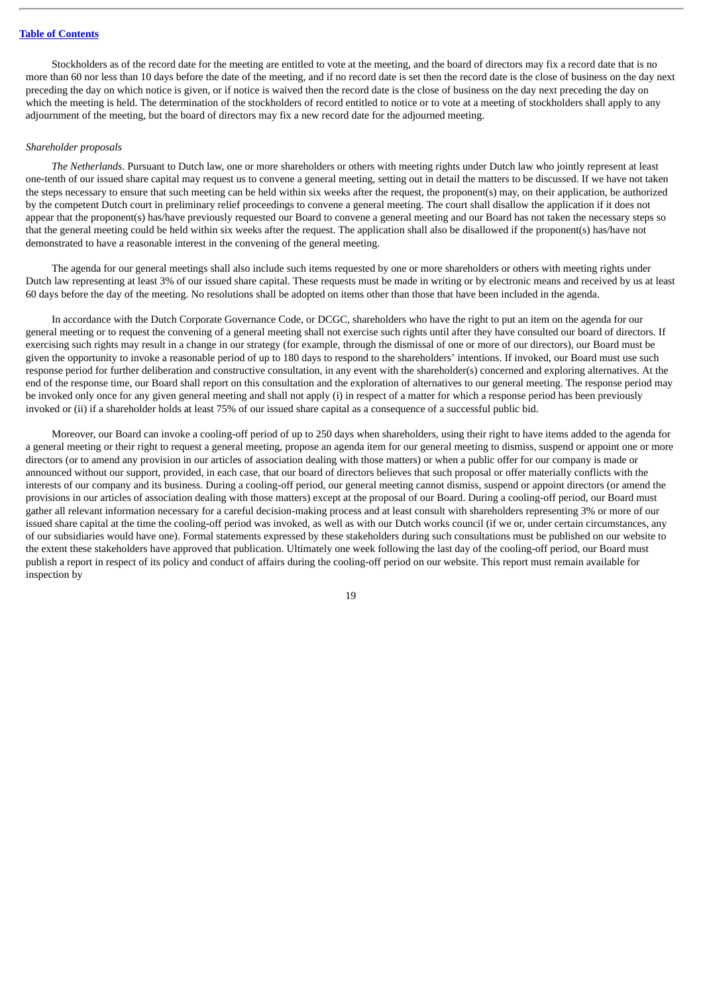Stockholders as of the record date for the meeting are entitled to vote at the meeting, and the board of directors may fix a record date that is no more than 60 nor less than 10 days before the date of the meeting, and if no record date is set then the record date is the close of business on the day next preceding the day on which notice is given, or if notice is waived then the record date is the close of business on the day next preceding the day on which the meeting is held. The determination of the stockholders of record entitled to notice or to vote at a meeting of stockholders shall apply to any adjournment of the meeting, but the board of directors may fix a new record date for the adjourned meeting.

## *Shareholder proposals*

*The Netherlands*. Pursuant to Dutch law, one or more shareholders or others with meeting rights under Dutch law who jointly represent at least one-tenth of our issued share capital may request us to convene a general meeting, setting out in detail the matters to be discussed. If we have not taken the steps necessary to ensure that such meeting can be held within six weeks after the request, the proponent(s) may, on their application, be authorized by the competent Dutch court in preliminary relief proceedings to convene a general meeting. The court shall disallow the application if it does not appear that the proponent(s) has/have previously requested our Board to convene a general meeting and our Board has not taken the necessary steps so that the general meeting could be held within six weeks after the request. The application shall also be disallowed if the proponent(s) has/have not demonstrated to have a reasonable interest in the convening of the general meeting.

The agenda for our general meetings shall also include such items requested by one or more shareholders or others with meeting rights under Dutch law representing at least 3% of our issued share capital. These requests must be made in writing or by electronic means and received by us at least 60 days before the day of the meeting. No resolutions shall be adopted on items other than those that have been included in the agenda.

In accordance with the Dutch Corporate Governance Code, or DCGC, shareholders who have the right to put an item on the agenda for our general meeting or to request the convening of a general meeting shall not exercise such rights until after they have consulted our board of directors. If exercising such rights may result in a change in our strategy (for example, through the dismissal of one or more of our directors), our Board must be given the opportunity to invoke a reasonable period of up to 180 days to respond to the shareholders' intentions. If invoked, our Board must use such response period for further deliberation and constructive consultation, in any event with the shareholder(s) concerned and exploring alternatives. At the end of the response time, our Board shall report on this consultation and the exploration of alternatives to our general meeting. The response period may be invoked only once for any given general meeting and shall not apply (i) in respect of a matter for which a response period has been previously invoked or (ii) if a shareholder holds at least 75% of our issued share capital as a consequence of a successful public bid.

Moreover, our Board can invoke a cooling-off period of up to 250 days when shareholders, using their right to have items added to the agenda for a general meeting or their right to request a general meeting, propose an agenda item for our general meeting to dismiss, suspend or appoint one or more directors (or to amend any provision in our articles of association dealing with those matters) or when a public offer for our company is made or announced without our support, provided, in each case, that our board of directors believes that such proposal or offer materially conflicts with the interests of our company and its business. During a cooling-off period, our general meeting cannot dismiss, suspend or appoint directors (or amend the provisions in our articles of association dealing with those matters) except at the proposal of our Board. During a cooling-off period, our Board must gather all relevant information necessary for a careful decision-making process and at least consult with shareholders representing 3% or more of our issued share capital at the time the cooling-off period was invoked, as well as with our Dutch works council (if we or, under certain circumstances, any of our subsidiaries would have one). Formal statements expressed by these stakeholders during such consultations must be published on our website to the extent these stakeholders have approved that publication. Ultimately one week following the last day of the cooling-off period, our Board must publish a report in respect of its policy and conduct of affairs during the cooling-off period on our website. This report must remain available for inspection by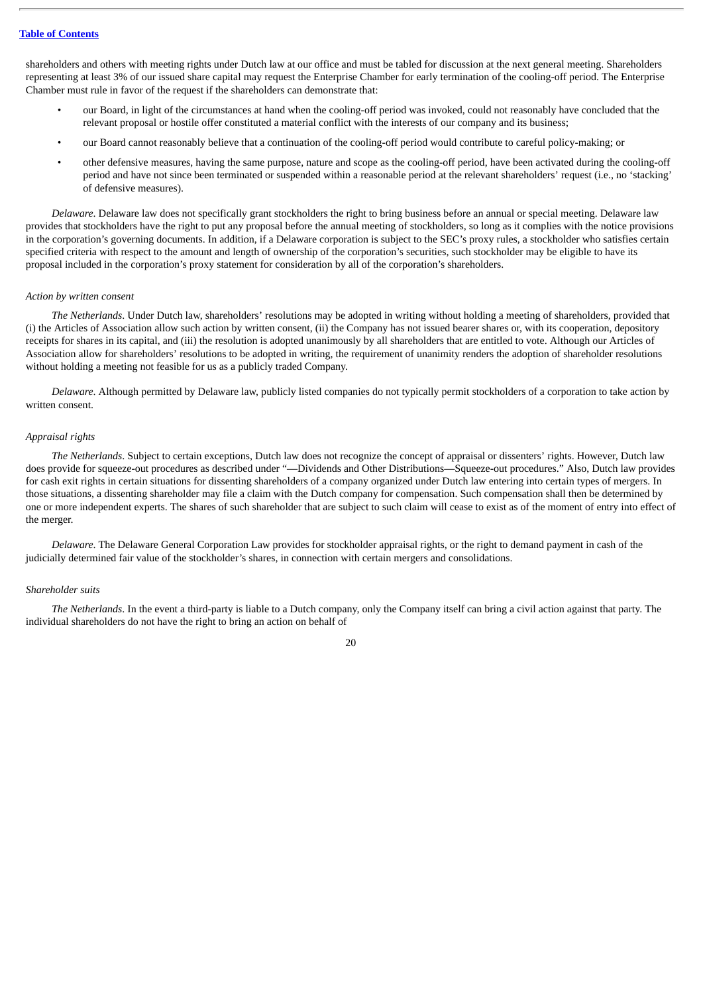shareholders and others with meeting rights under Dutch law at our office and must be tabled for discussion at the next general meeting. Shareholders representing at least 3% of our issued share capital may request the Enterprise Chamber for early termination of the cooling-off period. The Enterprise Chamber must rule in favor of the request if the shareholders can demonstrate that:

- our Board, in light of the circumstances at hand when the cooling-off period was invoked, could not reasonably have concluded that the relevant proposal or hostile offer constituted a material conflict with the interests of our company and its business;
- our Board cannot reasonably believe that a continuation of the cooling-off period would contribute to careful policy-making; or
- other defensive measures, having the same purpose, nature and scope as the cooling-off period, have been activated during the cooling-off period and have not since been terminated or suspended within a reasonable period at the relevant shareholders' request (i.e., no 'stacking' of defensive measures).

*Delaware*. Delaware law does not specifically grant stockholders the right to bring business before an annual or special meeting. Delaware law provides that stockholders have the right to put any proposal before the annual meeting of stockholders, so long as it complies with the notice provisions in the corporation's governing documents. In addition, if a Delaware corporation is subject to the SEC's proxy rules, a stockholder who satisfies certain specified criteria with respect to the amount and length of ownership of the corporation's securities, such stockholder may be eligible to have its proposal included in the corporation's proxy statement for consideration by all of the corporation's shareholders.

#### *Action by written consent*

*The Netherlands*. Under Dutch law, shareholders' resolutions may be adopted in writing without holding a meeting of shareholders, provided that (i) the Articles of Association allow such action by written consent, (ii) the Company has not issued bearer shares or, with its cooperation, depository receipts for shares in its capital, and (iii) the resolution is adopted unanimously by all shareholders that are entitled to vote. Although our Articles of Association allow for shareholders' resolutions to be adopted in writing, the requirement of unanimity renders the adoption of shareholder resolutions without holding a meeting not feasible for us as a publicly traded Company.

*Delaware*. Although permitted by Delaware law, publicly listed companies do not typically permit stockholders of a corporation to take action by written consent.

#### *Appraisal rights*

*The Netherlands*. Subject to certain exceptions, Dutch law does not recognize the concept of appraisal or dissenters' rights. However, Dutch law does provide for squeeze-out procedures as described under "—Dividends and Other Distributions—Squeeze-out procedures." Also, Dutch law provides for cash exit rights in certain situations for dissenting shareholders of a company organized under Dutch law entering into certain types of mergers. In those situations, a dissenting shareholder may file a claim with the Dutch company for compensation. Such compensation shall then be determined by one or more independent experts. The shares of such shareholder that are subject to such claim will cease to exist as of the moment of entry into effect of the merger.

*Delaware*. The Delaware General Corporation Law provides for stockholder appraisal rights, or the right to demand payment in cash of the judicially determined fair value of the stockholder's shares, in connection with certain mergers and consolidations.

#### *Shareholder suits*

*The Netherlands*. In the event a third-party is liable to a Dutch company, only the Company itself can bring a civil action against that party. The individual shareholders do not have the right to bring an action on behalf of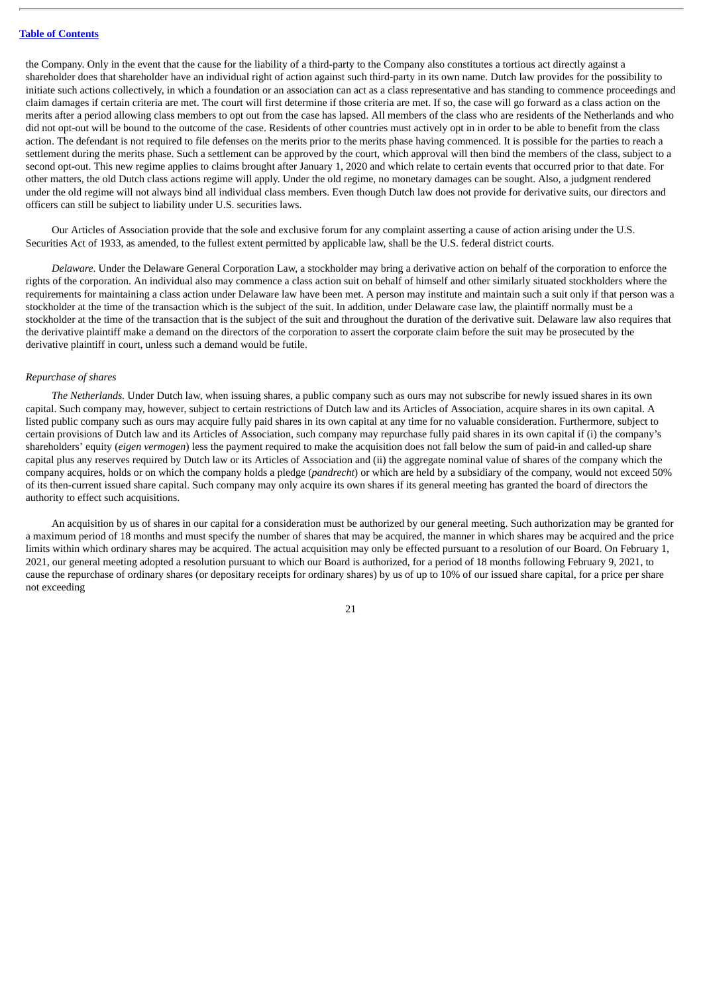the Company. Only in the event that the cause for the liability of a third-party to the Company also constitutes a tortious act directly against a shareholder does that shareholder have an individual right of action against such third-party in its own name. Dutch law provides for the possibility to initiate such actions collectively, in which a foundation or an association can act as a class representative and has standing to commence proceedings and claim damages if certain criteria are met. The court will first determine if those criteria are met. If so, the case will go forward as a class action on the merits after a period allowing class members to opt out from the case has lapsed. All members of the class who are residents of the Netherlands and who did not opt-out will be bound to the outcome of the case. Residents of other countries must actively opt in in order to be able to benefit from the class action. The defendant is not required to file defenses on the merits prior to the merits phase having commenced. It is possible for the parties to reach a settlement during the merits phase. Such a settlement can be approved by the court, which approval will then bind the members of the class, subject to a second opt-out. This new regime applies to claims brought after January 1, 2020 and which relate to certain events that occurred prior to that date. For other matters, the old Dutch class actions regime will apply. Under the old regime, no monetary damages can be sought. Also, a judgment rendered under the old regime will not always bind all individual class members. Even though Dutch law does not provide for derivative suits, our directors and officers can still be subject to liability under U.S. securities laws.

Our Articles of Association provide that the sole and exclusive forum for any complaint asserting a cause of action arising under the U.S. Securities Act of 1933, as amended, to the fullest extent permitted by applicable law, shall be the U.S. federal district courts.

*Delaware*. Under the Delaware General Corporation Law, a stockholder may bring a derivative action on behalf of the corporation to enforce the rights of the corporation. An individual also may commence a class action suit on behalf of himself and other similarly situated stockholders where the requirements for maintaining a class action under Delaware law have been met. A person may institute and maintain such a suit only if that person was a stockholder at the time of the transaction which is the subject of the suit. In addition, under Delaware case law, the plaintiff normally must be a stockholder at the time of the transaction that is the subject of the suit and throughout the duration of the derivative suit. Delaware law also requires that the derivative plaintiff make a demand on the directors of the corporation to assert the corporate claim before the suit may be prosecuted by the derivative plaintiff in court, unless such a demand would be futile.

#### *Repurchase of shares*

*The Netherlands.* Under Dutch law, when issuing shares, a public company such as ours may not subscribe for newly issued shares in its own capital. Such company may, however, subject to certain restrictions of Dutch law and its Articles of Association, acquire shares in its own capital. A listed public company such as ours may acquire fully paid shares in its own capital at any time for no valuable consideration. Furthermore, subject to certain provisions of Dutch law and its Articles of Association, such company may repurchase fully paid shares in its own capital if (i) the company's shareholders' equity (*eigen vermogen*) less the payment required to make the acquisition does not fall below the sum of paid-in and called-up share capital plus any reserves required by Dutch law or its Articles of Association and (ii) the aggregate nominal value of shares of the company which the company acquires, holds or on which the company holds a pledge (*pandrecht*) or which are held by a subsidiary of the company, would not exceed 50% of its then-current issued share capital. Such company may only acquire its own shares if its general meeting has granted the board of directors the authority to effect such acquisitions.

An acquisition by us of shares in our capital for a consideration must be authorized by our general meeting. Such authorization may be granted for a maximum period of 18 months and must specify the number of shares that may be acquired, the manner in which shares may be acquired and the price limits within which ordinary shares may be acquired. The actual acquisition may only be effected pursuant to a resolution of our Board. On February 1, 2021, our general meeting adopted a resolution pursuant to which our Board is authorized, for a period of 18 months following February 9, 2021, to cause the repurchase of ordinary shares (or depositary receipts for ordinary shares) by us of up to 10% of our issued share capital, for a price per share not exceeding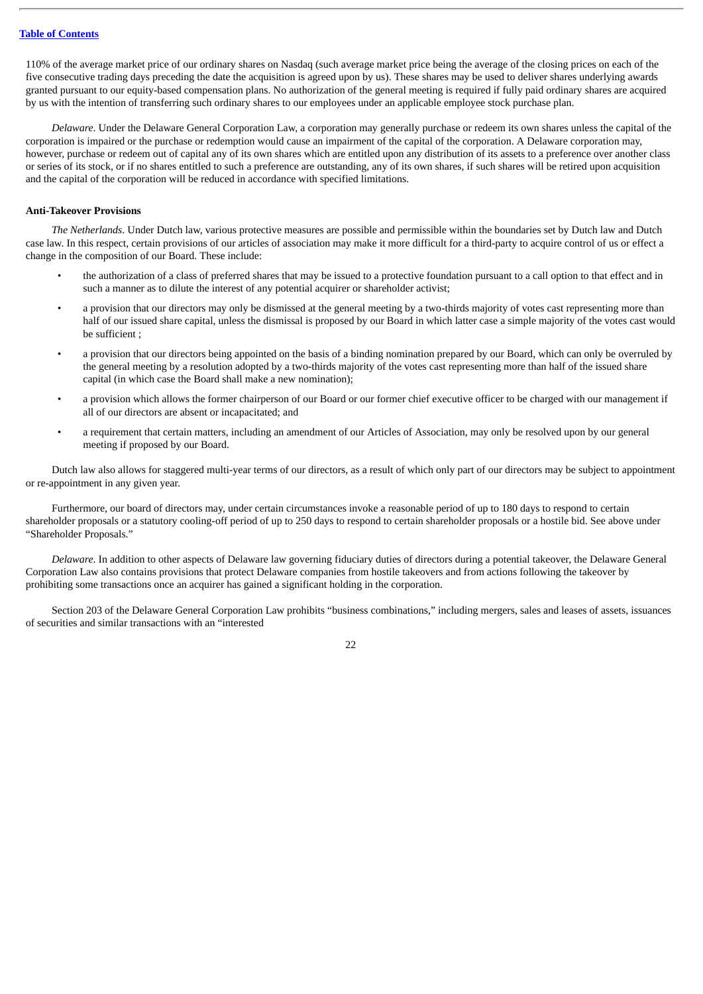110% of the average market price of our ordinary shares on Nasdaq (such average market price being the average of the closing prices on each of the five consecutive trading days preceding the date the acquisition is agreed upon by us). These shares may be used to deliver shares underlying awards granted pursuant to our equity-based compensation plans. No authorization of the general meeting is required if fully paid ordinary shares are acquired by us with the intention of transferring such ordinary shares to our employees under an applicable employee stock purchase plan.

*Delaware*. Under the Delaware General Corporation Law, a corporation may generally purchase or redeem its own shares unless the capital of the corporation is impaired or the purchase or redemption would cause an impairment of the capital of the corporation. A Delaware corporation may, however, purchase or redeem out of capital any of its own shares which are entitled upon any distribution of its assets to a preference over another class or series of its stock, or if no shares entitled to such a preference are outstanding, any of its own shares, if such shares will be retired upon acquisition and the capital of the corporation will be reduced in accordance with specified limitations.

## **Anti-Takeover Provisions**

*The Netherlands*. Under Dutch law, various protective measures are possible and permissible within the boundaries set by Dutch law and Dutch case law. In this respect, certain provisions of our articles of association may make it more difficult for a third-party to acquire control of us or effect a change in the composition of our Board. These include:

- the authorization of a class of preferred shares that may be issued to a protective foundation pursuant to a call option to that effect and in such a manner as to dilute the interest of any potential acquirer or shareholder activist;
- a provision that our directors may only be dismissed at the general meeting by a two-thirds majority of votes cast representing more than half of our issued share capital, unless the dismissal is proposed by our Board in which latter case a simple majority of the votes cast would be sufficient ;
- a provision that our directors being appointed on the basis of a binding nomination prepared by our Board, which can only be overruled by the general meeting by a resolution adopted by a two-thirds majority of the votes cast representing more than half of the issued share capital (in which case the Board shall make a new nomination);
- a provision which allows the former chairperson of our Board or our former chief executive officer to be charged with our management if all of our directors are absent or incapacitated; and
- a requirement that certain matters, including an amendment of our Articles of Association, may only be resolved upon by our general meeting if proposed by our Board.

Dutch law also allows for staggered multi-year terms of our directors, as a result of which only part of our directors may be subject to appointment or re-appointment in any given year.

Furthermore, our board of directors may, under certain circumstances invoke a reasonable period of up to 180 days to respond to certain shareholder proposals or a statutory cooling-off period of up to 250 days to respond to certain shareholder proposals or a hostile bid. See above under "Shareholder Proposals."

*Delaware*. In addition to other aspects of Delaware law governing fiduciary duties of directors during a potential takeover, the Delaware General Corporation Law also contains provisions that protect Delaware companies from hostile takeovers and from actions following the takeover by prohibiting some transactions once an acquirer has gained a significant holding in the corporation.

Section 203 of the Delaware General Corporation Law prohibits "business combinations," including mergers, sales and leases of assets, issuances of securities and similar transactions with an "interested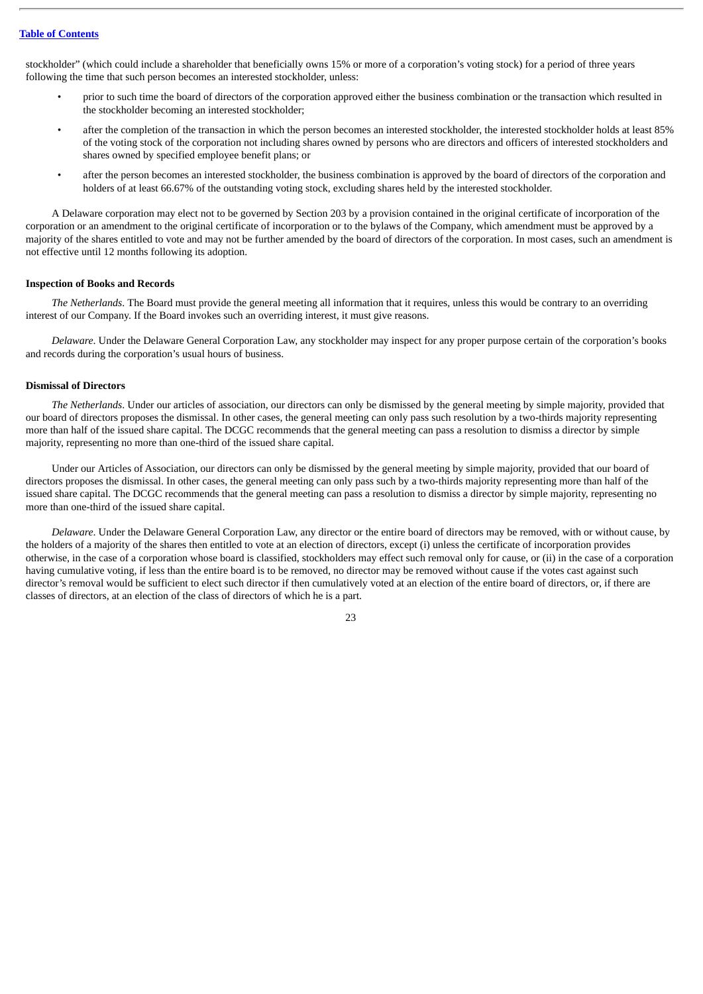stockholder" (which could include a shareholder that beneficially owns 15% or more of a corporation's voting stock) for a period of three years following the time that such person becomes an interested stockholder, unless:

- prior to such time the board of directors of the corporation approved either the business combination or the transaction which resulted in the stockholder becoming an interested stockholder;
- after the completion of the transaction in which the person becomes an interested stockholder, the interested stockholder holds at least 85% of the voting stock of the corporation not including shares owned by persons who are directors and officers of interested stockholders and shares owned by specified employee benefit plans; or
- after the person becomes an interested stockholder, the business combination is approved by the board of directors of the corporation and holders of at least 66.67% of the outstanding voting stock, excluding shares held by the interested stockholder.

A Delaware corporation may elect not to be governed by Section 203 by a provision contained in the original certificate of incorporation of the corporation or an amendment to the original certificate of incorporation or to the bylaws of the Company, which amendment must be approved by a majority of the shares entitled to vote and may not be further amended by the board of directors of the corporation. In most cases, such an amendment is not effective until 12 months following its adoption.

## **Inspection of Books and Records**

*The Netherlands*. The Board must provide the general meeting all information that it requires, unless this would be contrary to an overriding interest of our Company. If the Board invokes such an overriding interest, it must give reasons.

*Delaware*. Under the Delaware General Corporation Law, any stockholder may inspect for any proper purpose certain of the corporation's books and records during the corporation's usual hours of business.

## **Dismissal of Directors**

*The Netherlands*. Under our articles of association, our directors can only be dismissed by the general meeting by simple majority, provided that our board of directors proposes the dismissal. In other cases, the general meeting can only pass such resolution by a two-thirds majority representing more than half of the issued share capital. The DCGC recommends that the general meeting can pass a resolution to dismiss a director by simple majority, representing no more than one-third of the issued share capital.

Under our Articles of Association, our directors can only be dismissed by the general meeting by simple majority, provided that our board of directors proposes the dismissal. In other cases, the general meeting can only pass such by a two-thirds majority representing more than half of the issued share capital. The DCGC recommends that the general meeting can pass a resolution to dismiss a director by simple majority, representing no more than one-third of the issued share capital.

*Delaware*. Under the Delaware General Corporation Law, any director or the entire board of directors may be removed, with or without cause, by the holders of a majority of the shares then entitled to vote at an election of directors, except (i) unless the certificate of incorporation provides otherwise, in the case of a corporation whose board is classified, stockholders may effect such removal only for cause, or (ii) in the case of a corporation having cumulative voting, if less than the entire board is to be removed, no director may be removed without cause if the votes cast against such director's removal would be sufficient to elect such director if then cumulatively voted at an election of the entire board of directors, or, if there are classes of directors, at an election of the class of directors of which he is a part.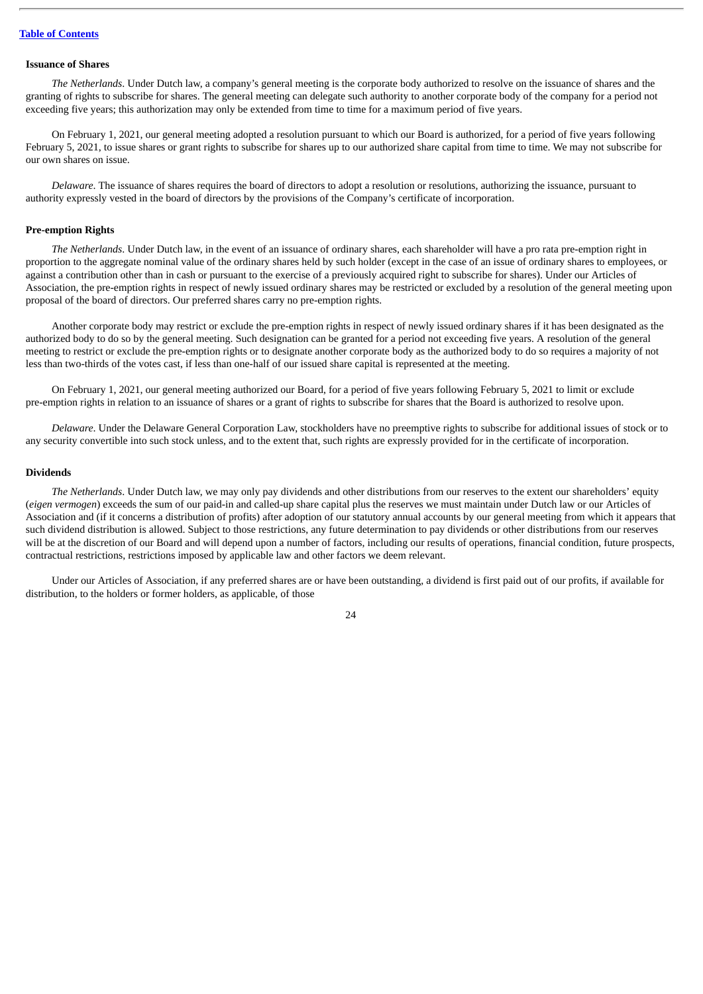#### **Issuance of Shares**

*The Netherlands*. Under Dutch law, a company's general meeting is the corporate body authorized to resolve on the issuance of shares and the granting of rights to subscribe for shares. The general meeting can delegate such authority to another corporate body of the company for a period not exceeding five years; this authorization may only be extended from time to time for a maximum period of five years.

On February 1, 2021, our general meeting adopted a resolution pursuant to which our Board is authorized, for a period of five years following February 5, 2021, to issue shares or grant rights to subscribe for shares up to our authorized share capital from time to time. We may not subscribe for our own shares on issue.

*Delaware*. The issuance of shares requires the board of directors to adopt a resolution or resolutions, authorizing the issuance, pursuant to authority expressly vested in the board of directors by the provisions of the Company's certificate of incorporation.

### **Pre-emption Rights**

*The Netherlands*. Under Dutch law, in the event of an issuance of ordinary shares, each shareholder will have a pro rata pre-emption right in proportion to the aggregate nominal value of the ordinary shares held by such holder (except in the case of an issue of ordinary shares to employees, or against a contribution other than in cash or pursuant to the exercise of a previously acquired right to subscribe for shares). Under our Articles of Association, the pre-emption rights in respect of newly issued ordinary shares may be restricted or excluded by a resolution of the general meeting upon proposal of the board of directors. Our preferred shares carry no pre-emption rights.

Another corporate body may restrict or exclude the pre-emption rights in respect of newly issued ordinary shares if it has been designated as the authorized body to do so by the general meeting. Such designation can be granted for a period not exceeding five years. A resolution of the general meeting to restrict or exclude the pre-emption rights or to designate another corporate body as the authorized body to do so requires a majority of not less than two-thirds of the votes cast, if less than one-half of our issued share capital is represented at the meeting.

On February 1, 2021, our general meeting authorized our Board, for a period of five years following February 5, 2021 to limit or exclude pre-emption rights in relation to an issuance of shares or a grant of rights to subscribe for shares that the Board is authorized to resolve upon.

*Delaware*. Under the Delaware General Corporation Law, stockholders have no preemptive rights to subscribe for additional issues of stock or to any security convertible into such stock unless, and to the extent that, such rights are expressly provided for in the certificate of incorporation.

#### **Dividends**

*The Netherlands*. Under Dutch law, we may only pay dividends and other distributions from our reserves to the extent our shareholders' equity (*eigen vermogen*) exceeds the sum of our paid-in and called-up share capital plus the reserves we must maintain under Dutch law or our Articles of Association and (if it concerns a distribution of profits) after adoption of our statutory annual accounts by our general meeting from which it appears that such dividend distribution is allowed. Subject to those restrictions, any future determination to pay dividends or other distributions from our reserves will be at the discretion of our Board and will depend upon a number of factors, including our results of operations, financial condition, future prospects, contractual restrictions, restrictions imposed by applicable law and other factors we deem relevant.

Under our Articles of Association, if any preferred shares are or have been outstanding, a dividend is first paid out of our profits, if available for distribution, to the holders or former holders, as applicable, of those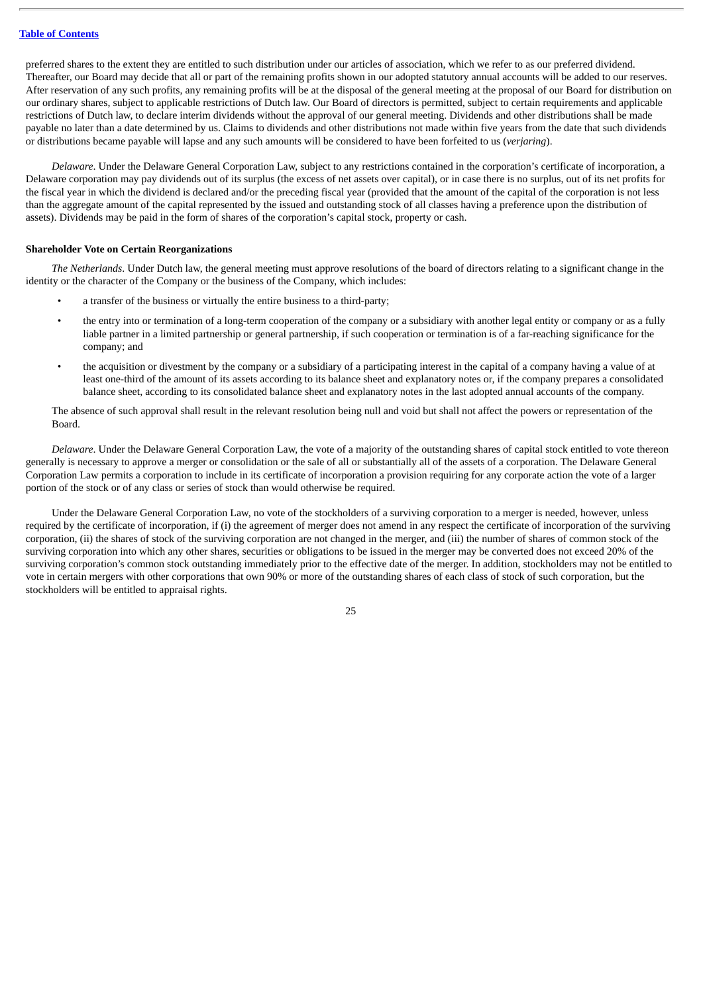preferred shares to the extent they are entitled to such distribution under our articles of association, which we refer to as our preferred dividend. Thereafter, our Board may decide that all or part of the remaining profits shown in our adopted statutory annual accounts will be added to our reserves. After reservation of any such profits, any remaining profits will be at the disposal of the general meeting at the proposal of our Board for distribution on our ordinary shares, subject to applicable restrictions of Dutch law. Our Board of directors is permitted, subject to certain requirements and applicable restrictions of Dutch law, to declare interim dividends without the approval of our general meeting. Dividends and other distributions shall be made payable no later than a date determined by us. Claims to dividends and other distributions not made within five years from the date that such dividends or distributions became payable will lapse and any such amounts will be considered to have been forfeited to us (*verjaring*).

*Delaware*. Under the Delaware General Corporation Law, subject to any restrictions contained in the corporation's certificate of incorporation, a Delaware corporation may pay dividends out of its surplus (the excess of net assets over capital), or in case there is no surplus, out of its net profits for the fiscal year in which the dividend is declared and/or the preceding fiscal year (provided that the amount of the capital of the corporation is not less than the aggregate amount of the capital represented by the issued and outstanding stock of all classes having a preference upon the distribution of assets). Dividends may be paid in the form of shares of the corporation's capital stock, property or cash.

#### **Shareholder Vote on Certain Reorganizations**

*The Netherlands*. Under Dutch law, the general meeting must approve resolutions of the board of directors relating to a significant change in the identity or the character of the Company or the business of the Company, which includes:

- a transfer of the business or virtually the entire business to a third-party;
- the entry into or termination of a long-term cooperation of the company or a subsidiary with another legal entity or company or as a fully liable partner in a limited partnership or general partnership, if such cooperation or termination is of a far-reaching significance for the company; and
- the acquisition or divestment by the company or a subsidiary of a participating interest in the capital of a company having a value of at least one-third of the amount of its assets according to its balance sheet and explanatory notes or, if the company prepares a consolidated balance sheet, according to its consolidated balance sheet and explanatory notes in the last adopted annual accounts of the company.

The absence of such approval shall result in the relevant resolution being null and void but shall not affect the powers or representation of the Board.

*Delaware*. Under the Delaware General Corporation Law, the vote of a majority of the outstanding shares of capital stock entitled to vote thereon generally is necessary to approve a merger or consolidation or the sale of all or substantially all of the assets of a corporation. The Delaware General Corporation Law permits a corporation to include in its certificate of incorporation a provision requiring for any corporate action the vote of a larger portion of the stock or of any class or series of stock than would otherwise be required.

Under the Delaware General Corporation Law, no vote of the stockholders of a surviving corporation to a merger is needed, however, unless required by the certificate of incorporation, if (i) the agreement of merger does not amend in any respect the certificate of incorporation of the surviving corporation, (ii) the shares of stock of the surviving corporation are not changed in the merger, and (iii) the number of shares of common stock of the surviving corporation into which any other shares, securities or obligations to be issued in the merger may be converted does not exceed 20% of the surviving corporation's common stock outstanding immediately prior to the effective date of the merger. In addition, stockholders may not be entitled to vote in certain mergers with other corporations that own 90% or more of the outstanding shares of each class of stock of such corporation, but the stockholders will be entitled to appraisal rights.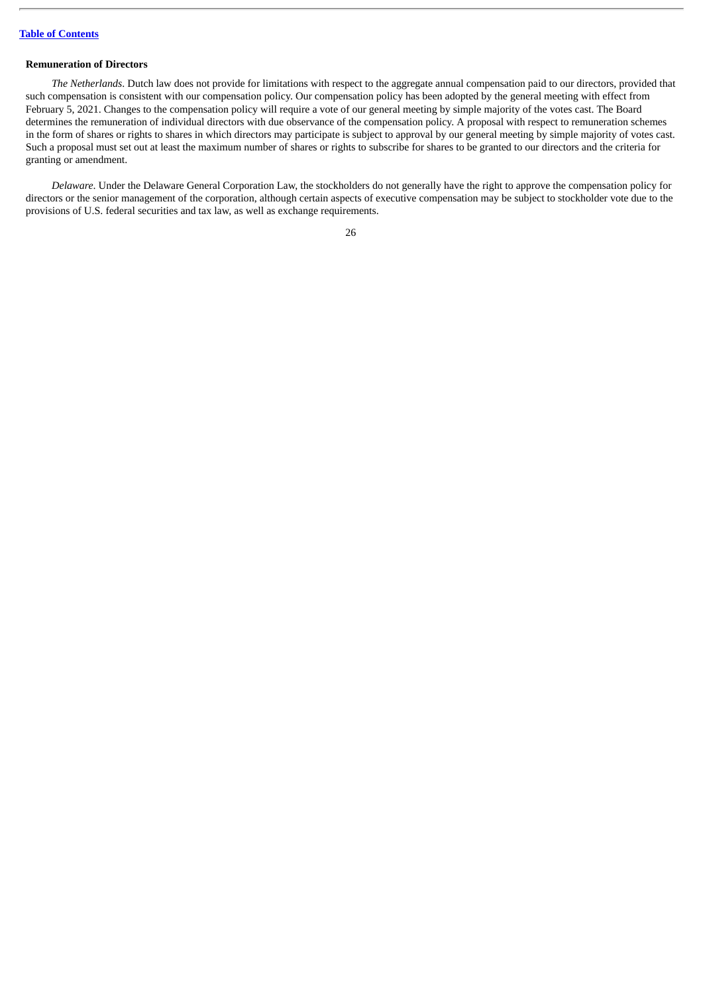# **Remuneration of Directors**

*The Netherlands*. Dutch law does not provide for limitations with respect to the aggregate annual compensation paid to our directors, provided that such compensation is consistent with our compensation policy. Our compensation policy has been adopted by the general meeting with effect from February 5, 2021. Changes to the compensation policy will require a vote of our general meeting by simple majority of the votes cast. The Board determines the remuneration of individual directors with due observance of the compensation policy. A proposal with respect to remuneration schemes in the form of shares or rights to shares in which directors may participate is subject to approval by our general meeting by simple majority of votes cast. Such a proposal must set out at least the maximum number of shares or rights to subscribe for shares to be granted to our directors and the criteria for granting or amendment.

*Delaware*. Under the Delaware General Corporation Law, the stockholders do not generally have the right to approve the compensation policy for directors or the senior management of the corporation, although certain aspects of executive compensation may be subject to stockholder vote due to the provisions of U.S. federal securities and tax law, as well as exchange requirements.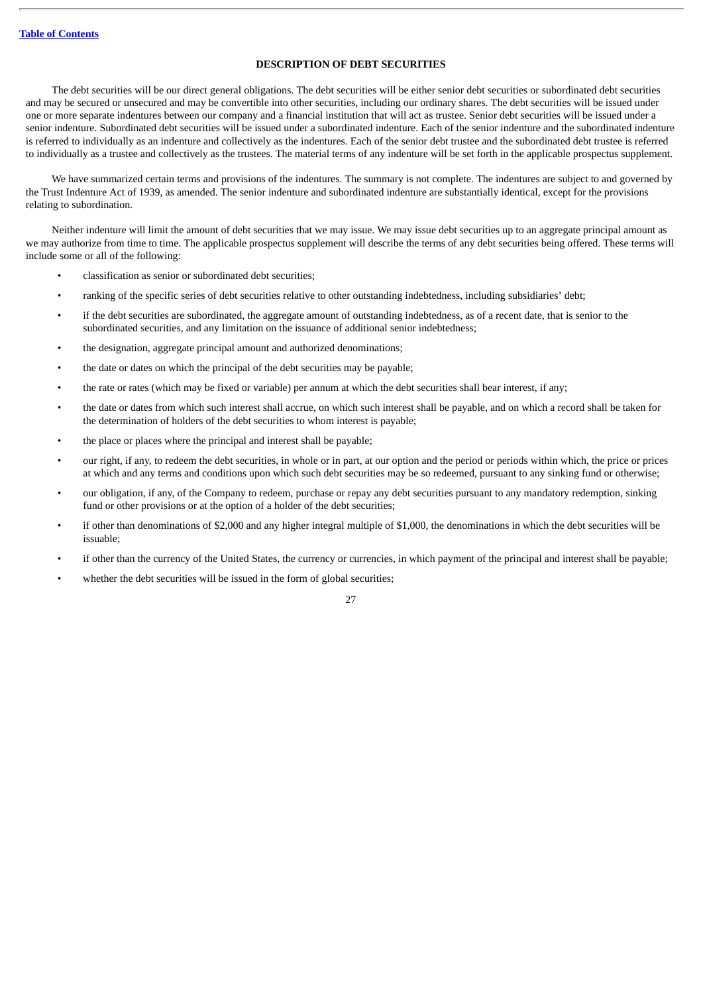## **DESCRIPTION OF DEBT SECURITIES**

The debt securities will be our direct general obligations. The debt securities will be either senior debt securities or subordinated debt securities and may be secured or unsecured and may be convertible into other securities, including our ordinary shares. The debt securities will be issued under one or more separate indentures between our company and a financial institution that will act as trustee. Senior debt securities will be issued under a senior indenture. Subordinated debt securities will be issued under a subordinated indenture. Each of the senior indenture and the subordinated indenture is referred to individually as an indenture and collectively as the indentures. Each of the senior debt trustee and the subordinated debt trustee is referred to individually as a trustee and collectively as the trustees. The material terms of any indenture will be set forth in the applicable prospectus supplement.

We have summarized certain terms and provisions of the indentures. The summary is not complete. The indentures are subject to and governed by the Trust Indenture Act of 1939, as amended. The senior indenture and subordinated indenture are substantially identical, except for the provisions relating to subordination.

Neither indenture will limit the amount of debt securities that we may issue. We may issue debt securities up to an aggregate principal amount as we may authorize from time to time. The applicable prospectus supplement will describe the terms of any debt securities being offered. These terms will include some or all of the following:

- classification as senior or subordinated debt securities;
- ranking of the specific series of debt securities relative to other outstanding indebtedness, including subsidiaries' debt;
- if the debt securities are subordinated, the aggregate amount of outstanding indebtedness, as of a recent date, that is senior to the subordinated securities, and any limitation on the issuance of additional senior indebtedness;
- the designation, aggregate principal amount and authorized denominations;
- the date or dates on which the principal of the debt securities may be payable;
- the rate or rates (which may be fixed or variable) per annum at which the debt securities shall bear interest, if any;
- the date or dates from which such interest shall accrue, on which such interest shall be payable, and on which a record shall be taken for the determination of holders of the debt securities to whom interest is payable;
- the place or places where the principal and interest shall be payable;
- our right, if any, to redeem the debt securities, in whole or in part, at our option and the period or periods within which, the price or prices at which and any terms and conditions upon which such debt securities may be so redeemed, pursuant to any sinking fund or otherwise;
- our obligation, if any, of the Company to redeem, purchase or repay any debt securities pursuant to any mandatory redemption, sinking fund or other provisions or at the option of a holder of the debt securities;
- if other than denominations of \$2,000 and any higher integral multiple of \$1,000, the denominations in which the debt securities will be issuable;
- if other than the currency of the United States, the currency or currencies, in which payment of the principal and interest shall be payable;
- whether the debt securities will be issued in the form of global securities;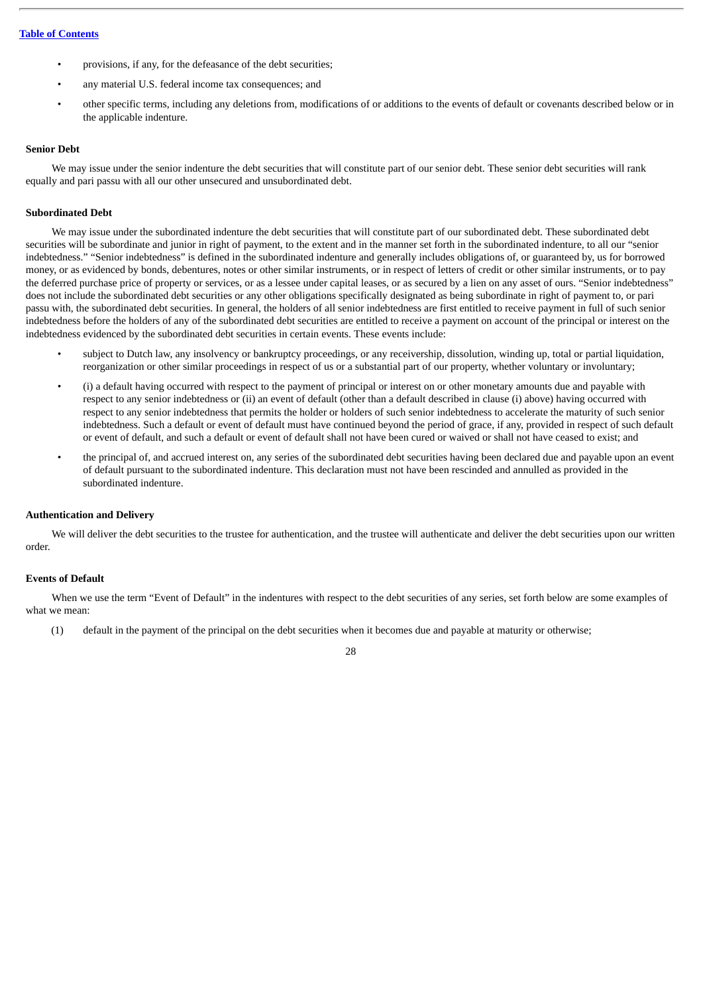- provisions, if any, for the defeasance of the debt securities;
- any material U.S. federal income tax consequences; and
- other specific terms, including any deletions from, modifications of or additions to the events of default or covenants described below or in the applicable indenture.

## **Senior Debt**

We may issue under the senior indenture the debt securities that will constitute part of our senior debt. These senior debt securities will rank equally and pari passu with all our other unsecured and unsubordinated debt.

## **Subordinated Debt**

We may issue under the subordinated indenture the debt securities that will constitute part of our subordinated debt. These subordinated debt securities will be subordinate and junior in right of payment, to the extent and in the manner set forth in the subordinated indenture, to all our "senior indebtedness." "Senior indebtedness" is defined in the subordinated indenture and generally includes obligations of, or guaranteed by, us for borrowed money, or as evidenced by bonds, debentures, notes or other similar instruments, or in respect of letters of credit or other similar instruments, or to pay the deferred purchase price of property or services, or as a lessee under capital leases, or as secured by a lien on any asset of ours. "Senior indebtedness" does not include the subordinated debt securities or any other obligations specifically designated as being subordinate in right of payment to, or pari passu with, the subordinated debt securities. In general, the holders of all senior indebtedness are first entitled to receive payment in full of such senior indebtedness before the holders of any of the subordinated debt securities are entitled to receive a payment on account of the principal or interest on the indebtedness evidenced by the subordinated debt securities in certain events. These events include:

- subject to Dutch law, any insolvency or bankruptcy proceedings, or any receivership, dissolution, winding up, total or partial liquidation, reorganization or other similar proceedings in respect of us or a substantial part of our property, whether voluntary or involuntary;
- (i) a default having occurred with respect to the payment of principal or interest on or other monetary amounts due and payable with respect to any senior indebtedness or (ii) an event of default (other than a default described in clause (i) above) having occurred with respect to any senior indebtedness that permits the holder or holders of such senior indebtedness to accelerate the maturity of such senior indebtedness. Such a default or event of default must have continued beyond the period of grace, if any, provided in respect of such default or event of default, and such a default or event of default shall not have been cured or waived or shall not have ceased to exist; and
- the principal of, and accrued interest on, any series of the subordinated debt securities having been declared due and payable upon an event of default pursuant to the subordinated indenture. This declaration must not have been rescinded and annulled as provided in the subordinated indenture.

## **Authentication and Delivery**

We will deliver the debt securities to the trustee for authentication, and the trustee will authenticate and deliver the debt securities upon our written order.

## **Events of Default**

When we use the term "Event of Default" in the indentures with respect to the debt securities of any series, set forth below are some examples of what we mean:

(1) default in the payment of the principal on the debt securities when it becomes due and payable at maturity or otherwise;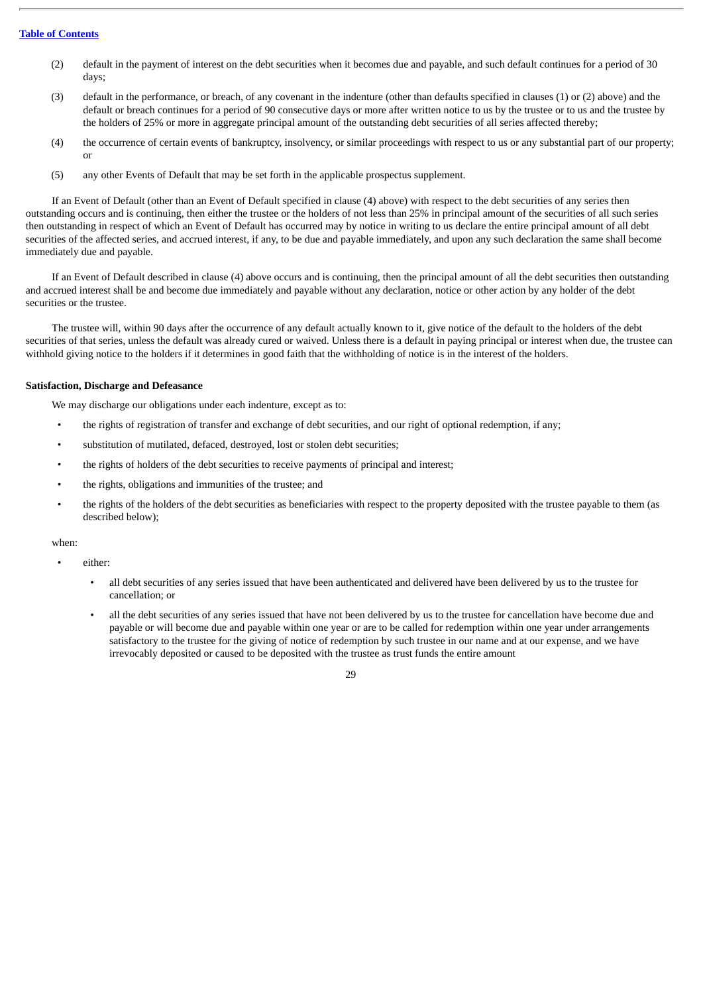- (2) default in the payment of interest on the debt securities when it becomes due and payable, and such default continues for a period of 30 days;
- (3) default in the performance, or breach, of any covenant in the indenture (other than defaults specified in clauses (1) or (2) above) and the default or breach continues for a period of 90 consecutive days or more after written notice to us by the trustee or to us and the trustee by the holders of 25% or more in aggregate principal amount of the outstanding debt securities of all series affected thereby;
- (4) the occurrence of certain events of bankruptcy, insolvency, or similar proceedings with respect to us or any substantial part of our property; or
- (5) any other Events of Default that may be set forth in the applicable prospectus supplement.

If an Event of Default (other than an Event of Default specified in clause (4) above) with respect to the debt securities of any series then outstanding occurs and is continuing, then either the trustee or the holders of not less than 25% in principal amount of the securities of all such series then outstanding in respect of which an Event of Default has occurred may by notice in writing to us declare the entire principal amount of all debt securities of the affected series, and accrued interest, if any, to be due and payable immediately, and upon any such declaration the same shall become immediately due and payable.

If an Event of Default described in clause (4) above occurs and is continuing, then the principal amount of all the debt securities then outstanding and accrued interest shall be and become due immediately and payable without any declaration, notice or other action by any holder of the debt securities or the trustee.

The trustee will, within 90 days after the occurrence of any default actually known to it, give notice of the default to the holders of the debt securities of that series, unless the default was already cured or waived. Unless there is a default in paying principal or interest when due, the trustee can withhold giving notice to the holders if it determines in good faith that the withholding of notice is in the interest of the holders.

## **Satisfaction, Discharge and Defeasance**

We may discharge our obligations under each indenture, except as to:

- the rights of registration of transfer and exchange of debt securities, and our right of optional redemption, if any;
- substitution of mutilated, defaced, destroved, lost or stolen debt securities;
- the rights of holders of the debt securities to receive payments of principal and interest;
- the rights, obligations and immunities of the trustee; and
- the rights of the holders of the debt securities as beneficiaries with respect to the property deposited with the trustee payable to them (as described below);

#### when:

- either:
	- all debt securities of any series issued that have been authenticated and delivered have been delivered by us to the trustee for cancellation; or
	- all the debt securities of any series issued that have not been delivered by us to the trustee for cancellation have become due and payable or will become due and payable within one year or are to be called for redemption within one year under arrangements satisfactory to the trustee for the giving of notice of redemption by such trustee in our name and at our expense, and we have irrevocably deposited or caused to be deposited with the trustee as trust funds the entire amount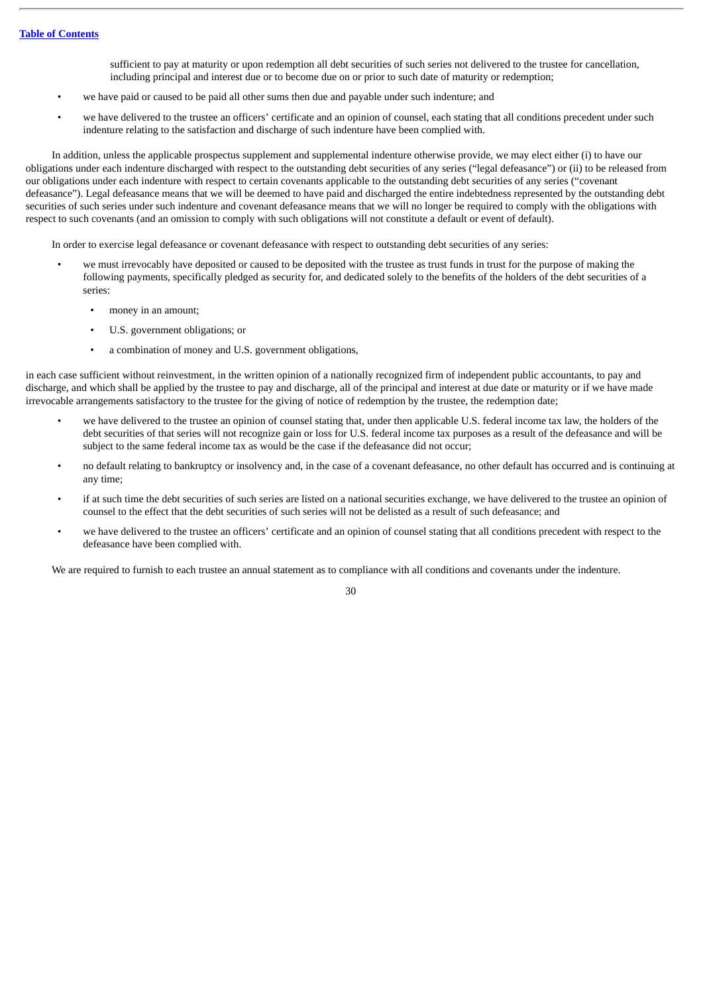sufficient to pay at maturity or upon redemption all debt securities of such series not delivered to the trustee for cancellation, including principal and interest due or to become due on or prior to such date of maturity or redemption;

- we have paid or caused to be paid all other sums then due and payable under such indenture; and
- we have delivered to the trustee an officers' certificate and an opinion of counsel, each stating that all conditions precedent under such indenture relating to the satisfaction and discharge of such indenture have been complied with.

In addition, unless the applicable prospectus supplement and supplemental indenture otherwise provide, we may elect either (i) to have our obligations under each indenture discharged with respect to the outstanding debt securities of any series ("legal defeasance") or (ii) to be released from our obligations under each indenture with respect to certain covenants applicable to the outstanding debt securities of any series ("covenant defeasance"). Legal defeasance means that we will be deemed to have paid and discharged the entire indebtedness represented by the outstanding debt securities of such series under such indenture and covenant defeasance means that we will no longer be required to comply with the obligations with respect to such covenants (and an omission to comply with such obligations will not constitute a default or event of default).

In order to exercise legal defeasance or covenant defeasance with respect to outstanding debt securities of any series:

- we must irrevocably have deposited or caused to be deposited with the trustee as trust funds in trust for the purpose of making the following payments, specifically pledged as security for, and dedicated solely to the benefits of the holders of the debt securities of a series:
	- money in an amount;
	- U.S. government obligations; or
	- a combination of money and U.S. government obligations,

in each case sufficient without reinvestment, in the written opinion of a nationally recognized firm of independent public accountants, to pay and discharge, and which shall be applied by the trustee to pay and discharge, all of the principal and interest at due date or maturity or if we have made irrevocable arrangements satisfactory to the trustee for the giving of notice of redemption by the trustee, the redemption date;

- we have delivered to the trustee an opinion of counsel stating that, under then applicable U.S. federal income tax law, the holders of the debt securities of that series will not recognize gain or loss for U.S. federal income tax purposes as a result of the defeasance and will be subject to the same federal income tax as would be the case if the defeasance did not occur;
- no default relating to bankruptcy or insolvency and, in the case of a covenant defeasance, no other default has occurred and is continuing at any time;
- if at such time the debt securities of such series are listed on a national securities exchange, we have delivered to the trustee an opinion of counsel to the effect that the debt securities of such series will not be delisted as a result of such defeasance; and
- we have delivered to the trustee an officers' certificate and an opinion of counsel stating that all conditions precedent with respect to the defeasance have been complied with.

We are required to furnish to each trustee an annual statement as to compliance with all conditions and covenants under the indenture.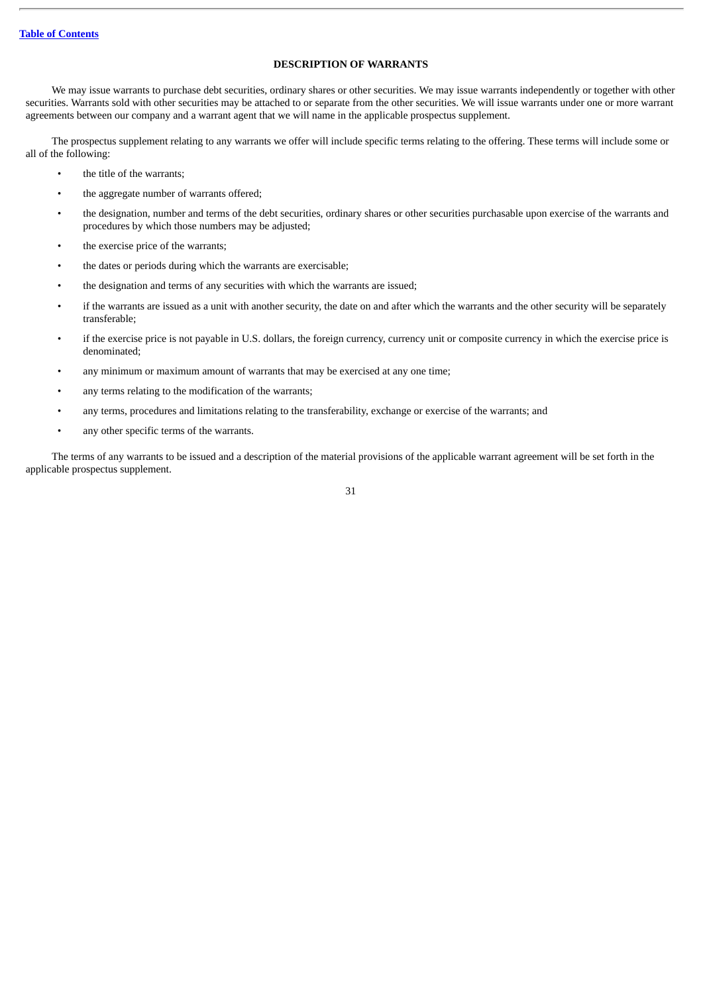## **DESCRIPTION OF WARRANTS**

We may issue warrants to purchase debt securities, ordinary shares or other securities. We may issue warrants independently or together with other securities. Warrants sold with other securities may be attached to or separate from the other securities. We will issue warrants under one or more warrant agreements between our company and a warrant agent that we will name in the applicable prospectus supplement.

The prospectus supplement relating to any warrants we offer will include specific terms relating to the offering. These terms will include some or all of the following:

- the title of the warrants;
- the aggregate number of warrants offered;
- the designation, number and terms of the debt securities, ordinary shares or other securities purchasable upon exercise of the warrants and procedures by which those numbers may be adjusted;
- the exercise price of the warrants;
- the dates or periods during which the warrants are exercisable;
- the designation and terms of any securities with which the warrants are issued;
- if the warrants are issued as a unit with another security, the date on and after which the warrants and the other security will be separately transferable;
- if the exercise price is not payable in U.S. dollars, the foreign currency, currency unit or composite currency in which the exercise price is denominated;
- any minimum or maximum amount of warrants that may be exercised at any one time;
- any terms relating to the modification of the warrants;
- any terms, procedures and limitations relating to the transferability, exchange or exercise of the warrants; and
- any other specific terms of the warrants.

The terms of any warrants to be issued and a description of the material provisions of the applicable warrant agreement will be set forth in the applicable prospectus supplement.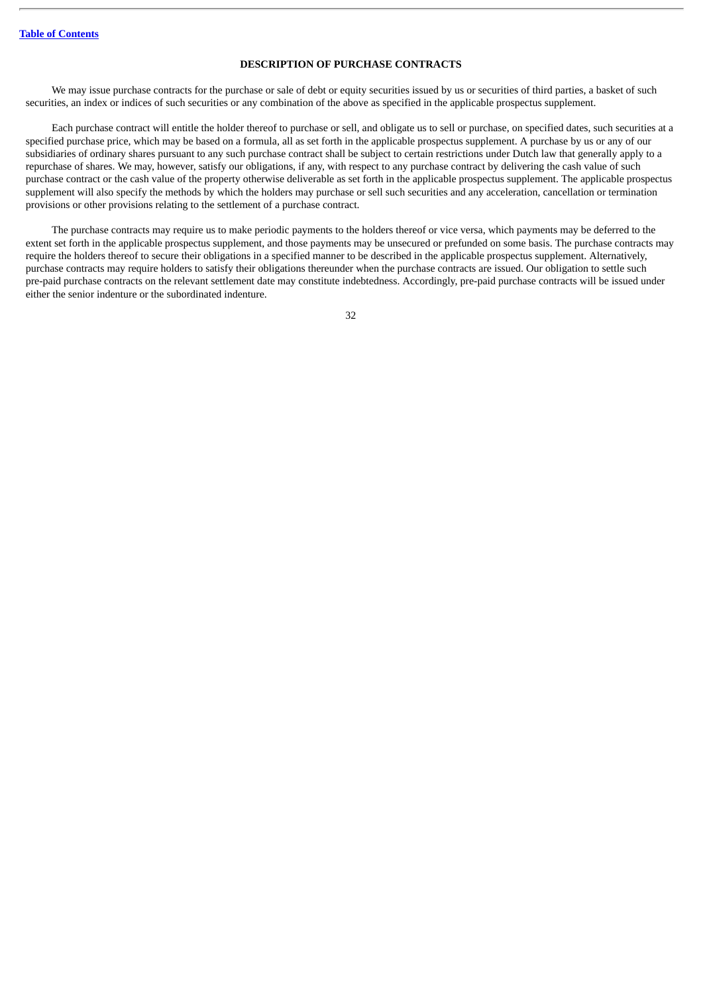## **DESCRIPTION OF PURCHASE CONTRACTS**

We may issue purchase contracts for the purchase or sale of debt or equity securities issued by us or securities of third parties, a basket of such securities, an index or indices of such securities or any combination of the above as specified in the applicable prospectus supplement.

Each purchase contract will entitle the holder thereof to purchase or sell, and obligate us to sell or purchase, on specified dates, such securities at a specified purchase price, which may be based on a formula, all as set forth in the applicable prospectus supplement. A purchase by us or any of our subsidiaries of ordinary shares pursuant to any such purchase contract shall be subject to certain restrictions under Dutch law that generally apply to a repurchase of shares. We may, however, satisfy our obligations, if any, with respect to any purchase contract by delivering the cash value of such purchase contract or the cash value of the property otherwise deliverable as set forth in the applicable prospectus supplement. The applicable prospectus supplement will also specify the methods by which the holders may purchase or sell such securities and any acceleration, cancellation or termination provisions or other provisions relating to the settlement of a purchase contract.

The purchase contracts may require us to make periodic payments to the holders thereof or vice versa, which payments may be deferred to the extent set forth in the applicable prospectus supplement, and those payments may be unsecured or prefunded on some basis. The purchase contracts may require the holders thereof to secure their obligations in a specified manner to be described in the applicable prospectus supplement. Alternatively, purchase contracts may require holders to satisfy their obligations thereunder when the purchase contracts are issued. Our obligation to settle such pre-paid purchase contracts on the relevant settlement date may constitute indebtedness. Accordingly, pre-paid purchase contracts will be issued under either the senior indenture or the subordinated indenture.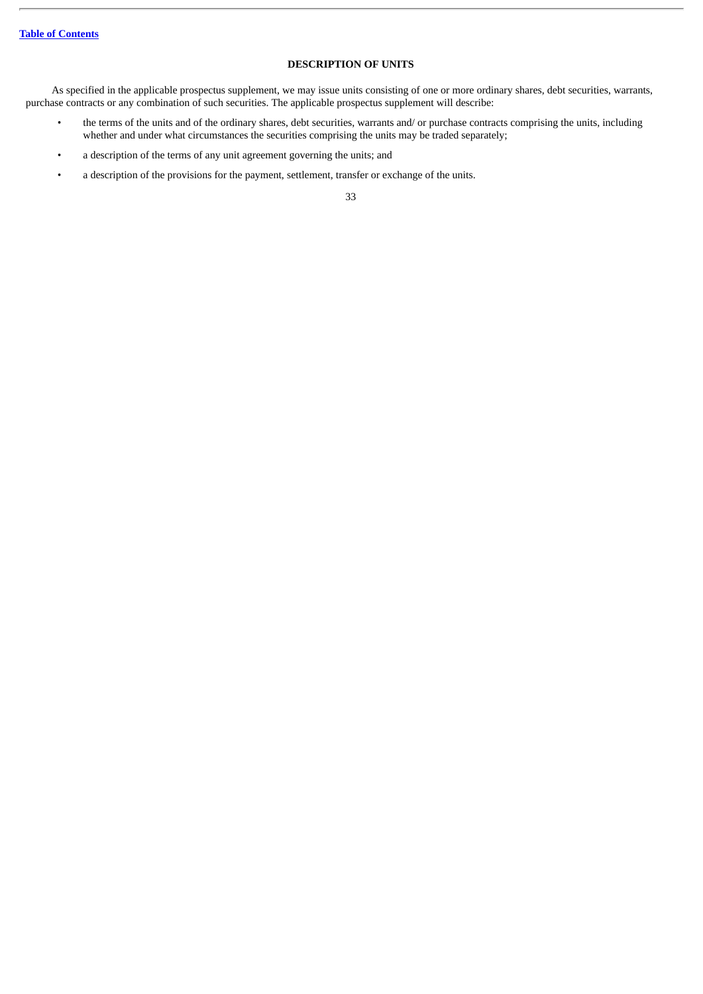# **DESCRIPTION OF UNITS**

As specified in the applicable prospectus supplement, we may issue units consisting of one or more ordinary shares, debt securities, warrants, purchase contracts or any combination of such securities. The applicable prospectus supplement will describe:

- the terms of the units and of the ordinary shares, debt securities, warrants and/ or purchase contracts comprising the units, including whether and under what circumstances the securities comprising the units may be traded separately;
- a description of the terms of any unit agreement governing the units; and
- a description of the provisions for the payment, settlement, transfer or exchange of the units.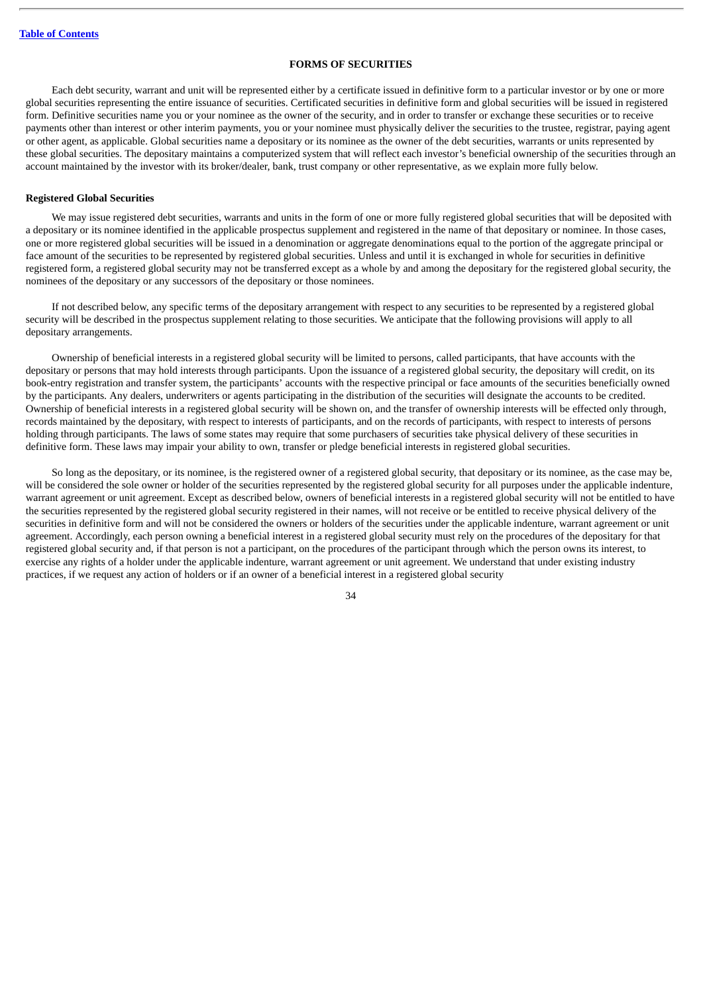## **FORMS OF SECURITIES**

Each debt security, warrant and unit will be represented either by a certificate issued in definitive form to a particular investor or by one or more global securities representing the entire issuance of securities. Certificated securities in definitive form and global securities will be issued in registered form. Definitive securities name you or your nominee as the owner of the security, and in order to transfer or exchange these securities or to receive payments other than interest or other interim payments, you or your nominee must physically deliver the securities to the trustee, registrar, paying agent or other agent, as applicable. Global securities name a depositary or its nominee as the owner of the debt securities, warrants or units represented by these global securities. The depositary maintains a computerized system that will reflect each investor's beneficial ownership of the securities through an account maintained by the investor with its broker/dealer, bank, trust company or other representative, as we explain more fully below.

## **Registered Global Securities**

We may issue registered debt securities, warrants and units in the form of one or more fully registered global securities that will be deposited with a depositary or its nominee identified in the applicable prospectus supplement and registered in the name of that depositary or nominee. In those cases, one or more registered global securities will be issued in a denomination or aggregate denominations equal to the portion of the aggregate principal or face amount of the securities to be represented by registered global securities. Unless and until it is exchanged in whole for securities in definitive registered form, a registered global security may not be transferred except as a whole by and among the depositary for the registered global security, the nominees of the depositary or any successors of the depositary or those nominees.

If not described below, any specific terms of the depositary arrangement with respect to any securities to be represented by a registered global security will be described in the prospectus supplement relating to those securities. We anticipate that the following provisions will apply to all depositary arrangements.

Ownership of beneficial interests in a registered global security will be limited to persons, called participants, that have accounts with the depositary or persons that may hold interests through participants. Upon the issuance of a registered global security, the depositary will credit, on its book-entry registration and transfer system, the participants' accounts with the respective principal or face amounts of the securities beneficially owned by the participants. Any dealers, underwriters or agents participating in the distribution of the securities will designate the accounts to be credited. Ownership of beneficial interests in a registered global security will be shown on, and the transfer of ownership interests will be effected only through, records maintained by the depositary, with respect to interests of participants, and on the records of participants, with respect to interests of persons holding through participants. The laws of some states may require that some purchasers of securities take physical delivery of these securities in definitive form. These laws may impair your ability to own, transfer or pledge beneficial interests in registered global securities.

So long as the depositary, or its nominee, is the registered owner of a registered global security, that depositary or its nominee, as the case may be, will be considered the sole owner or holder of the securities represented by the registered global security for all purposes under the applicable indenture, warrant agreement or unit agreement. Except as described below, owners of beneficial interests in a registered global security will not be entitled to have the securities represented by the registered global security registered in their names, will not receive or be entitled to receive physical delivery of the securities in definitive form and will not be considered the owners or holders of the securities under the applicable indenture, warrant agreement or unit agreement. Accordingly, each person owning a beneficial interest in a registered global security must rely on the procedures of the depositary for that registered global security and, if that person is not a participant, on the procedures of the participant through which the person owns its interest, to exercise any rights of a holder under the applicable indenture, warrant agreement or unit agreement. We understand that under existing industry practices, if we request any action of holders or if an owner of a beneficial interest in a registered global security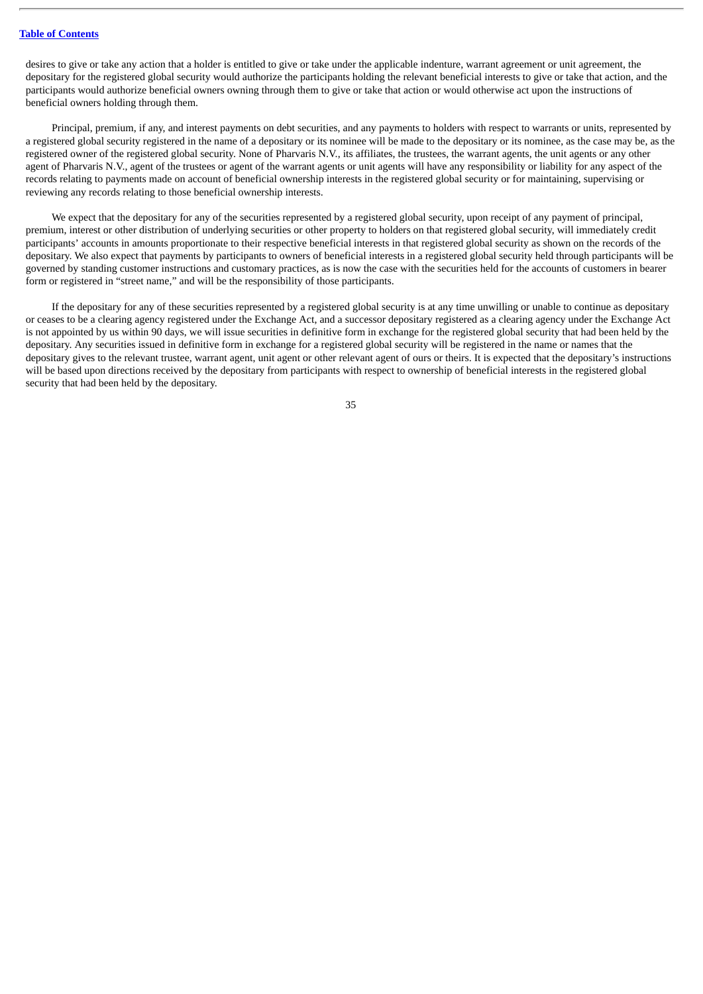desires to give or take any action that a holder is entitled to give or take under the applicable indenture, warrant agreement or unit agreement, the depositary for the registered global security would authorize the participants holding the relevant beneficial interests to give or take that action, and the participants would authorize beneficial owners owning through them to give or take that action or would otherwise act upon the instructions of beneficial owners holding through them.

Principal, premium, if any, and interest payments on debt securities, and any payments to holders with respect to warrants or units, represented by a registered global security registered in the name of a depositary or its nominee will be made to the depositary or its nominee, as the case may be, as the registered owner of the registered global security. None of Pharvaris N.V., its affiliates, the trustees, the warrant agents, the unit agents or any other agent of Pharvaris N.V., agent of the trustees or agent of the warrant agents or unit agents will have any responsibility or liability for any aspect of the records relating to payments made on account of beneficial ownership interests in the registered global security or for maintaining, supervising or reviewing any records relating to those beneficial ownership interests.

We expect that the depositary for any of the securities represented by a registered global security, upon receipt of any payment of principal, premium, interest or other distribution of underlying securities or other property to holders on that registered global security, will immediately credit participants' accounts in amounts proportionate to their respective beneficial interests in that registered global security as shown on the records of the depositary. We also expect that payments by participants to owners of beneficial interests in a registered global security held through participants will be governed by standing customer instructions and customary practices, as is now the case with the securities held for the accounts of customers in bearer form or registered in "street name," and will be the responsibility of those participants.

If the depositary for any of these securities represented by a registered global security is at any time unwilling or unable to continue as depositary or ceases to be a clearing agency registered under the Exchange Act, and a successor depositary registered as a clearing agency under the Exchange Act is not appointed by us within 90 days, we will issue securities in definitive form in exchange for the registered global security that had been held by the depositary. Any securities issued in definitive form in exchange for a registered global security will be registered in the name or names that the depositary gives to the relevant trustee, warrant agent, unit agent or other relevant agent of ours or theirs. It is expected that the depositary's instructions will be based upon directions received by the depositary from participants with respect to ownership of beneficial interests in the registered global security that had been held by the depositary.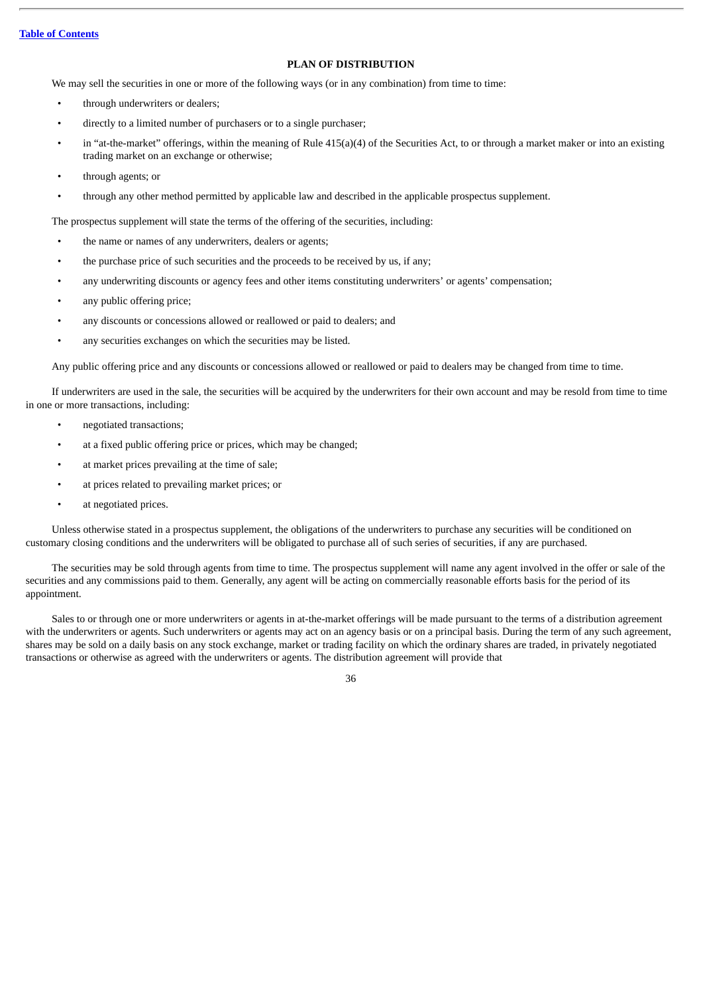## **PLAN OF DISTRIBUTION**

We may sell the securities in one or more of the following ways (or in any combination) from time to time:

- through underwriters or dealers;
- directly to a limited number of purchasers or to a single purchaser;
- in "at-the-market" offerings, within the meaning of Rule 415(a)(4) of the Securities Act, to or through a market maker or into an existing trading market on an exchange or otherwise;
- through agents; or
- through any other method permitted by applicable law and described in the applicable prospectus supplement.

The prospectus supplement will state the terms of the offering of the securities, including:

- the name or names of any underwriters, dealers or agents;
- the purchase price of such securities and the proceeds to be received by us, if any;
- any underwriting discounts or agency fees and other items constituting underwriters' or agents' compensation;
- any public offering price;
- any discounts or concessions allowed or reallowed or paid to dealers; and
- any securities exchanges on which the securities may be listed.

Any public offering price and any discounts or concessions allowed or reallowed or paid to dealers may be changed from time to time.

If underwriters are used in the sale, the securities will be acquired by the underwriters for their own account and may be resold from time to time in one or more transactions, including:

- negotiated transactions;
- at a fixed public offering price or prices, which may be changed;
- at market prices prevailing at the time of sale;
- at prices related to prevailing market prices; or
- at negotiated prices.

Unless otherwise stated in a prospectus supplement, the obligations of the underwriters to purchase any securities will be conditioned on customary closing conditions and the underwriters will be obligated to purchase all of such series of securities, if any are purchased.

The securities may be sold through agents from time to time. The prospectus supplement will name any agent involved in the offer or sale of the securities and any commissions paid to them. Generally, any agent will be acting on commercially reasonable efforts basis for the period of its appointment.

Sales to or through one or more underwriters or agents in at-the-market offerings will be made pursuant to the terms of a distribution agreement with the underwriters or agents. Such underwriters or agents may act on an agency basis or on a principal basis. During the term of any such agreement, shares may be sold on a daily basis on any stock exchange, market or trading facility on which the ordinary shares are traded, in privately negotiated transactions or otherwise as agreed with the underwriters or agents. The distribution agreement will provide that

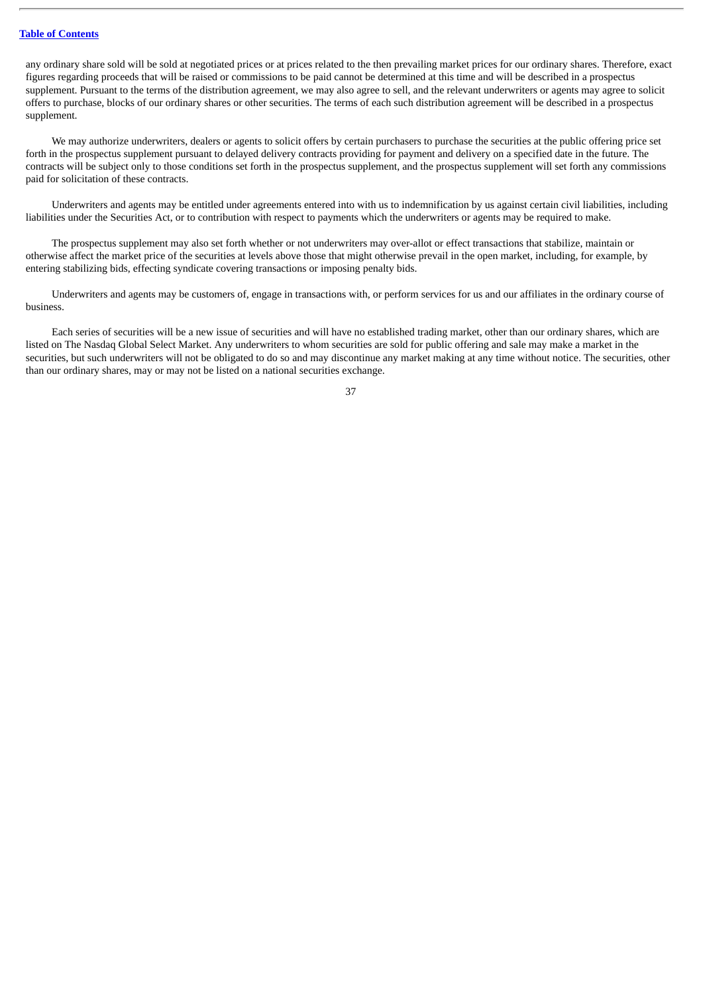any ordinary share sold will be sold at negotiated prices or at prices related to the then prevailing market prices for our ordinary shares. Therefore, exact figures regarding proceeds that will be raised or commissions to be paid cannot be determined at this time and will be described in a prospectus supplement. Pursuant to the terms of the distribution agreement, we may also agree to sell, and the relevant underwriters or agents may agree to solicit offers to purchase, blocks of our ordinary shares or other securities. The terms of each such distribution agreement will be described in a prospectus supplement.

We may authorize underwriters, dealers or agents to solicit offers by certain purchasers to purchase the securities at the public offering price set forth in the prospectus supplement pursuant to delayed delivery contracts providing for payment and delivery on a specified date in the future. The contracts will be subject only to those conditions set forth in the prospectus supplement, and the prospectus supplement will set forth any commissions paid for solicitation of these contracts.

Underwriters and agents may be entitled under agreements entered into with us to indemnification by us against certain civil liabilities, including liabilities under the Securities Act, or to contribution with respect to payments which the underwriters or agents may be required to make.

The prospectus supplement may also set forth whether or not underwriters may over-allot or effect transactions that stabilize, maintain or otherwise affect the market price of the securities at levels above those that might otherwise prevail in the open market, including, for example, by entering stabilizing bids, effecting syndicate covering transactions or imposing penalty bids.

Underwriters and agents may be customers of, engage in transactions with, or perform services for us and our affiliates in the ordinary course of business.

Each series of securities will be a new issue of securities and will have no established trading market, other than our ordinary shares, which are listed on The Nasdaq Global Select Market. Any underwriters to whom securities are sold for public offering and sale may make a market in the securities, but such underwriters will not be obligated to do so and may discontinue any market making at any time without notice. The securities, other than our ordinary shares, may or may not be listed on a national securities exchange.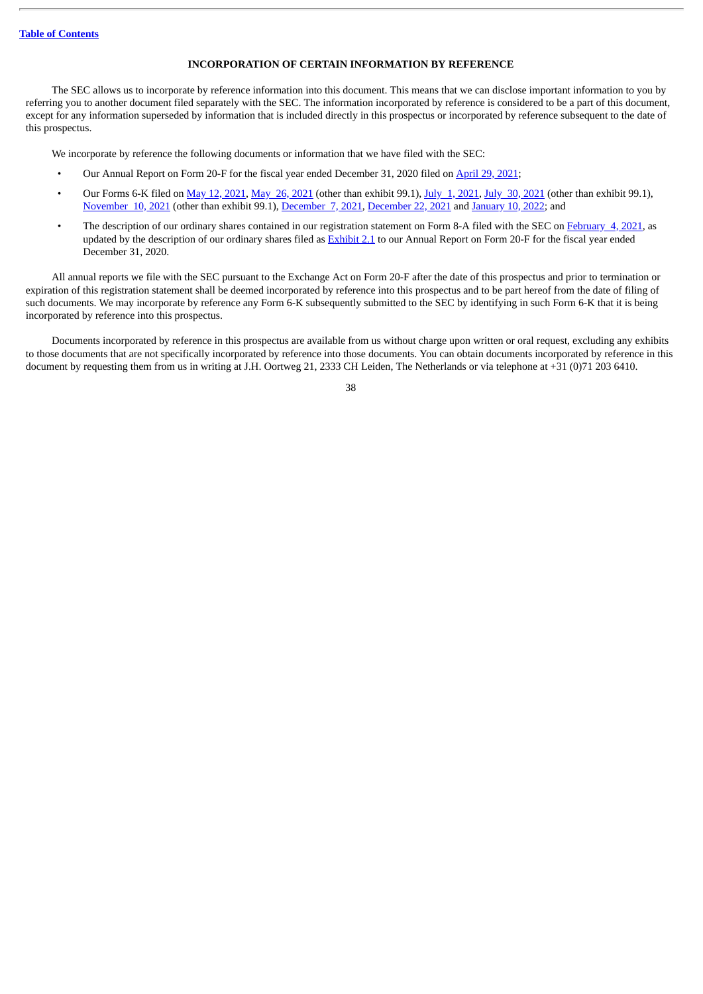## **INCORPORATION OF CERTAIN INFORMATION BY REFERENCE**

The SEC allows us to incorporate by reference information into this document. This means that we can disclose important information to you by referring you to another document filed separately with the SEC. The information incorporated by reference is considered to be a part of this document, except for any information superseded by information that is included directly in this prospectus or incorporated by reference subsequent to the date of this prospectus.

We incorporate by reference the following documents or information that we have filed with the SEC:

- Our Annual Report on Form 20-F for the fiscal year ended December 31, 2020 filed on [April](http://www.sec.gov/Archives/edgar/data/1830487/000119312521140476/d51199d20f.htm) 29, 2021;
- Our Forms 6-K filed on May 12, [2021](http://www.sec.gov/Archives/edgar/data/1830487/000156459021039331/phvs-6k_20210730.htm), May 26, 2021 (other than exhibit 99.1), July 1, [2021,](http://www.sec.gov/Archives/edgar/data/1830487/000156459021035421/phvs-6k_20210701.htm) July 30, 2021 (other than exhibit 99.1), [November](http://www.sec.gov/Archives/edgar/data/1830487/000156459021055938/phvs-6k_20211110.htm) 10, 2021 (other than exhibit 99.1), [December](http://www.sec.gov/Archives/edgar/data/1830487/000119312521349696/d222757d6k.htm) 7, 2021, [December](http://www.sec.gov/Archives/edgar/data/1830487/000119312521364304/d262163d6k.htm) 22, 2021 and [January](http://www.sec.gov/Archives/edgar/data/1830487/000119312522005106/d246773d6k.htm) 10, 2022; and
- The description of our ordinary shares contained in our registration statement on Form 8-A filed with the SEC on [February](http://www.sec.gov/Archives/edgar/data/1830487/000119312521028346/d91705d8a12b.htm) 4, 2021, as updated by the description of our ordinary shares filed as [Exhibit](http://www.sec.gov/Archives/edgar/data/1830487/000119312521140476/d51199dex21.htm) 2.1 to our Annual Report on Form 20-F for the fiscal year ended December 31, 2020.

All annual reports we file with the SEC pursuant to the Exchange Act on Form 20-F after the date of this prospectus and prior to termination or expiration of this registration statement shall be deemed incorporated by reference into this prospectus and to be part hereof from the date of filing of such documents. We may incorporate by reference any Form 6-K subsequently submitted to the SEC by identifying in such Form 6-K that it is being incorporated by reference into this prospectus.

Documents incorporated by reference in this prospectus are available from us without charge upon written or oral request, excluding any exhibits to those documents that are not specifically incorporated by reference into those documents. You can obtain documents incorporated by reference in this document by requesting them from us in writing at J.H. Oortweg 21, 2333 CH Leiden, The Netherlands or via telephone at +31 (0)71 203 6410.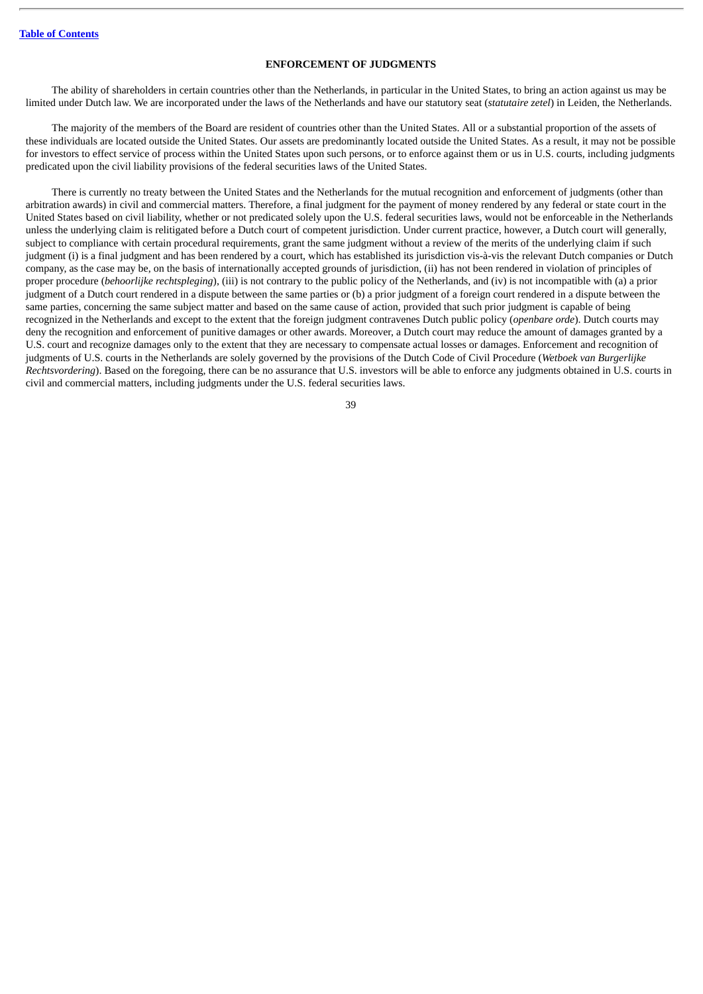### **ENFORCEMENT OF JUDGMENTS**

The ability of shareholders in certain countries other than the Netherlands, in particular in the United States, to bring an action against us may be limited under Dutch law. We are incorporated under the laws of the Netherlands and have our statutory seat (*statutaire zetel*) in Leiden, the Netherlands.

The majority of the members of the Board are resident of countries other than the United States. All or a substantial proportion of the assets of these individuals are located outside the United States. Our assets are predominantly located outside the United States. As a result, it may not be possible for investors to effect service of process within the United States upon such persons, or to enforce against them or us in U.S. courts, including judgments predicated upon the civil liability provisions of the federal securities laws of the United States.

There is currently no treaty between the United States and the Netherlands for the mutual recognition and enforcement of judgments (other than arbitration awards) in civil and commercial matters. Therefore, a final judgment for the payment of money rendered by any federal or state court in the United States based on civil liability, whether or not predicated solely upon the U.S. federal securities laws, would not be enforceable in the Netherlands unless the underlying claim is relitigated before a Dutch court of competent jurisdiction. Under current practice, however, a Dutch court will generally, subject to compliance with certain procedural requirements, grant the same judgment without a review of the merits of the underlying claim if such judgment (i) is a final judgment and has been rendered by a court, which has established its jurisdiction vis-à-vis the relevant Dutch companies or Dutch company, as the case may be, on the basis of internationally accepted grounds of jurisdiction, (ii) has not been rendered in violation of principles of proper procedure (*behoorlijke rechtspleging*), (iii) is not contrary to the public policy of the Netherlands, and (iv) is not incompatible with (a) a prior judgment of a Dutch court rendered in a dispute between the same parties or (b) a prior judgment of a foreign court rendered in a dispute between the same parties, concerning the same subject matter and based on the same cause of action, provided that such prior judgment is capable of being recognized in the Netherlands and except to the extent that the foreign judgment contravenes Dutch public policy (*openbare orde*). Dutch courts may deny the recognition and enforcement of punitive damages or other awards. Moreover, a Dutch court may reduce the amount of damages granted by a U.S. court and recognize damages only to the extent that they are necessary to compensate actual losses or damages. Enforcement and recognition of judgments of U.S. courts in the Netherlands are solely governed by the provisions of the Dutch Code of Civil Procedure (*Wetboek van Burgerlijke Rechtsvordering*). Based on the foregoing, there can be no assurance that U.S. investors will be able to enforce any judgments obtained in U.S. courts in civil and commercial matters, including judgments under the U.S. federal securities laws.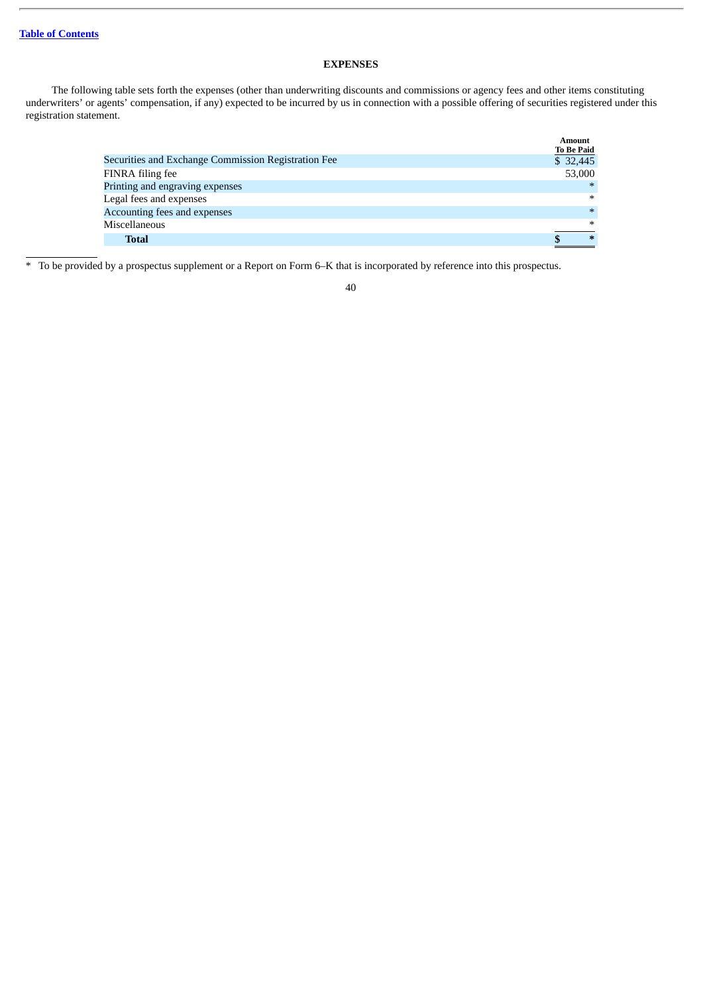# **EXPENSES**

The following table sets forth the expenses (other than underwriting discounts and commissions or agency fees and other items constituting underwriters' or agents' compensation, if any) expected to be incurred by us in connection with a possible offering of securities registered under this registration statement.

|                                                     | Amount<br><b>To Be Paid</b> |
|-----------------------------------------------------|-----------------------------|
| Securities and Exchange Commission Registration Fee | \$32,445                    |
| FINRA filing fee                                    | 53,000                      |
| Printing and engraving expenses                     | $*$                         |
| Legal fees and expenses                             | $\ast$                      |
| Accounting fees and expenses                        | $\ast$                      |
| Miscellaneous                                       | $\ast$                      |
| <b>Total</b>                                        | $\ast$                      |

\* To be provided by a prospectus supplement or a Report on Form 6–K that is incorporated by reference into this prospectus.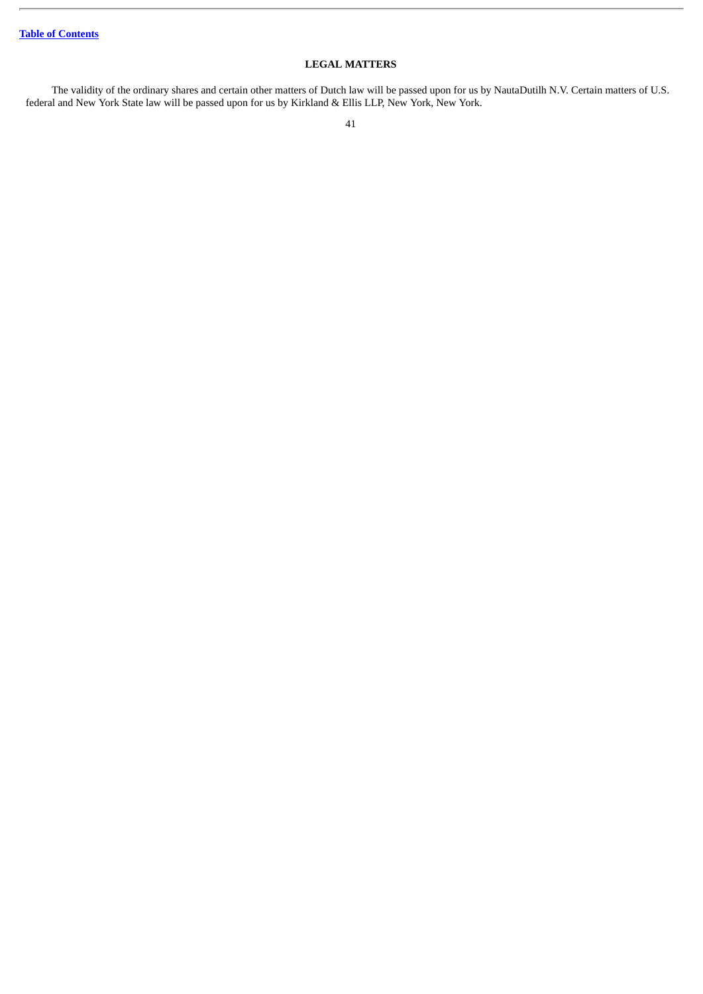# **LEGAL MATTERS**

The validity of the ordinary shares and certain other matters of Dutch law will be passed upon for us by NautaDutilh N.V. Certain matters of U.S. federal and New York State law will be passed upon for us by Kirkland & Ellis LLP, New York, New York.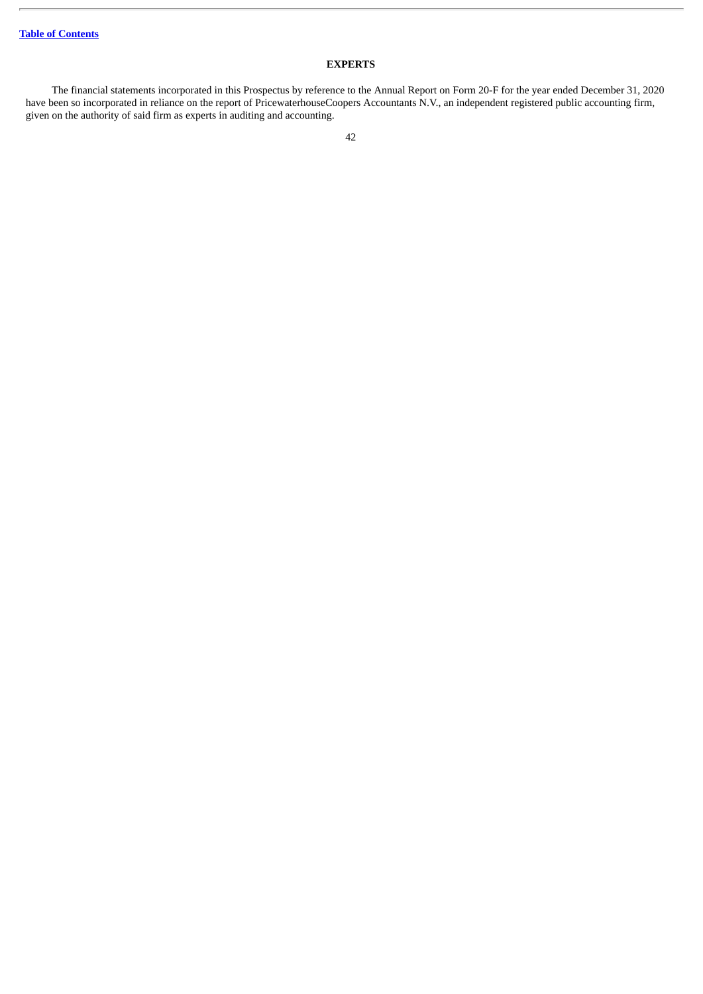# **EXPERTS**

The financial statements incorporated in this Prospectus by reference to the Annual Report on Form 20-F for the year ended December 31, 2020 have been so incorporated in reliance on the report of PricewaterhouseCoopers Accountants N.V., an independent registered public accounting firm, given on the authority of said firm as experts in auditing and accounting.